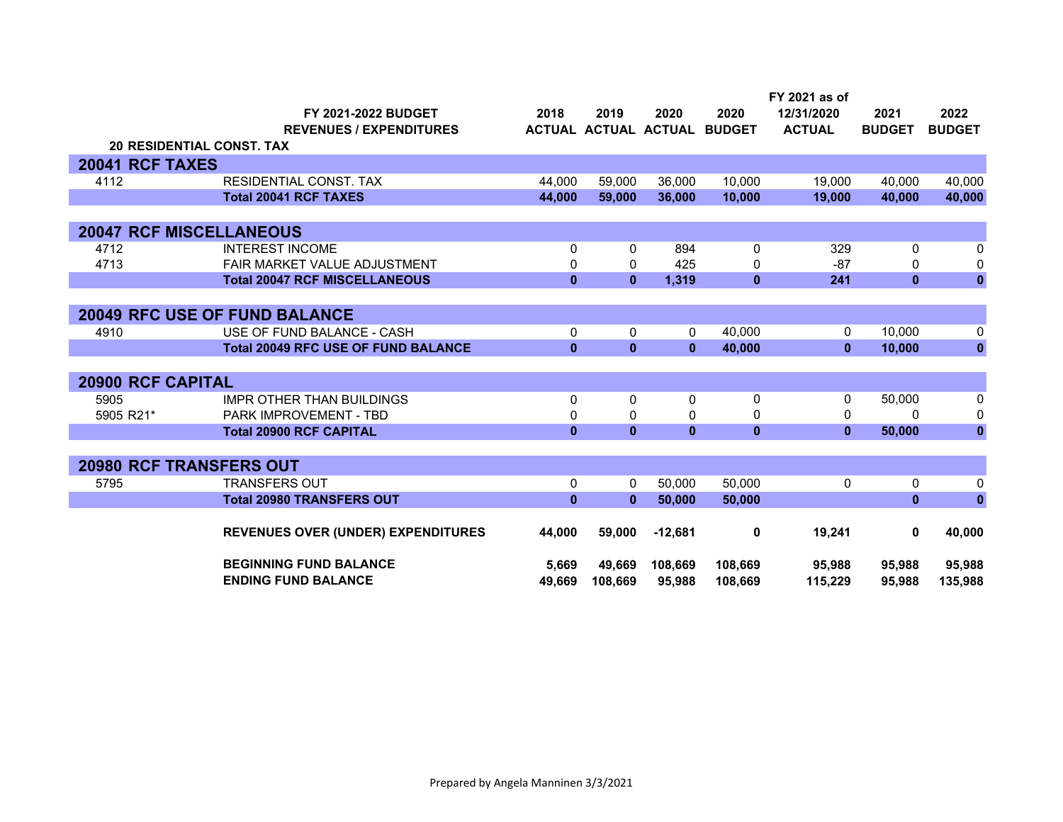|                          | FY 2021-2022 BUDGET                        | 2018         | 2019                 | 2020         | 2020          | FY 2021 as of<br>12/31/2020 | 2021          | 2022          |
|--------------------------|--------------------------------------------|--------------|----------------------|--------------|---------------|-----------------------------|---------------|---------------|
|                          | <b>REVENUES / EXPENDITURES</b>             |              | ACTUAL ACTUAL ACTUAL |              | <b>BUDGET</b> | <b>ACTUAL</b>               | <b>BUDGET</b> | <b>BUDGET</b> |
|                          | <b>20 RESIDENTIAL CONST. TAX</b>           |              |                      |              |               |                             |               |               |
| 20041 RCF TAXES          |                                            |              |                      |              |               |                             |               |               |
| 4112                     | <b>RESIDENTIAL CONST. TAX</b>              | 44,000       | 59,000               | 36,000       | 10,000        | 19,000                      | 40,000        | 40,000        |
|                          | <b>Total 20041 RCF TAXES</b>               | 44,000       | 59,000               | 36,000       | 10,000        | 19,000                      | 40,000        | 40,000        |
|                          |                                            |              |                      |              |               |                             |               |               |
|                          | <b>20047 RCF MISCELLANEOUS</b>             |              |                      |              |               |                             |               |               |
| 4712                     | <b>INTEREST INCOME</b>                     | 0            | 0                    | 894          | 0             | 329                         | 0             | 0             |
| 4713                     | FAIR MARKET VALUE ADJUSTMENT               | 0            | 0                    | 425          | 0             | $-87$                       | $\Omega$      | 0             |
|                          | <b>Total 20047 RCF MISCELLANEOUS</b>       | $\mathbf{0}$ | $\mathbf{0}$         | 1,319        | $\mathbf{0}$  | 241                         | $\mathbf{0}$  | $\bf{0}$      |
|                          |                                            |              |                      |              |               |                             |               |               |
|                          | <b>20049 RFC USE OF FUND BALANCE</b>       |              |                      |              |               |                             |               |               |
| 4910                     | USE OF FUND BALANCE - CASH                 | 0            | 0                    | 0            | 40,000        | 0                           | 10,000        | 0             |
|                          | <b>Total 20049 RFC USE OF FUND BALANCE</b> | $\mathbf{0}$ | $\mathbf{0}$         | $\bf{0}$     | 40,000        | $\mathbf{0}$                | 10,000        | $\pmb{0}$     |
|                          |                                            |              |                      |              |               |                             |               |               |
| <b>20900 RCF CAPITAL</b> |                                            |              |                      |              |               |                             |               |               |
| 5905                     | <b>IMPR OTHER THAN BUILDINGS</b>           | $\Omega$     | $\mathbf{0}$         | $\mathbf{0}$ | $\mathbf{0}$  | 0                           | 50,000        | 0             |
| 5905 R21*                | <b>PARK IMPROVEMENT - TBD</b>              | 0            | 0                    | 0            | 0             | $\Omega$                    | $\Omega$      | 0             |
|                          | <b>Total 20900 RCF CAPITAL</b>             | $\mathbf{0}$ | $\mathbf{0}$         | $\mathbf{0}$ | $\mathbf{0}$  | $\mathbf{0}$                | 50,000        | $\mathbf 0$   |
|                          |                                            |              |                      |              |               |                             |               |               |
|                          | <b>20980 RCF TRANSFERS OUT</b>             |              |                      |              |               |                             |               |               |
| 5795                     | <b>TRANSFERS OUT</b>                       | 0            | $\mathbf{0}$         | 50,000       | 50,000        | 0                           | $\mathbf{0}$  | 0             |
|                          | <b>Total 20980 TRANSFERS OUT</b>           | $\mathbf{0}$ | $\mathbf{0}$         | 50,000       | 50,000        |                             | $\mathbf{0}$  | $\pmb{0}$     |
|                          |                                            |              |                      |              |               |                             |               |               |
|                          | <b>REVENUES OVER (UNDER) EXPENDITURES</b>  | 44,000       | 59,000               | $-12,681$    | 0             | 19,241                      | 0             | 40,000        |
|                          | <b>BEGINNING FUND BALANCE</b>              | 5,669        | 49,669               | 108,669      | 108,669       | 95,988                      | 95,988        | 95,988        |
|                          | <b>ENDING FUND BALANCE</b>                 | 49.669       | 108.669              | 95.988       | 108.669       | 115.229                     | 95.988        | 135.988       |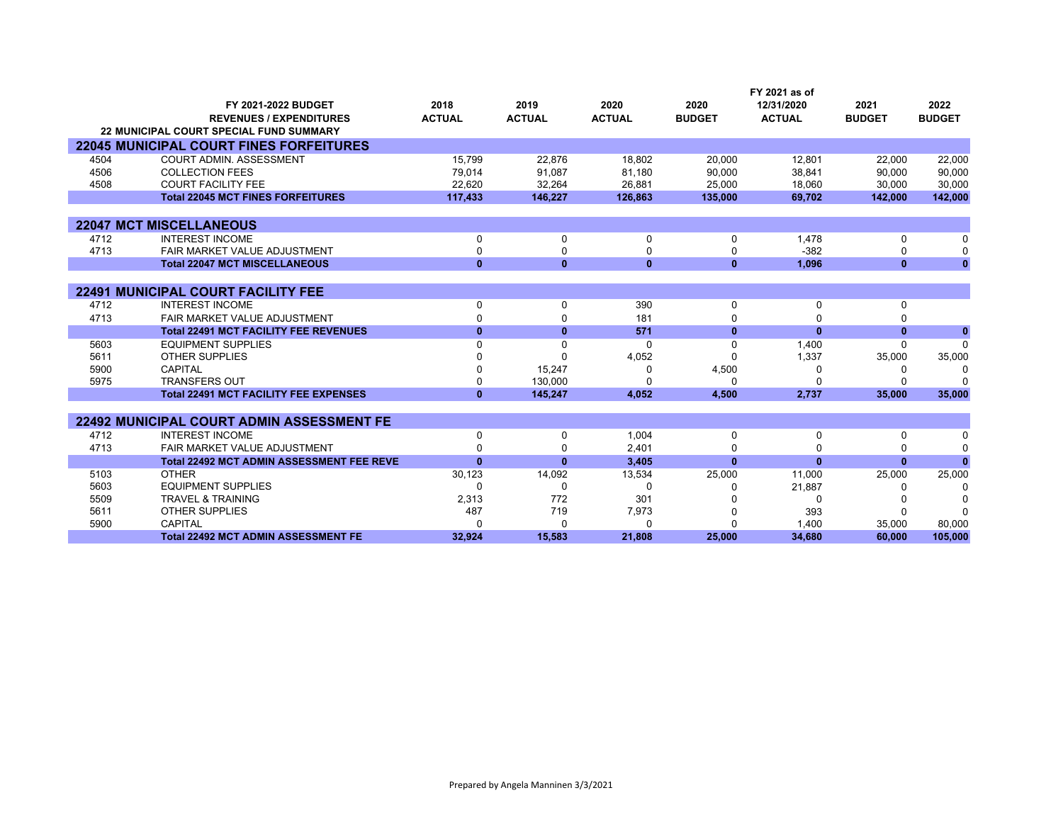|      |                                                  |               |               |               |               | FY 2021 as of |               |               |
|------|--------------------------------------------------|---------------|---------------|---------------|---------------|---------------|---------------|---------------|
|      | FY 2021-2022 BUDGET                              | 2018          | 2019          | 2020          | 2020          | 12/31/2020    | 2021          | 2022          |
|      | <b>REVENUES / EXPENDITURES</b>                   | <b>ACTUAL</b> | <b>ACTUAL</b> | <b>ACTUAL</b> | <b>BUDGET</b> | <b>ACTUAL</b> | <b>BUDGET</b> | <b>BUDGET</b> |
|      | <b>22 MUNICIPAL COURT SPECIAL FUND SUMMARY</b>   |               |               |               |               |               |               |               |
|      | <b>22045 MUNICIPAL COURT FINES FORFEITURES</b>   |               |               |               |               |               |               |               |
| 4504 | <b>COURT ADMIN. ASSESSMENT</b>                   | 15,799        | 22,876        | 18,802        | 20,000        | 12,801        | 22,000        | 22,000        |
| 4506 | <b>COLLECTION FEES</b>                           | 79,014        | 91.087        | 81,180        | 90,000        | 38,841        | 90,000        | 90,000        |
| 4508 | <b>COURT FACILITY FEE</b>                        | 22,620        | 32,264        | 26.881        | 25,000        | 18,060        | 30,000        | 30,000        |
|      | <b>Total 22045 MCT FINES FORFEITURES</b>         | 117,433       | 146,227       | 126,863       | 135,000       | 69,702        | 142,000       | 142,000       |
|      |                                                  |               |               |               |               |               |               |               |
|      | <b>22047 MCT MISCELLANEOUS</b>                   |               |               |               |               |               |               |               |
| 4712 | <b>INTEREST INCOME</b>                           | 0             | 0             | 0             | 0             | 1,478         | 0             | $\Omega$      |
| 4713 | <b>FAIR MARKET VALUE ADJUSTMENT</b>              | 0             | 0             | $\Omega$      | 0             | $-382$        | 0             | $\Omega$      |
|      | <b>Total 22047 MCT MISCELLANEOUS</b>             | $\mathbf{0}$  | $\mathbf{0}$  | $\mathbf{0}$  | $\bf{0}$      | 1,096         | $\bf{0}$      | $\Omega$      |
|      |                                                  |               |               |               |               |               |               |               |
|      | <b>22491 MUNICIPAL COURT FACILITY FEE</b>        |               |               |               |               |               |               |               |
| 4712 | <b>INTEREST INCOME</b>                           | 0             | 0             | 390           | 0             | 0             | 0             |               |
| 4713 | FAIR MARKET VALUE ADJUSTMENT                     | 0             | 0             | 181           | $\Omega$      |               |               |               |
|      | <b>Total 22491 MCT FACILITY FEE REVENUES</b>     | $\mathbf{0}$  | $\mathbf{0}$  | 571           | $\bf{0}$      | $\bf{0}$      | $\bf{0}$      | $\mathbf{0}$  |
| 5603 | <b>EQUIPMENT SUPPLIES</b>                        | 0             | $\Omega$      | $\Omega$      | $\Omega$      | 1,400         | $\Omega$      | $\Omega$      |
| 5611 | <b>OTHER SUPPLIES</b>                            |               | U             | 4,052         | ŋ             | 1,337         | 35,000        | 35,000        |
| 5900 | CAPITAL                                          |               | 15,247        | $\Omega$      | 4,500         | ∩             |               | C             |
| 5975 | <b>TRANSFERS OUT</b>                             | 0             | 130.000       | $\Omega$      | $\Omega$      | $\Omega$      |               |               |
|      | <b>Total 22491 MCT FACILITY FEE EXPENSES</b>     | $\bf{0}$      | 145.247       | 4,052         | 4,500         | 2,737         | 35,000        | 35,000        |
|      |                                                  |               |               |               |               |               |               |               |
|      | <b>22492 MUNICIPAL COURT ADMIN ASSESSMENT FE</b> |               |               |               |               |               |               |               |
| 4712 | <b>INTEREST INCOME</b>                           | 0             | 0             | 1,004         | 0             | 0             | 0             | n             |
| 4713 | FAIR MARKET VALUE ADJUSTMENT                     | U             | $\Omega$      | 2,401         | $\Omega$      |               |               | $\Omega$      |
|      | <b>Total 22492 MCT ADMIN ASSESSMENT FEE REVE</b> | $\bf{0}$      | $\mathbf{0}$  | 3,405         | $\mathbf{0}$  | $\bf{0}$      | $\bf{0}$      |               |
| 5103 | <b>OTHER</b>                                     | 30,123        | 14,092        | 13,534        | 25,000        | 11,000        | 25,000        | 25,000        |
| 5603 | <b>EQUIPMENT SUPPLIES</b>                        | 0             | 0             | 0             | <sup>0</sup>  | 21,887        |               | ſ             |
| 5509 | <b>TRAVEL &amp; TRAINING</b>                     | 2,313         | 772           | 301           |               | $\Omega$      |               |               |
| 5611 | <b>OTHER SUPPLIES</b>                            | 487           | 719           | 7,973         |               | 393           |               |               |
| 5900 | <b>CAPITAL</b>                                   | U             | $\Omega$      | 0             | $\Omega$      | 1,400         | 35,000        | 80,000        |
|      | <b>Total 22492 MCT ADMIN ASSESSMENT FE</b>       | 32.924        | 15.583        | 21.808        | 25.000        | 34.680        | 60.000        | 105,000       |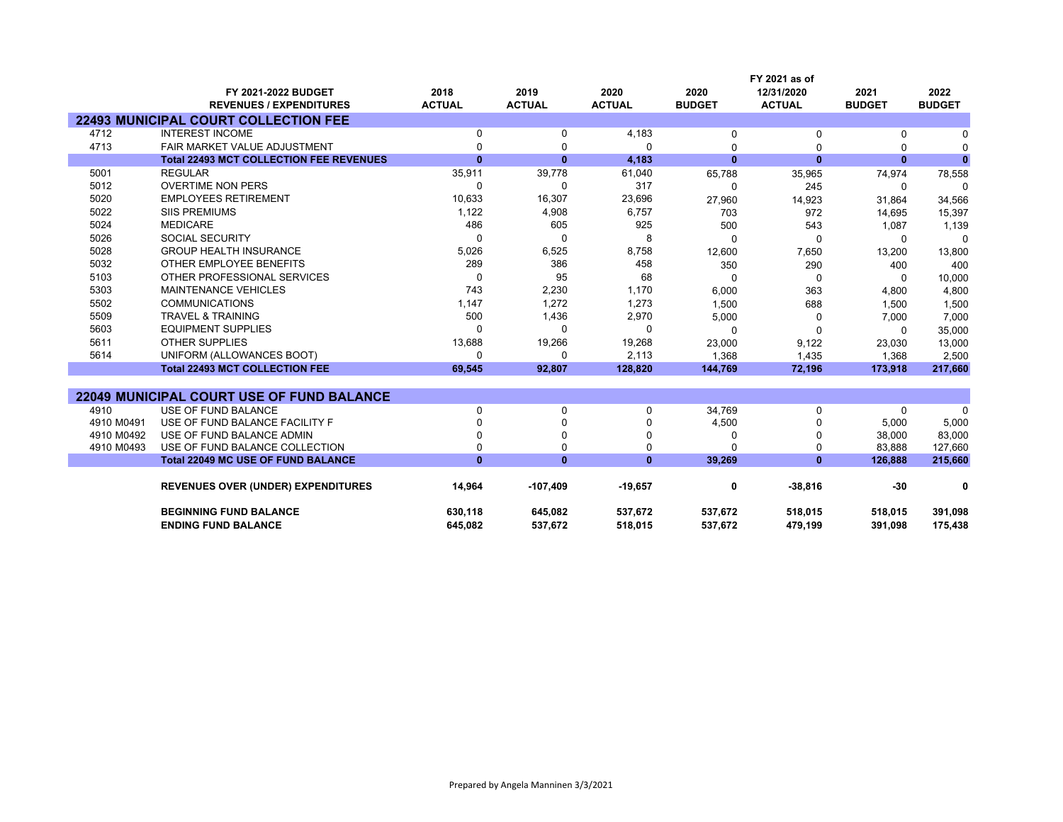|                          |                                                             |                         |                         |                       |                       | FY 2021 as of               |                       |                       |
|--------------------------|-------------------------------------------------------------|-------------------------|-------------------------|-----------------------|-----------------------|-----------------------------|-----------------------|-----------------------|
|                          | FY 2021-2022 BUDGET<br><b>REVENUES / EXPENDITURES</b>       | 2018<br><b>ACTUAL</b>   | 2019<br><b>ACTUAL</b>   | 2020<br><b>ACTUAL</b> | 2020<br><b>BUDGET</b> | 12/31/2020<br><b>ACTUAL</b> | 2021<br><b>BUDGET</b> | 2022<br><b>BUDGET</b> |
|                          | <b>22493 MUNICIPAL COURT COLLECTION FEE</b>                 |                         |                         |                       |                       |                             |                       |                       |
| 4712                     | <b>INTEREST INCOME</b>                                      | 0                       | 0                       | 4,183                 | 0                     | 0                           | 0                     | 0                     |
| 4713                     | FAIR MARKET VALUE ADJUSTMENT                                | $\Omega$                | $\Omega$                | $\Omega$              | $\Omega$              | 0                           | $\Omega$              | $\Omega$              |
|                          | <b>Total 22493 MCT COLLECTION FEE REVENUES</b>              | $\bf{0}$                | $\mathbf{0}$            | 4,183                 | $\mathbf{0}$          | $\mathbf{0}$                | $\bf{0}$              | $\mathbf{0}$          |
| 5001                     | <b>REGULAR</b>                                              | 35,911                  | 39,778                  | 61,040                | 65,788                | 35,965                      | 74,974                | 78,558                |
| 5012                     | <b>OVERTIME NON PERS</b>                                    | $\Omega$                | $\Omega$                | 317                   | 0                     | 245                         | 0                     | $\Omega$              |
| 5020                     | <b>EMPLOYEES RETIREMENT</b>                                 | 10,633                  | 16,307                  | 23,696                | 27,960                | 14,923                      | 31,864                | 34,566                |
| 5022                     | <b>SIIS PREMIUMS</b>                                        | 1,122                   | 4,908                   | 6,757                 | 703                   | 972                         | 14,695                | 15,397                |
| 5024                     | <b>MEDICARE</b>                                             | 486                     | 605                     | 925                   | 500                   | 543                         | 1,087                 | 1,139                 |
| 5026                     | <b>SOCIAL SECURITY</b>                                      | $\Omega$                | $\Omega$                | 8                     | $\Omega$              | $\Omega$                    | $\Omega$              | $\Omega$              |
| 5028                     | <b>GROUP HEALTH INSURANCE</b>                               | 5,026                   | 6,525                   | 8,758                 | 12,600                | 7,650                       | 13,200                | 13,800                |
| 5032                     | OTHER EMPLOYEE BENEFITS                                     | 289                     | 386                     | 458                   | 350                   | 290                         | 400                   | 400                   |
| 5103                     | OTHER PROFESSIONAL SERVICES                                 | $\Omega$                | 95                      | 68                    | $\Omega$              | $\Omega$                    | $\Omega$              | 10,000                |
| 5303                     | <b>MAINTENANCE VEHICLES</b>                                 | 743                     | 2,230                   | 1,170                 | 6,000                 | 363                         | 4,800                 | 4,800                 |
| 5502                     | <b>COMMUNICATIONS</b>                                       | 1,147                   | 1,272                   | 1,273                 | 1,500                 | 688                         | 1,500                 | 1,500                 |
| 5509                     | <b>TRAVEL &amp; TRAINING</b>                                | 500                     | 1,436                   | 2,970                 | 5,000                 | 0                           | 7,000                 | 7,000                 |
| 5603                     | <b>EQUIPMENT SUPPLIES</b>                                   | $\Omega$                | 0                       | 0                     | 0                     | $\Omega$                    | 0                     | 35,000                |
| 5611                     | <b>OTHER SUPPLIES</b>                                       | 13,688                  | 19,266                  | 19,268                | 23,000                | 9,122                       | 23,030                | 13,000                |
| 5614                     | UNIFORM (ALLOWANCES BOOT)                                   | $\Omega$                | $\Omega$                | 2,113                 | 1,368                 | 1,435                       | 1,368                 | 2,500                 |
|                          | <b>Total 22493 MCT COLLECTION FEE</b>                       | 69,545                  | 92,807                  | 128,820               | 144,769               | 72,196                      | 173,918               | 217,660               |
|                          |                                                             |                         |                         |                       |                       |                             |                       |                       |
|                          | <b>22049 MUNICIPAL COURT USE OF FUND BALANCE</b>            |                         |                         |                       |                       |                             |                       |                       |
| 4910                     | USE OF FUND BALANCE                                         | $\mathbf 0$<br>$\Omega$ | $\mathbf 0$<br>$\Omega$ | 0                     | 34,769                | 0                           | $\mathbf 0$           | $\Omega$              |
| 4910 M0491<br>4910 M0492 | USE OF FUND BALANCE FACILITY F<br>USE OF FUND BALANCE ADMIN | $\Omega$                | $\Omega$                | 0<br>$\mathbf 0$      | 4,500                 | $\Omega$                    | 5,000                 | 5,000                 |
| 4910 M0493               | USE OF FUND BALANCE COLLECTION                              | $\mathbf 0$             | 0                       | $\mathbf 0$           | 0<br>$\Omega$         | 0<br>$\mathbf 0$            | 38,000<br>83.888      | 83,000<br>127,660     |
|                          | <b>Total 22049 MC USE OF FUND BALANCE</b>                   | $\mathbf{0}$            | $\mathbf{0}$            | $\mathbf{0}$          | 39.269                | $\mathbf{0}$                | 126,888               | 215,660               |
|                          |                                                             |                         |                         |                       |                       |                             |                       |                       |
|                          | <b>REVENUES OVER (UNDER) EXPENDITURES</b>                   | 14,964                  | $-107,409$              | $-19,657$             | 0                     | $-38,816$                   | -30                   | 0                     |
|                          | <b>BEGINNING FUND BALANCE</b>                               | 630,118                 | 645,082                 | 537,672               | 537,672               | 518,015                     | 518,015               | 391,098               |
|                          | <b>ENDING FUND BALANCE</b>                                  | 645.082                 | 537,672                 | 518,015               | 537,672               | 479,199                     | 391.098               | 175,438               |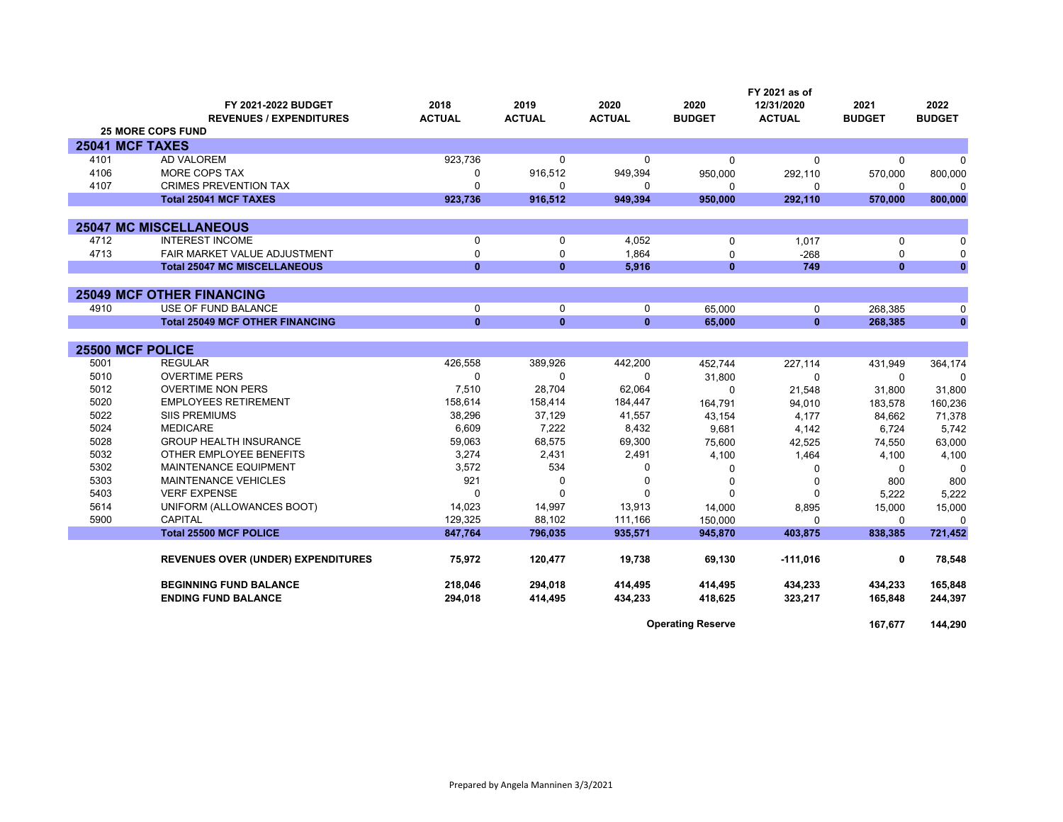|                  |                                           | FY 2021 as of |               |               |               |               |               |               |
|------------------|-------------------------------------------|---------------|---------------|---------------|---------------|---------------|---------------|---------------|
|                  | FY 2021-2022 BUDGET                       | 2018          | 2019          | 2020          | 2020          | 12/31/2020    | 2021          | 2022          |
|                  | <b>REVENUES / EXPENDITURES</b>            | <b>ACTUAL</b> | <b>ACTUAL</b> | <b>ACTUAL</b> | <b>BUDGET</b> | <b>ACTUAL</b> | <b>BUDGET</b> | <b>BUDGET</b> |
|                  | <b>25 MORE COPS FUND</b>                  |               |               |               |               |               |               |               |
| 25041 MCF TAXES  |                                           |               |               |               |               |               |               |               |
| 4101             | <b>AD VALOREM</b>                         | 923,736       | $\mathbf{0}$  | 0             | $\Omega$      | $\Omega$      | $\Omega$      | 0             |
| 4106             | MORE COPS TAX                             | $\Omega$      | 916,512       | 949,394       | 950,000       | 292,110       | 570,000       | 800,000       |
| 4107             | <b>CRIMES PREVENTION TAX</b>              | $\Omega$      | $\mathbf{0}$  | 0             | $\Omega$      | $\Omega$      | 0             | ŋ             |
|                  | <b>Total 25041 MCF TAXES</b>              | 923,736       | 916,512       | 949,394       | 950,000       | 292,110       | 570,000       | 800,000       |
|                  |                                           |               |               |               |               |               |               |               |
|                  | <b>25047 MC MISCELLANEOUS</b>             |               |               |               |               |               |               |               |
| 4712             | <b>INTEREST INCOME</b>                    | $\Omega$      | 0             | 4,052         | 0             | 1,017         | $\mathbf 0$   | $\Omega$      |
| 4713             | FAIR MARKET VALUE ADJUSTMENT              | $\Omega$      | $\Omega$      | 1.864         | $\Omega$      | $-268$        | $\Omega$      | 0             |
|                  | <b>Total 25047 MC MISCELLANEOUS</b>       | $\mathbf{0}$  | $\mathbf{0}$  | 5.916         | $\mathbf{0}$  | 749           | $\mathbf{0}$  | $\mathbf{0}$  |
|                  |                                           |               |               |               |               |               |               |               |
|                  | <b>25049 MCF OTHER FINANCING</b>          |               |               |               |               |               |               |               |
| 4910             | USE OF FUND BALANCE                       | $\mathbf 0$   | $\mathbf 0$   | 0             | 65.000        | 0             | 268.385       | 0             |
|                  | <b>Total 25049 MCF OTHER FINANCING</b>    | $\mathbf{0}$  | $\mathbf{0}$  | $\mathbf{0}$  | 65,000        | $\mathbf{0}$  | 268,385       | $\bf{0}$      |
|                  |                                           |               |               |               |               |               |               |               |
| 25500 MCF POLICE |                                           |               |               |               |               |               |               |               |
| 5001             | <b>REGULAR</b>                            | 426,558       | 389,926       | 442,200       | 452.744       | 227,114       | 431,949       | 364,174       |
| 5010             | <b>OVERTIME PERS</b>                      | $\Omega$      | $\Omega$      | $\Omega$      | 31,800        | $\Omega$      | $\mathbf{0}$  | $\Omega$      |
| 5012             | <b>OVERTIME NON PERS</b>                  | 7,510         | 28,704        | 62,064        | $\Omega$      | 21,548        | 31,800        | 31,800        |
| 5020             | <b>EMPLOYEES RETIREMENT</b>               | 158,614       | 158,414       | 184,447       | 164,791       | 94,010        | 183,578       | 160,236       |
| 5022             | <b>SIIS PREMIUMS</b>                      | 38,296        | 37,129        | 41,557        | 43,154        | 4,177         | 84,662        | 71,378        |
| 5024             | <b>MEDICARE</b>                           | 6,609         | 7,222         | 8,432         | 9,681         | 4,142         | 6,724         | 5,742         |
| 5028             | <b>GROUP HEALTH INSURANCE</b>             | 59,063        | 68,575        | 69,300        | 75,600        | 42,525        | 74,550        | 63,000        |
| 5032             | OTHER EMPLOYEE BENEFITS                   | 3,274         | 2,431         | 2,491         | 4,100         | 1,464         | 4,100         | 4,100         |
| 5302             | MAINTENANCE EQUIPMENT                     | 3,572         | 534           | 0             | 0             | 0             | 0             | $\Omega$      |
| 5303             | <b>MAINTENANCE VEHICLES</b>               | 921           | $\Omega$      | 0             | 0             | $\Omega$      | 800           | 800           |
| 5403             | <b>VERF EXPENSE</b>                       |               | $\Omega$      | 0             | $\Omega$      | $\Omega$      | 5,222         | 5,222         |
| 5614             | UNIFORM (ALLOWANCES BOOT)                 | 14,023        | 14,997        | 13,913        | 14,000        | 8,895         | 15,000        | 15,000        |
| 5900             | <b>CAPITAL</b>                            | 129,325       | 88,102        | 111,166       | 150.000       | 0             | $\Omega$      | $\Omega$      |
|                  | <b>Total 25500 MCF POLICE</b>             | 847,764       | 796,035       | 935,571       | 945,870       | 403,875       | 838,385       | 721,452       |
|                  |                                           |               |               | 19.738        | 69.130        |               | 0             |               |
|                  | <b>REVENUES OVER (UNDER) EXPENDITURES</b> | 75,972        | 120,477       |               |               | $-111,016$    |               | 78,548        |
|                  | <b>BEGINNING FUND BALANCE</b>             | 218,046       | 294,018       | 414,495       | 414,495       | 434,233       | 434,233       | 165,848       |
|                  | <b>ENDING FUND BALANCE</b>                | 294,018       | 414,495       | 434,233       | 418,625       | 323,217       | 165,848       | 244,397       |
|                  |                                           |               |               |               |               |               |               |               |

**Operating Reserve 167,677 144,290**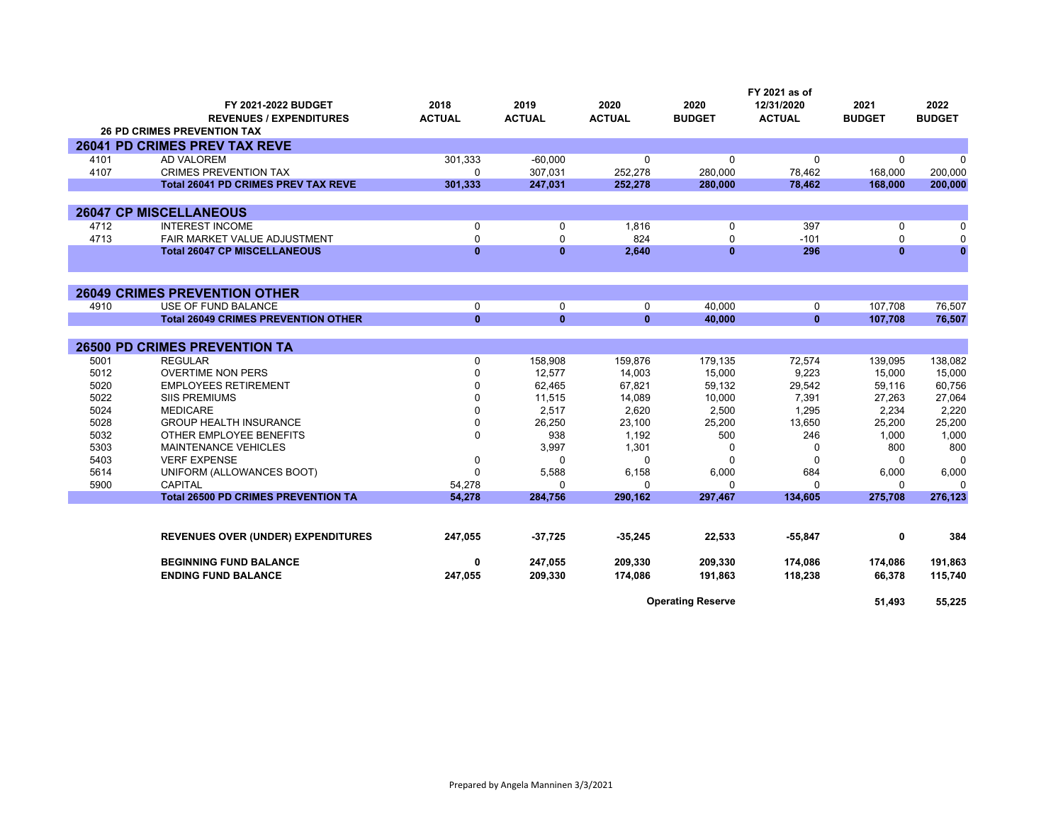|      |                                            |               |               |               |                          | FY 2021 as of |               |               |
|------|--------------------------------------------|---------------|---------------|---------------|--------------------------|---------------|---------------|---------------|
|      | FY 2021-2022 BUDGET                        | 2018          | 2019          | 2020          | 2020                     | 12/31/2020    | 2021          | 2022          |
|      | <b>REVENUES / EXPENDITURES</b>             | <b>ACTUAL</b> | <b>ACTUAL</b> | <b>ACTUAL</b> | <b>BUDGET</b>            | <b>ACTUAL</b> | <b>BUDGET</b> | <b>BUDGET</b> |
|      | <b>26 PD CRIMES PREVENTION TAX</b>         |               |               |               |                          |               |               |               |
|      | 26041 PD CRIMES PREV TAX REVE              |               |               |               |                          |               |               |               |
| 4101 | <b>AD VALOREM</b>                          | 301,333       | $-60.000$     | $\Omega$      | 0                        | 0             | $\Omega$      | $\Omega$      |
| 4107 | <b>CRIMES PREVENTION TAX</b>               | $\Omega$      | 307,031       | 252,278       | 280.000                  | 78,462        | 168,000       | 200,000       |
|      | <b>Total 26041 PD CRIMES PREV TAX REVE</b> | 301.333       | 247,031       | 252,278       | 280,000                  | 78.462        | 168,000       | 200,000       |
|      |                                            |               |               |               |                          |               |               |               |
|      | <b>26047 CP MISCELLANEOUS</b>              |               |               |               |                          |               |               |               |
| 4712 | <b>INTEREST INCOME</b>                     | 0             | 0             | 1,816         | 0                        | 397           | 0             | $\Omega$      |
| 4713 | FAIR MARKET VALUE ADJUSTMENT               | $\Omega$      | $\Omega$      | 824           | $\Omega$                 | $-101$        | $\Omega$      | $\Omega$      |
|      | <b>Total 26047 CP MISCELLANEOUS</b>        | $\bf{0}$      | $\bf{0}$      | 2,640         | $\bf{0}$                 | 296           | $\mathbf{0}$  | $\mathbf{0}$  |
|      |                                            |               |               |               |                          |               |               |               |
|      | <b>26049 CRIMES PREVENTION OTHER</b>       |               |               |               |                          |               |               |               |
| 4910 | USE OF FUND BALANCE                        | $\mathbf 0$   | $\Omega$      | $\mathbf 0$   | 40,000                   | 0             | 107,708       | 76,507        |
|      | <b>Total 26049 CRIMES PREVENTION OTHER</b> | $\mathbf{0}$  | $\mathbf{0}$  | $\mathbf{0}$  | 40,000                   | $\mathbf{0}$  | 107,708       | 76,507        |
|      | <b>26500 PD CRIMES PREVENTION TA</b>       |               |               |               |                          |               |               |               |
| 5001 | <b>REGULAR</b>                             | $\Omega$      | 158,908       | 159,876       | 179,135                  | 72,574        | 139,095       | 138,082       |
| 5012 | <b>OVERTIME NON PERS</b>                   | 0             | 12,577        | 14,003        | 15,000                   | 9,223         | 15,000        | 15,000        |
| 5020 | <b>EMPLOYEES RETIREMENT</b>                | $\Omega$      | 62,465        | 67,821        | 59,132                   | 29,542        | 59,116        | 60,756        |
| 5022 | <b>SIIS PREMIUMS</b>                       | $\Omega$      | 11,515        | 14,089        | 10,000                   | 7,391         | 27,263        | 27,064        |
| 5024 | <b>MEDICARE</b>                            | $\Omega$      | 2.517         | 2,620         | 2,500                    | 1,295         | 2.234         | 2,220         |
| 5028 | <b>GROUP HEALTH INSURANCE</b>              | $\Omega$      | 26,250        | 23,100        | 25,200                   | 13,650        | 25,200        | 25,200        |
| 5032 | OTHER EMPLOYEE BENEFITS                    | $\mathbf 0$   | 938           | 1,192         | 500                      | 246           | 1,000         | 1,000         |
| 5303 | MAINTENANCE VEHICLES                       |               | 3,997         | 1,301         | 0                        | 0             | 800           | 800           |
| 5403 | <b>VERF EXPENSE</b>                        | 0             | $\Omega$      | $\Omega$      | $\Omega$                 | $\Omega$      | $\Omega$      | $\Omega$      |
| 5614 | UNIFORM (ALLOWANCES BOOT)                  |               | 5,588         | 6,158         | 6,000                    | 684           | 6,000         | 6,000         |
| 5900 | <b>CAPITAL</b>                             | 54,278        | $\Omega$      | $\Omega$      | 0                        | 0             | $\Omega$      | $\Omega$      |
|      | <b>Total 26500 PD CRIMES PREVENTION TA</b> | 54,278        | 284,756       | 290,162       | 297,467                  | 134,605       | 275,708       | 276,123       |
|      |                                            |               |               |               |                          |               |               |               |
|      | <b>REVENUES OVER (UNDER) EXPENDITURES</b>  | 247,055       | $-37,725$     | $-35,245$     | 22,533                   | $-55,847$     | 0             | 384           |
|      | <b>BEGINNING FUND BALANCE</b>              | 0             | 247,055       | 209,330       | 209,330                  | 174,086       | 174,086       | 191,863       |
|      | <b>ENDING FUND BALANCE</b>                 | 247,055       | 209,330       | 174,086       | 191,863                  | 118,238       | 66.378        | 115,740       |
|      |                                            |               |               |               |                          |               |               |               |
|      |                                            |               |               |               | <b>Operating Reserve</b> |               | 51.493        | 55,225        |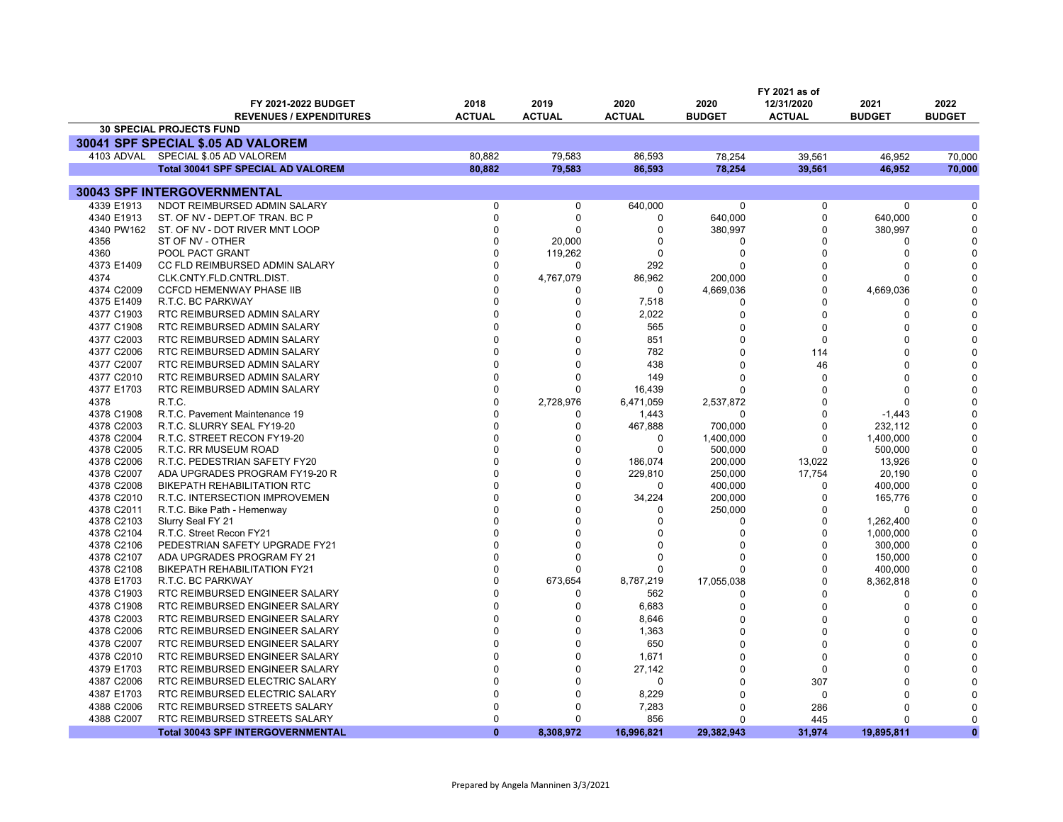|                          | FY 2021 as of                                      |                      |                      |                  |                |               |                         |               |
|--------------------------|----------------------------------------------------|----------------------|----------------------|------------------|----------------|---------------|-------------------------|---------------|
|                          | FY 2021-2022 BUDGET                                | 2018                 | 2019                 | 2020             | 2020           | 12/31/2020    | 2021                    | 2022          |
|                          | <b>REVENUES / EXPENDITURES</b>                     | <b>ACTUAL</b>        | <b>ACTUAL</b>        | <b>ACTUAL</b>    | <b>BUDGET</b>  | <b>ACTUAL</b> | <b>BUDGET</b>           | <b>BUDGET</b> |
|                          | <b>30 SPECIAL PROJECTS FUND</b>                    |                      |                      |                  |                |               |                         |               |
|                          | 30041 SPF SPECIAL \$.05 AD VALOREM                 |                      |                      |                  |                |               |                         |               |
|                          | 4103 ADVAL SPECIAL \$.05 AD VALOREM                | 80.882               | 79.583               | 86.593           | 78,254         | 39,561        | 46,952                  | 70,000        |
|                          | <b>Total 30041 SPF SPECIAL AD VALOREM</b>          | 80.882               | 79,583               | 86.593           | 78.254         | 39,561        | 46.952                  | 70.000        |
|                          |                                                    |                      |                      |                  |                |               |                         |               |
|                          | 30043 SPF INTERGOVERNMENTAL                        |                      |                      |                  |                |               |                         |               |
| 4339 E1913               | NDOT REIMBURSED ADMIN SALARY                       | $\Omega$             | 0                    | 640,000          | $\mathbf 0$    | 0             | 0                       | 0             |
| 4340 E1913<br>4340 PW162 | ST. OF NV - DEPT.OF TRAN. BC P                     | $\Omega$<br>$\Omega$ | $\Omega$<br>$\Omega$ | 0                | 640,000        | 0<br>0        | 640,000                 | O<br>O        |
| 4356                     | ST. OF NV - DOT RIVER MNT LOOP<br>ST OF NV - OTHER | $\Omega$             |                      | 0<br>0           | 380,997<br>0   | 0             | 380,997<br><sup>0</sup> | C             |
| 4360                     | POOL PACT GRANT                                    | $\Omega$             | 20,000<br>119,262    | 0                | 0              | 0             | $\Omega$                |               |
| 4373 E1409               | CC FLD REIMBURSED ADMIN SALARY                     | $\Omega$             | $\Omega$             | 292              | O              | 0             | <sup>0</sup>            |               |
| 4374                     | CLK.CNTY.FLD.CNTRL.DIST.                           | $\Omega$             | 4,767,079            | 86,962           | 200,000        | 0             | 0                       |               |
| 4374 C2009               | <b>CCFCD HEMENWAY PHASE IIB</b>                    | <sup>0</sup>         | <sup>0</sup>         | 0                | 4,669,036      | $\Omega$      | 4,669,036               |               |
| 4375 E1409               | R.T.C. BC PARKWAY                                  | <sup>0</sup>         | $\mathbf 0$          | 7,518            | 0              | 0             | n                       |               |
| 4377 C1903               | RTC REIMBURSED ADMIN SALARY                        | $\Omega$             | $\Omega$             | 2,022            | $\Omega$       | $\Omega$      | $\Omega$                |               |
| 4377 C1908               | RTC REIMBURSED ADMIN SALARY                        | $\Omega$             | $\Omega$             | 565              | $\Omega$       | 0             | $\Omega$                |               |
| 4377 C2003               | RTC REIMBURSED ADMIN SALARY                        | $\Omega$             | $\Omega$             | 851              | $\Omega$       | 0             | <sup>0</sup>            |               |
| 4377 C2006               | RTC REIMBURSED ADMIN SALARY                        | $\Omega$             | $\Omega$             | 782              | $\Omega$       | 114           | $\Omega$                |               |
| 4377 C2007               | RTC REIMBURSED ADMIN SALARY                        | $\Omega$             | $\Omega$             | 438              | 0              | 46            | $\Omega$                |               |
| 4377 C2010               | RTC REIMBURSED ADMIN SALARY                        | $\Omega$             | $\Omega$             | 149              | U              |               | <sup>0</sup>            |               |
| 4377 E1703               | RTC REIMBURSED ADMIN SALARY                        | $\Omega$             | $\Omega$             | 16,439           |                | 0<br>O        | $\Omega$                |               |
| 4378                     | R.T.C.                                             | $\Omega$             | 2,728,976            | 6,471,059        | $\Omega$       | 0             | <sup>0</sup>            |               |
| 4378 C1908               | R.T.C. Pavement Maintenance 19                     | $\Omega$             | 0                    |                  | 2,537,872<br>0 | 0             | $-1,443$                |               |
| 4378 C2003               | R.T.C. SLURRY SEAL FY19-20                         | $\Omega$             | 0                    | 1,443<br>467,888 | 700,000        | 0             | 232,112                 |               |
| 4378 C2004               | R.T.C. STREET RECON FY19-20                        | $\Omega$             | $\Omega$             | $\Omega$         | 1,400,000      | $\Omega$      | 1,400,000               |               |
| 4378 C2005               | R.T.C. RR MUSEUM ROAD                              | $\Omega$             | $\Omega$             | $\Omega$         | 500,000        | $\Omega$      | 500,000                 |               |
| 4378 C2006               | R.T.C. PEDESTRIAN SAFETY FY20                      | $\Omega$             | $\Omega$             | 186,074          | 200,000        | 13,022        | 13,926                  |               |
| 4378 C2007               | ADA UPGRADES PROGRAM FY19-20 R                     | $\Omega$             | $\mathbf 0$          | 229,810          | 250,000        | 17,754        | 20,190                  | O             |
| 4378 C2008               | <b>BIKEPATH REHABILITATION RTC</b>                 |                      | $\Omega$             | $\Omega$         | 400,000        | $\Omega$      | 400,000                 |               |
| 4378 C2010               | R.T.C. INTERSECTION IMPROVEMEN                     | $\Omega$             | $\Omega$             | 34,224           | 200,000        | 0             | 165,776                 |               |
| 4378 C2011               | R.T.C. Bike Path - Hemenway                        |                      | $\Omega$             | 0                | 250,000        | 0             | $\Omega$                |               |
| 4378 C2103               | Slurry Seal FY 21                                  |                      | <sup>0</sup>         | $\Omega$         | 0              | 0             | 1,262,400               |               |
| 4378 C2104               | R.T.C. Street Recon FY21                           |                      | $\Omega$             | $\Omega$         | 0              | O             | 1,000,000               |               |
| 4378 C2106               | PEDESTRIAN SAFETY UPGRADE FY21                     | $\Omega$             | $\Omega$             | $\Omega$         | 0              | $\Omega$      | 300,000                 |               |
| 4378 C2107               | ADA UPGRADES PROGRAM FY 21                         | $\Omega$             | $\Omega$             | 0                | 0              | 0             | 150,000                 |               |
| 4378 C2108               | <b>BIKEPATH REHABILITATION FY21</b>                | $\Omega$             | n                    | 0                | O              | 0             | 400,000                 | $\Omega$      |
| 4378 E1703               | R.T.C. BC PARKWAY                                  | $\Omega$             | 673,654              | 8,787,219        | 17,055,038     | 0             | 8,362,818               |               |
| 4378 C1903               | RTC REIMBURSED ENGINEER SALARY                     | $\Omega$             | $\Omega$             | 562              | 0              | $\Omega$      | <sup>0</sup>            |               |
| 4378 C1908               | RTC REIMBURSED ENGINEER SALARY                     | $\Omega$             | $\Omega$             | 6,683            | 0              | 0             | $\Omega$                |               |
| 4378 C2003               | RTC REIMBURSED ENGINEER SALARY                     | $\Omega$             | 0                    | 8,646            | $\Omega$       | $\Omega$      | O                       |               |
| 4378 C2006               | RTC REIMBURSED ENGINEER SALARY                     | $\Omega$             | $\Omega$             | 1,363            | $\Omega$       | 0             | O                       |               |
| 4378 C2007               | RTC REIMBURSED ENGINEER SALARY                     | $\Omega$             | $\Omega$             | 650              | U              | 0             | n                       |               |
| 4378 C2010               | RTC REIMBURSED ENGINEER SALARY                     | $\Omega$             | $\Omega$             | 1,671            | O              | 0             | U                       |               |
| 4379 E1703               | RTC REIMBURSED ENGINEER SALARY                     | $\Omega$             | 0                    | 27,142           | $\Omega$       | 0             | n                       |               |
| 4387 C2006               | RTC REIMBURSED ELECTRIC SALARY                     | $\Omega$             | $\Omega$             | 0                | $\Omega$       | 307           | $\Omega$                |               |
| 4387 E1703               | RTC REIMBURSED ELECTRIC SALARY                     | $\Omega$             | $\Omega$             | 8,229            | $\Omega$       | 0             | $\Omega$                |               |
| 4388 C2006               | RTC REIMBURSED STREETS SALARY                      | $\Omega$             | $\Omega$             | 7,283            | U              | 286           | ∩                       |               |
| 4388 C2007               | RTC REIMBURSED STREETS SALARY                      | $\Omega$             | $\Omega$             | 856              | U              | 445           | $\Omega$                | $\Omega$      |
|                          | <b>Total 30043 SPF INTERGOVERNMENTAL</b>           | $\Omega$             | 8,308,972            | 16,996,821       | 29.382.943     | 31,974        | 19.895.811              | $\mathbf{0}$  |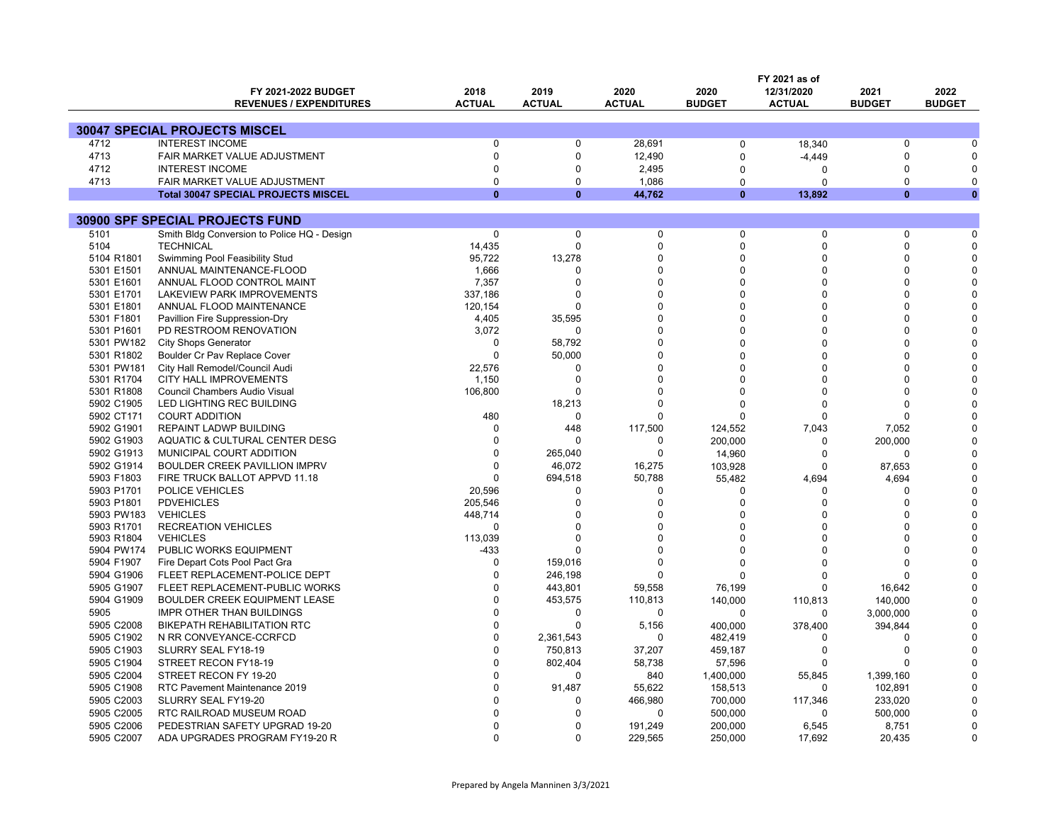|            | FY 2021 as of                               |               |               |                   |               |                     |                         |               |
|------------|---------------------------------------------|---------------|---------------|-------------------|---------------|---------------------|-------------------------|---------------|
|            | FY 2021-2022 BUDGET                         | 2018          | 2019          | 2020              | 2020          | 12/31/2020          | 2021                    | 2022          |
|            | <b>REVENUES / EXPENDITURES</b>              | <b>ACTUAL</b> | <b>ACTUAL</b> | <b>ACTUAL</b>     | <b>BUDGET</b> | <b>ACTUAL</b>       | <b>BUDGET</b>           | <b>BUDGET</b> |
|            |                                             |               |               |                   |               |                     |                         |               |
|            | <b>30047 SPECIAL PROJECTS MISCEL</b>        |               |               |                   |               |                     |                         |               |
| 4712       | <b>INTEREST INCOME</b>                      | $\Omega$      | $\Omega$      | 28.691            | 0             | 18,340              | $\Omega$                |               |
| 4713       | FAIR MARKET VALUE ADJUSTMENT                | $\mathbf 0$   | $\Omega$      | 12,490            | $\Omega$      | $-4,449$            | $\Omega$                |               |
| 4712       | <b>INTEREST INCOME</b>                      | $\Omega$      | $\Omega$      | 2,495             | $\Omega$      | $\Omega$            | <sup>0</sup>            |               |
| 4713       | FAIR MARKET VALUE ADJUSTMENT                | $\Omega$      | $\Omega$      | 1,086             | $\Omega$      | $\Omega$            | $\Omega$                | n             |
|            | <b>Total 30047 SPECIAL PROJECTS MISCEL</b>  | $\Omega$      | $\mathbf{0}$  | 44,762            | $\bf{0}$      | 13,892              | $\Omega$                | $\mathbf{0}$  |
|            |                                             |               |               |                   |               |                     |                         |               |
|            | <b>30900 SPF SPECIAL PROJECTS FUND</b>      |               |               |                   |               |                     |                         |               |
| 5101       | Smith Bldg Conversion to Police HQ - Design | 0             | $\mathbf 0$   | $\pmb{0}$         | 0             | $\Omega$            | $\Omega$                |               |
| 5104       | <b>TECHNICAL</b>                            | 14,435        | $\Omega$      | $\Omega$          | $\Omega$      | $\Omega$            | $\Omega$                |               |
| 5104 R1801 | Swimming Pool Feasibility Stud              | 95,722        | 13,278        | $\Omega$          | $\Omega$      | $\Omega$            | $\Omega$                |               |
| 5301 E1501 | ANNUAL MAINTENANCE-FLOOD                    | 1,666         | $\Omega$      | $\Omega$          | $\Omega$      | $\Omega$            | <sup>0</sup>            |               |
| 5301 E1601 | ANNUAL FLOOD CONTROL MAINT                  | 7,357         | $\Omega$      | $\Omega$          | $\Omega$      | $\Omega$            | <sup>0</sup>            |               |
| 5301 E1701 | LAKEVIEW PARK IMPROVEMENTS                  | 337,186       | $\Omega$      | $\Omega$          | $\Omega$      | $\Omega$            | $\Omega$                |               |
| 5301 E1801 | ANNUAL FLOOD MAINTENANCE                    | 120,154       | $\Omega$      | $\Omega$          | ∩             | $\Omega$            | U                       |               |
| 5301 F1801 | Pavillion Fire Suppression-Dry              | 4,405         | 35,595        | $\Omega$          |               | $\Omega$            |                         |               |
| 5301 P1601 | PD RESTROOM RENOVATION                      | 3,072         | $\Omega$      | $\Omega$          | O             | $\Omega$            | <sup>0</sup>            |               |
| 5301 PW182 | <b>City Shops Generator</b>                 | $\Omega$      | 58,792        | $\Omega$          |               | $\Omega$            |                         |               |
| 5301 R1802 | Boulder Cr Pav Replace Cover                | $\Omega$      | 50,000        | $\Omega$          | O             | $\Omega$            | <sup>0</sup>            |               |
| 5301 PW181 | City Hall Remodel/Council Audi              | 22,576        | $\Omega$      | $\Omega$          | O             | $\Omega$            | <sup>0</sup>            |               |
| 5301 R1704 | CITY HALL IMPROVEMENTS                      | 1,150         | $\Omega$      | $\Omega$          |               | $\Omega$            | U                       |               |
| 5301 R1808 | Council Chambers Audio Visual               | 106,800       | $\Omega$      | $\Omega$          | O             | $\Omega$            | <sup>0</sup>            |               |
| 5902 C1905 | LED LIGHTING REC BUILDING                   |               | 18,213        | $\Omega$          | $\Omega$      | $\Omega$            | $\Omega$                |               |
| 5902 CT171 | <b>COURT ADDITION</b>                       | 480           | $\mathbf 0$   | $\Omega$          | $\Omega$      | $\Omega$            | U                       |               |
| 5902 G1901 | REPAINT LADWP BUILDING                      | $\Omega$      | 448           | 117,500           | 124,552       | 7,043               | 7,052                   |               |
| 5902 G1903 | AQUATIC & CULTURAL CENTER DESG              | $\Omega$      | $\Omega$      | 0                 | 200,000       | $\Omega$            | 200,000                 |               |
| 5902 G1913 | MUNICIPAL COURT ADDITION                    | $\Omega$      | 265,040       | $\Omega$          | 14,960        | $\Omega$            | $\Omega$                |               |
| 5902 G1914 | BOULDER CREEK PAVILLION IMPRV               | $\Omega$      | 46,072        | 16,275            | 103,928       | $\Omega$            | 87,653                  |               |
| 5903 F1803 | FIRE TRUCK BALLOT APPVD 11.18               | $\Omega$      | 694,518       | 50,788            | 55,482        | 4,694               | 4,694                   |               |
| 5903 P1701 | POLICE VEHICLES                             | 20,596        | $\Omega$      | $\Omega$          | $\Omega$      | $\Omega$            | U                       |               |
| 5903 P1801 | <b>PDVEHICLES</b>                           | 205,546       | $\Omega$      | $\Omega$          | $\Omega$      | $\Omega$            | $\Omega$                |               |
| 5903 PW183 | <b>VEHICLES</b>                             | 448,714       | $\Omega$      | $\Omega$          | O             | $\Omega$            |                         |               |
| 5903 R1701 | <b>RECREATION VEHICLES</b>                  | $\Omega$      | $\Omega$      | $\Omega$          |               | $\Omega$            | U                       |               |
| 5903 R1804 | <b>VEHICLES</b>                             | 113,039       | $\Omega$      | $\Omega$          |               | $\Omega$            | $\Omega$                |               |
| 5904 PW174 | PUBLIC WORKS EQUIPMENT                      | $-433$        |               | $\Omega$          | O             | $\Omega$            | <sup>0</sup>            |               |
| 5904 F1907 | Fire Depart Cots Pool Pact Gra              | $\Omega$      | 159,016       | $\Omega$          | $\Omega$      | $\Omega$            | U                       |               |
| 5904 G1906 | FLEET REPLACEMENT-POLICE DEPT               | $\Omega$      | 246,198       | $\Omega$          | $\Omega$      | $\Omega$            | <sup>0</sup>            |               |
| 5905 G1907 | FLEET REPLACEMENT-PUBLIC WORKS              | $\Omega$      | 443,801       | 59,558            | 76,199        | $\Omega$            | 16,642                  |               |
| 5904 G1909 | BOULDER CREEK EQUIPMENT LEASE               | $\Omega$      | 453,575       | 110,813           | 140,000       | 110,813             | 140,000                 |               |
| 5905       | <b>IMPR OTHER THAN BUILDINGS</b>            | $\Omega$      | $\Omega$      | 0                 | $\Omega$      | $\Omega$            |                         |               |
|            |                                             | $\Omega$      | $\Omega$      |                   |               |                     | 3,000,000               |               |
| 5905 C2008 | <b>BIKEPATH REHABILITATION RTC</b>          | $\Omega$      |               | 5,156<br>$\Omega$ | 400,000       | 378,400<br>$\Omega$ | 394,844<br><sup>0</sup> |               |
| 5905 C1902 | N RR CONVEYANCE-CCRFCD                      | $\Omega$      | 2.361.543     |                   | 482,419       |                     |                         |               |
| 5905 C1903 | SLURRY SEAL FY18-19                         |               | 750,813       | 37,207            | 459,187       | $\Omega$            | $\Omega$                |               |
| 5905 C1904 | STREET RECON FY18-19                        | $\Omega$      | 802,404       | 58,738            | 57,596        | $\Omega$            | <sup>0</sup>            |               |
| 5905 C2004 | STREET RECON FY 19-20                       | $\Omega$      | $\Omega$      | 840               | 1,400,000     | 55,845              | 1,399,160               |               |
| 5905 C1908 | RTC Pavement Maintenance 2019               | $\Omega$      | 91,487        | 55,622            | 158,513       | $\Omega$            | 102,891                 |               |
| 5905 C2003 | SLURRY SEAL FY19-20                         | $\Omega$      | $\Omega$      | 466,980           | 700,000       | 117,346             | 233,020                 |               |
| 5905 C2005 | RTC RAILROAD MUSEUM ROAD                    | <sup>0</sup>  | <sup>0</sup>  | $\Omega$          | 500,000       | $\Omega$            | 500,000                 |               |
| 5905 C2006 | PEDESTRIAN SAFETY UPGRAD 19-20              | $\Omega$      | $\Omega$      | 191,249           | 200,000       | 6,545               | 8,751                   |               |
| 5905 C2007 | ADA UPGRADES PROGRAM FY19-20 R              | $\Omega$      | $\Omega$      | 229,565           | 250,000       | 17,692              | 20.435                  | $\Omega$      |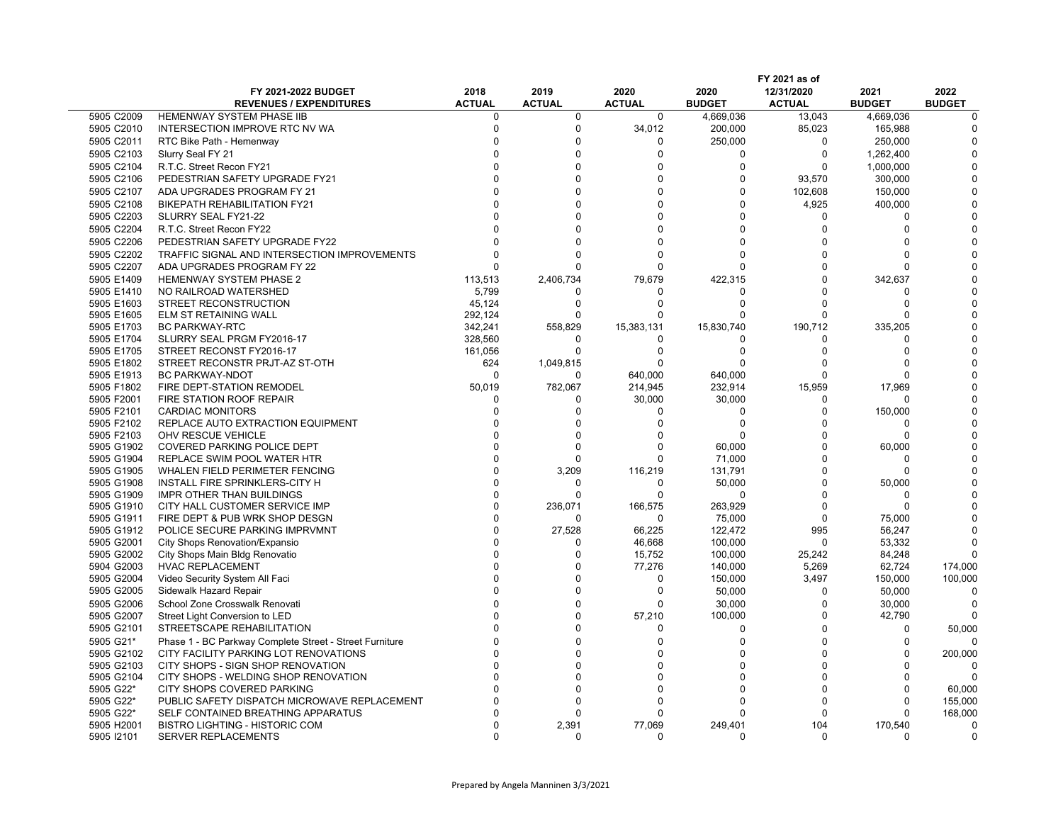| 2018<br>2019<br>2020<br>2020<br>12/31/2020<br>2021<br>2022<br>FY 2021-2022 BUDGET<br><b>REVENUES / EXPENDITURES</b><br><b>ACTUAL</b><br><b>ACTUAL</b><br><b>ACTUAL</b><br><b>BUDGET</b><br><b>BUDGET</b><br><b>BUDGET</b><br><b>ACTUAL</b><br>5905 C2009<br><b>HEMENWAY SYSTEM PHASE IIB</b><br>$\Omega$<br>$\Omega$<br>$\Omega$<br>4.669.036<br>13.043<br>4,669,036<br>$\Omega$<br>5905 C2010<br>$\Omega$<br>$\Omega$<br>34,012<br>85,023<br>165,988<br>INTERSECTION IMPROVE RTC NV WA<br>200,000<br>$\Omega$<br>5905 C2011<br>$\Omega$<br>250,000<br>250,000<br>RTC Bike Path - Hemenway<br>$\Omega$<br>$\Omega$<br>5905 C2103<br>$\Omega$<br>$\Omega$<br>$\Omega$<br>$\Omega$<br>Slurry Seal FY 21<br>$\Omega$<br>1,262,400<br>5905 C2104<br>R.T.C. Street Recon FY21<br>$\Omega$<br>$\Omega$<br>$\Omega$<br>$\Omega$<br>$\Omega$<br>1,000,000<br>$\Omega$<br>5905 C2106<br>PEDESTRIAN SAFETY UPGRADE FY21<br>$\Omega$<br>93,570<br>$\Omega$<br>$\Omega$<br>300,000<br>5905 C2107<br>$\Omega$<br>$\Omega$<br>102,608<br>ADA UPGRADES PROGRAM FY 21<br>$\Omega$<br>$\Omega$<br>150,000<br>5905 C2108<br>$\Omega$<br>$\Omega$<br>4,925<br>400,000<br><b>BIKEPATH REHABILITATION FY21</b><br>$\Omega$<br>$\Omega$<br>5905 C2203<br>$\Omega$<br>SLURRY SEAL FY21-22<br>$\Omega$<br>$\Omega$<br>$\Omega$<br>5905 C2204<br>$\Omega$<br>$\Omega$<br>R.T.C. Street Recon FY22<br>$\Omega$<br>$\Omega$<br>$\Omega$<br>$\Omega$<br>5905 C2206<br>$\Omega$<br>$\Omega$<br>PEDESTRIAN SAFETY UPGRADE FY22<br>$\Omega$<br>$\Omega$<br>$\Omega$<br>$\Omega$<br>5905 C2202<br>$\Omega$<br>$\Omega$<br>$\Omega$<br>TRAFFIC SIGNAL AND INTERSECTION IMPROVEMENTS<br>$\Omega$<br>n<br>5905 C2207<br>$\Omega$<br>$\Omega$<br>ADA UPGRADES PROGRAM FY 22<br>$\Omega$<br>$\Omega$<br>$\Omega$<br>$\Omega$<br>5905 E1409<br><b>HEMENWAY SYSTEM PHASE 2</b><br>113,513<br>2,406,734<br>79,679<br>422,315<br>$\Omega$<br>342,637<br>5905 E1410<br>NO RAILROAD WATERSHED<br>5,799<br>$\Omega$<br>$\Omega$<br>∩<br>5905 E1603<br>STREET RECONSTRUCTION<br>45,124<br>$\Omega$<br>$\Omega$<br>$\Omega$<br>$\Omega$<br><sup>0</sup><br>5905 E1605<br>292,124<br>$\Omega$<br>ELM ST RETAINING WALL<br>$\Omega$<br>$\Omega$<br>$\Omega$<br>$\Omega$<br>5905 E1703<br><b>BC PARKWAY-RTC</b><br>342,241<br>558,829<br>15,383,131<br>15,830,740<br>190,712<br>335,205<br>328,560<br>5905 E1704<br>SLURRY SEAL PRGM FY2016-17<br>$\Omega$<br>$\Omega$<br>$\Omega$<br><sup>0</sup><br>$\Omega$<br>5905 E1705<br>STREET RECONST FY2016-17<br>161,056<br>$\Omega$<br>$\Omega$<br>$\Omega$<br>$\Omega$<br>624<br>1,049,815<br>5905 E1802<br>STREET RECONSTR PRJT-AZ ST-OTH<br>$\Omega$<br>$\Omega$<br>$\Omega$<br>∩<br>5905 E1913<br><b>BC PARKWAY-NDOT</b><br>$\Omega$<br>640,000<br>640,000<br>O<br>O<br>n<br>782,067<br>214,945<br>232,914<br>15,959<br>17.969<br>5905 F1802<br>FIRE DEPT-STATION REMODEL<br>50.019<br>5905 F2001<br>30,000<br>30,000<br>FIRE STATION ROOF REPAIR<br>$\Omega$<br>C<br>O<br>n<br>5905 F2101<br>150,000<br><b>CARDIAC MONITORS</b><br>$\Omega$<br>$\Omega$<br>$\Omega$<br>$\Omega$<br>0<br>5905 F2102<br>REPLACE AUTO EXTRACTION EQUIPMENT<br>$\Omega$<br>$\Omega$<br>$\Omega$<br>$\Omega$<br>$\Omega$<br>$\Omega$<br>5905 F2103<br>OHV RESCUE VEHICLE<br>$\Omega$<br>$\Omega$<br>$\Omega$<br>n<br>5905 G1902<br>COVERED PARKING POLICE DEPT<br>$\Omega$<br>$\Omega$<br>$\Omega$<br>60,000<br>$\Omega$<br>60,000<br>$\Omega$<br>$\Omega$<br>71,000<br>$\Omega$<br>5905 G1904<br>REPLACE SWIM POOL WATER HTR<br>$\Omega$<br>$\Omega$<br>5905 G1905<br>WHALEN FIELD PERIMETER FENCING<br>$\Omega$<br>3,209<br>116,219<br>131,791<br>$\Omega$<br>$\Omega$<br>5905 G1908<br>INSTALL FIRE SPRINKLERS-CITY H<br>$\Omega$<br>0<br>50,000<br>$\Omega$<br>50,000<br>0<br>$\Omega$<br>$\Omega$<br>$\Omega$<br>5905 G1909<br><b>IMPR OTHER THAN BUILDINGS</b><br>$\Omega$<br>$\Omega$<br>$\Omega$<br>5905 G1910<br>CITY HALL CUSTOMER SERVICE IMP<br>$\Omega$<br>236,071<br>166,575<br>263,929<br>$\Omega$<br>$\Omega$<br>5905 G1911<br>FIRE DEPT & PUB WRK SHOP DESGN<br>$\Omega$<br>75,000<br>$\Omega$<br>75,000<br>$\Omega$<br>0<br>$\Omega$<br>5905 G1912<br>POLICE SECURE PARKING IMPRVMNT<br>27,528<br>66,225<br>995<br>56.247<br>122,472<br>5905 G2001<br>City Shops Renovation/Expansio<br>$\Omega$<br>$\Omega$<br>46,668<br>100,000<br>$\Omega$<br>53,332<br>5905 G2002<br>$\Omega$<br>15,752<br>100,000<br>25,242<br>84,248<br>City Shops Main Bldg Renovatio<br>$\Omega$<br>5904 G2003<br><b>HVAC REPLACEMENT</b><br>$\Omega$<br>$\Omega$<br>77,276<br>140,000<br>5,269<br>62,724<br>174,000<br>5905 G2004<br>$\Omega$<br>$\Omega$<br>3.497<br>100,000<br>Video Security System All Faci<br>$\Omega$<br>150,000<br>150.000<br>5905 G2005<br>$\Omega$<br>$\Omega$<br>Sidewalk Hazard Repair<br>$\Omega$<br>50,000<br>50,000<br>$\Omega$<br>n<br>5905 G2006<br>$\Omega$<br>$\Omega$<br>$\Omega$<br>School Zone Crosswalk Renovati<br>30,000<br>30,000<br>$\Omega$<br>5905 G2007<br>$\Omega$<br>100,000<br>$\Omega$<br>42,790<br>Street Light Conversion to LED<br>$\Omega$<br>57,210<br>STREETSCAPE REHABILITATION<br>$\Omega$<br>$\Omega$<br>$\Omega$<br>5905 G2101<br>$\Omega$<br>$\Omega$<br>50,000<br>$\Omega$<br>5905 G21*<br>$\Omega$<br>$\Omega$<br>$\Omega$<br>Phase 1 - BC Parkway Complete Street - Street Furniture<br>$\Omega$<br>$\Omega$<br>$\Omega$<br>5905 G2102<br>$\Omega$<br>$\Omega$<br>$\Omega$<br>CITY FACILITY PARKING LOT RENOVATIONS<br>$\Omega$<br>$\Omega$<br>200,000<br>∩<br>5905 G2103<br>CITY SHOPS - SIGN SHOP RENOVATION<br>$\Omega$<br>$\Omega$<br>$\Omega$<br>$\Omega$<br>$\Omega$<br>5905 G2104<br>$\Omega$<br>$\Omega$<br>CITY SHOPS - WELDING SHOP RENOVATION<br><sup>0</sup><br>5905 G22*<br>CITY SHOPS COVERED PARKING<br>$\Omega$<br>$\Omega$<br>$\Omega$<br>$\Omega$<br>60,000<br>∩<br>∩<br>155,000<br>5905 G22*<br>PUBLIC SAFETY DISPATCH MICROWAVE REPLACEMENT<br>$\Omega$<br>$\Omega$<br>$\Omega$<br>$\Omega$<br>$\Omega$<br>$\Omega$<br>5905 G22*<br>SELF CONTAINED BREATHING APPARATUS<br>$\Omega$<br>$\Omega$<br>$\Omega$<br>$\Omega$<br>168,000<br>5905 H2001<br>$\Omega$<br>2,391<br>77,069<br>249,401<br>104<br>170,540<br><b>BISTRO LIGHTING - HISTORIC COM</b><br>$\Omega$<br>5905 12101<br>SERVER REPLACEMENTS<br>$\Omega$<br>∩<br>∩<br><sup>0</sup><br>$\Omega$ |  | FY 2021 as of |  |  |  |  |  |  |  |
|------------------------------------------------------------------------------------------------------------------------------------------------------------------------------------------------------------------------------------------------------------------------------------------------------------------------------------------------------------------------------------------------------------------------------------------------------------------------------------------------------------------------------------------------------------------------------------------------------------------------------------------------------------------------------------------------------------------------------------------------------------------------------------------------------------------------------------------------------------------------------------------------------------------------------------------------------------------------------------------------------------------------------------------------------------------------------------------------------------------------------------------------------------------------------------------------------------------------------------------------------------------------------------------------------------------------------------------------------------------------------------------------------------------------------------------------------------------------------------------------------------------------------------------------------------------------------------------------------------------------------------------------------------------------------------------------------------------------------------------------------------------------------------------------------------------------------------------------------------------------------------------------------------------------------------------------------------------------------------------------------------------------------------------------------------------------------------------------------------------------------------------------------------------------------------------------------------------------------------------------------------------------------------------------------------------------------------------------------------------------------------------------------------------------------------------------------------------------------------------------------------------------------------------------------------------------------------------------------------------------------------------------------------------------------------------------------------------------------------------------------------------------------------------------------------------------------------------------------------------------------------------------------------------------------------------------------------------------------------------------------------------------------------------------------------------------------------------------------------------------------------------------------------------------------------------------------------------------------------------------------------------------------------------------------------------------------------------------------------------------------------------------------------------------------------------------------------------------------------------------------------------------------------------------------------------------------------------------------------------------------------------------------------------------------------------------------------------------------------------------------------------------------------------------------------------------------------------------------------------------------------------------------------------------------------------------------------------------------------------------------------------------------------------------------------------------------------------------------------------------------------------------------------------------------------------------------------------------------------------------------------------------------------------------------------------------------------------------------------------------------------------------------------------------------------------------------------------------------------------------------------------------------------------------------------------------------------------------------------------------------------------------------------------------------------------------------------------------------------------------------------------------------------------------------------------------------------------------------------------------------------------------------------------------------------------------------------------------------------------------------------------------------------------------------------------------------------------------------------------------------------------------------------------------------------------------------------------------------------------------------------------------------------------------------------------------------------------------------------------------------------------------------------------------------------------------------------------------------------------------------------------------------------------------------------------------------------------------------------------------------------------------------------------------------------------------------------------------------------------------------------------------------------------------------------------------------------------------------------------------------------------------------------------------------------------------------------------------------------------------------------------------------------------------------------------------------------------------------------------------------------------------------------------------------------------------------------------------------------------------------------------------------------------------------------------|--|---------------|--|--|--|--|--|--|--|
|                                                                                                                                                                                                                                                                                                                                                                                                                                                                                                                                                                                                                                                                                                                                                                                                                                                                                                                                                                                                                                                                                                                                                                                                                                                                                                                                                                                                                                                                                                                                                                                                                                                                                                                                                                                                                                                                                                                                                                                                                                                                                                                                                                                                                                                                                                                                                                                                                                                                                                                                                                                                                                                                                                                                                                                                                                                                                                                                                                                                                                                                                                                                                                                                                                                                                                                                                                                                                                                                                                                                                                                                                                                                                                                                                                                                                                                                                                                                                                                                                                                                                                                                                                                                                                                                                                                                                                                                                                                                                                                                                                                                                                                                                                                                                                                                                                                                                                                                                                                                                                                                                                                                                                                                                                                                                                                                                                                                                                                                                                                                                                                                                                                                                                                                                                                                                                                                                                                                                                                                                                                                                                                                                                                                                                                                                                                  |  |               |  |  |  |  |  |  |  |
|                                                                                                                                                                                                                                                                                                                                                                                                                                                                                                                                                                                                                                                                                                                                                                                                                                                                                                                                                                                                                                                                                                                                                                                                                                                                                                                                                                                                                                                                                                                                                                                                                                                                                                                                                                                                                                                                                                                                                                                                                                                                                                                                                                                                                                                                                                                                                                                                                                                                                                                                                                                                                                                                                                                                                                                                                                                                                                                                                                                                                                                                                                                                                                                                                                                                                                                                                                                                                                                                                                                                                                                                                                                                                                                                                                                                                                                                                                                                                                                                                                                                                                                                                                                                                                                                                                                                                                                                                                                                                                                                                                                                                                                                                                                                                                                                                                                                                                                                                                                                                                                                                                                                                                                                                                                                                                                                                                                                                                                                                                                                                                                                                                                                                                                                                                                                                                                                                                                                                                                                                                                                                                                                                                                                                                                                                                                  |  |               |  |  |  |  |  |  |  |
|                                                                                                                                                                                                                                                                                                                                                                                                                                                                                                                                                                                                                                                                                                                                                                                                                                                                                                                                                                                                                                                                                                                                                                                                                                                                                                                                                                                                                                                                                                                                                                                                                                                                                                                                                                                                                                                                                                                                                                                                                                                                                                                                                                                                                                                                                                                                                                                                                                                                                                                                                                                                                                                                                                                                                                                                                                                                                                                                                                                                                                                                                                                                                                                                                                                                                                                                                                                                                                                                                                                                                                                                                                                                                                                                                                                                                                                                                                                                                                                                                                                                                                                                                                                                                                                                                                                                                                                                                                                                                                                                                                                                                                                                                                                                                                                                                                                                                                                                                                                                                                                                                                                                                                                                                                                                                                                                                                                                                                                                                                                                                                                                                                                                                                                                                                                                                                                                                                                                                                                                                                                                                                                                                                                                                                                                                                                  |  |               |  |  |  |  |  |  |  |
|                                                                                                                                                                                                                                                                                                                                                                                                                                                                                                                                                                                                                                                                                                                                                                                                                                                                                                                                                                                                                                                                                                                                                                                                                                                                                                                                                                                                                                                                                                                                                                                                                                                                                                                                                                                                                                                                                                                                                                                                                                                                                                                                                                                                                                                                                                                                                                                                                                                                                                                                                                                                                                                                                                                                                                                                                                                                                                                                                                                                                                                                                                                                                                                                                                                                                                                                                                                                                                                                                                                                                                                                                                                                                                                                                                                                                                                                                                                                                                                                                                                                                                                                                                                                                                                                                                                                                                                                                                                                                                                                                                                                                                                                                                                                                                                                                                                                                                                                                                                                                                                                                                                                                                                                                                                                                                                                                                                                                                                                                                                                                                                                                                                                                                                                                                                                                                                                                                                                                                                                                                                                                                                                                                                                                                                                                                                  |  |               |  |  |  |  |  |  |  |
|                                                                                                                                                                                                                                                                                                                                                                                                                                                                                                                                                                                                                                                                                                                                                                                                                                                                                                                                                                                                                                                                                                                                                                                                                                                                                                                                                                                                                                                                                                                                                                                                                                                                                                                                                                                                                                                                                                                                                                                                                                                                                                                                                                                                                                                                                                                                                                                                                                                                                                                                                                                                                                                                                                                                                                                                                                                                                                                                                                                                                                                                                                                                                                                                                                                                                                                                                                                                                                                                                                                                                                                                                                                                                                                                                                                                                                                                                                                                                                                                                                                                                                                                                                                                                                                                                                                                                                                                                                                                                                                                                                                                                                                                                                                                                                                                                                                                                                                                                                                                                                                                                                                                                                                                                                                                                                                                                                                                                                                                                                                                                                                                                                                                                                                                                                                                                                                                                                                                                                                                                                                                                                                                                                                                                                                                                                                  |  |               |  |  |  |  |  |  |  |
|                                                                                                                                                                                                                                                                                                                                                                                                                                                                                                                                                                                                                                                                                                                                                                                                                                                                                                                                                                                                                                                                                                                                                                                                                                                                                                                                                                                                                                                                                                                                                                                                                                                                                                                                                                                                                                                                                                                                                                                                                                                                                                                                                                                                                                                                                                                                                                                                                                                                                                                                                                                                                                                                                                                                                                                                                                                                                                                                                                                                                                                                                                                                                                                                                                                                                                                                                                                                                                                                                                                                                                                                                                                                                                                                                                                                                                                                                                                                                                                                                                                                                                                                                                                                                                                                                                                                                                                                                                                                                                                                                                                                                                                                                                                                                                                                                                                                                                                                                                                                                                                                                                                                                                                                                                                                                                                                                                                                                                                                                                                                                                                                                                                                                                                                                                                                                                                                                                                                                                                                                                                                                                                                                                                                                                                                                                                  |  |               |  |  |  |  |  |  |  |
|                                                                                                                                                                                                                                                                                                                                                                                                                                                                                                                                                                                                                                                                                                                                                                                                                                                                                                                                                                                                                                                                                                                                                                                                                                                                                                                                                                                                                                                                                                                                                                                                                                                                                                                                                                                                                                                                                                                                                                                                                                                                                                                                                                                                                                                                                                                                                                                                                                                                                                                                                                                                                                                                                                                                                                                                                                                                                                                                                                                                                                                                                                                                                                                                                                                                                                                                                                                                                                                                                                                                                                                                                                                                                                                                                                                                                                                                                                                                                                                                                                                                                                                                                                                                                                                                                                                                                                                                                                                                                                                                                                                                                                                                                                                                                                                                                                                                                                                                                                                                                                                                                                                                                                                                                                                                                                                                                                                                                                                                                                                                                                                                                                                                                                                                                                                                                                                                                                                                                                                                                                                                                                                                                                                                                                                                                                                  |  |               |  |  |  |  |  |  |  |
|                                                                                                                                                                                                                                                                                                                                                                                                                                                                                                                                                                                                                                                                                                                                                                                                                                                                                                                                                                                                                                                                                                                                                                                                                                                                                                                                                                                                                                                                                                                                                                                                                                                                                                                                                                                                                                                                                                                                                                                                                                                                                                                                                                                                                                                                                                                                                                                                                                                                                                                                                                                                                                                                                                                                                                                                                                                                                                                                                                                                                                                                                                                                                                                                                                                                                                                                                                                                                                                                                                                                                                                                                                                                                                                                                                                                                                                                                                                                                                                                                                                                                                                                                                                                                                                                                                                                                                                                                                                                                                                                                                                                                                                                                                                                                                                                                                                                                                                                                                                                                                                                                                                                                                                                                                                                                                                                                                                                                                                                                                                                                                                                                                                                                                                                                                                                                                                                                                                                                                                                                                                                                                                                                                                                                                                                                                                  |  |               |  |  |  |  |  |  |  |
|                                                                                                                                                                                                                                                                                                                                                                                                                                                                                                                                                                                                                                                                                                                                                                                                                                                                                                                                                                                                                                                                                                                                                                                                                                                                                                                                                                                                                                                                                                                                                                                                                                                                                                                                                                                                                                                                                                                                                                                                                                                                                                                                                                                                                                                                                                                                                                                                                                                                                                                                                                                                                                                                                                                                                                                                                                                                                                                                                                                                                                                                                                                                                                                                                                                                                                                                                                                                                                                                                                                                                                                                                                                                                                                                                                                                                                                                                                                                                                                                                                                                                                                                                                                                                                                                                                                                                                                                                                                                                                                                                                                                                                                                                                                                                                                                                                                                                                                                                                                                                                                                                                                                                                                                                                                                                                                                                                                                                                                                                                                                                                                                                                                                                                                                                                                                                                                                                                                                                                                                                                                                                                                                                                                                                                                                                                                  |  |               |  |  |  |  |  |  |  |
|                                                                                                                                                                                                                                                                                                                                                                                                                                                                                                                                                                                                                                                                                                                                                                                                                                                                                                                                                                                                                                                                                                                                                                                                                                                                                                                                                                                                                                                                                                                                                                                                                                                                                                                                                                                                                                                                                                                                                                                                                                                                                                                                                                                                                                                                                                                                                                                                                                                                                                                                                                                                                                                                                                                                                                                                                                                                                                                                                                                                                                                                                                                                                                                                                                                                                                                                                                                                                                                                                                                                                                                                                                                                                                                                                                                                                                                                                                                                                                                                                                                                                                                                                                                                                                                                                                                                                                                                                                                                                                                                                                                                                                                                                                                                                                                                                                                                                                                                                                                                                                                                                                                                                                                                                                                                                                                                                                                                                                                                                                                                                                                                                                                                                                                                                                                                                                                                                                                                                                                                                                                                                                                                                                                                                                                                                                                  |  |               |  |  |  |  |  |  |  |
|                                                                                                                                                                                                                                                                                                                                                                                                                                                                                                                                                                                                                                                                                                                                                                                                                                                                                                                                                                                                                                                                                                                                                                                                                                                                                                                                                                                                                                                                                                                                                                                                                                                                                                                                                                                                                                                                                                                                                                                                                                                                                                                                                                                                                                                                                                                                                                                                                                                                                                                                                                                                                                                                                                                                                                                                                                                                                                                                                                                                                                                                                                                                                                                                                                                                                                                                                                                                                                                                                                                                                                                                                                                                                                                                                                                                                                                                                                                                                                                                                                                                                                                                                                                                                                                                                                                                                                                                                                                                                                                                                                                                                                                                                                                                                                                                                                                                                                                                                                                                                                                                                                                                                                                                                                                                                                                                                                                                                                                                                                                                                                                                                                                                                                                                                                                                                                                                                                                                                                                                                                                                                                                                                                                                                                                                                                                  |  |               |  |  |  |  |  |  |  |
|                                                                                                                                                                                                                                                                                                                                                                                                                                                                                                                                                                                                                                                                                                                                                                                                                                                                                                                                                                                                                                                                                                                                                                                                                                                                                                                                                                                                                                                                                                                                                                                                                                                                                                                                                                                                                                                                                                                                                                                                                                                                                                                                                                                                                                                                                                                                                                                                                                                                                                                                                                                                                                                                                                                                                                                                                                                                                                                                                                                                                                                                                                                                                                                                                                                                                                                                                                                                                                                                                                                                                                                                                                                                                                                                                                                                                                                                                                                                                                                                                                                                                                                                                                                                                                                                                                                                                                                                                                                                                                                                                                                                                                                                                                                                                                                                                                                                                                                                                                                                                                                                                                                                                                                                                                                                                                                                                                                                                                                                                                                                                                                                                                                                                                                                                                                                                                                                                                                                                                                                                                                                                                                                                                                                                                                                                                                  |  |               |  |  |  |  |  |  |  |
|                                                                                                                                                                                                                                                                                                                                                                                                                                                                                                                                                                                                                                                                                                                                                                                                                                                                                                                                                                                                                                                                                                                                                                                                                                                                                                                                                                                                                                                                                                                                                                                                                                                                                                                                                                                                                                                                                                                                                                                                                                                                                                                                                                                                                                                                                                                                                                                                                                                                                                                                                                                                                                                                                                                                                                                                                                                                                                                                                                                                                                                                                                                                                                                                                                                                                                                                                                                                                                                                                                                                                                                                                                                                                                                                                                                                                                                                                                                                                                                                                                                                                                                                                                                                                                                                                                                                                                                                                                                                                                                                                                                                                                                                                                                                                                                                                                                                                                                                                                                                                                                                                                                                                                                                                                                                                                                                                                                                                                                                                                                                                                                                                                                                                                                                                                                                                                                                                                                                                                                                                                                                                                                                                                                                                                                                                                                  |  |               |  |  |  |  |  |  |  |
|                                                                                                                                                                                                                                                                                                                                                                                                                                                                                                                                                                                                                                                                                                                                                                                                                                                                                                                                                                                                                                                                                                                                                                                                                                                                                                                                                                                                                                                                                                                                                                                                                                                                                                                                                                                                                                                                                                                                                                                                                                                                                                                                                                                                                                                                                                                                                                                                                                                                                                                                                                                                                                                                                                                                                                                                                                                                                                                                                                                                                                                                                                                                                                                                                                                                                                                                                                                                                                                                                                                                                                                                                                                                                                                                                                                                                                                                                                                                                                                                                                                                                                                                                                                                                                                                                                                                                                                                                                                                                                                                                                                                                                                                                                                                                                                                                                                                                                                                                                                                                                                                                                                                                                                                                                                                                                                                                                                                                                                                                                                                                                                                                                                                                                                                                                                                                                                                                                                                                                                                                                                                                                                                                                                                                                                                                                                  |  |               |  |  |  |  |  |  |  |
|                                                                                                                                                                                                                                                                                                                                                                                                                                                                                                                                                                                                                                                                                                                                                                                                                                                                                                                                                                                                                                                                                                                                                                                                                                                                                                                                                                                                                                                                                                                                                                                                                                                                                                                                                                                                                                                                                                                                                                                                                                                                                                                                                                                                                                                                                                                                                                                                                                                                                                                                                                                                                                                                                                                                                                                                                                                                                                                                                                                                                                                                                                                                                                                                                                                                                                                                                                                                                                                                                                                                                                                                                                                                                                                                                                                                                                                                                                                                                                                                                                                                                                                                                                                                                                                                                                                                                                                                                                                                                                                                                                                                                                                                                                                                                                                                                                                                                                                                                                                                                                                                                                                                                                                                                                                                                                                                                                                                                                                                                                                                                                                                                                                                                                                                                                                                                                                                                                                                                                                                                                                                                                                                                                                                                                                                                                                  |  |               |  |  |  |  |  |  |  |
|                                                                                                                                                                                                                                                                                                                                                                                                                                                                                                                                                                                                                                                                                                                                                                                                                                                                                                                                                                                                                                                                                                                                                                                                                                                                                                                                                                                                                                                                                                                                                                                                                                                                                                                                                                                                                                                                                                                                                                                                                                                                                                                                                                                                                                                                                                                                                                                                                                                                                                                                                                                                                                                                                                                                                                                                                                                                                                                                                                                                                                                                                                                                                                                                                                                                                                                                                                                                                                                                                                                                                                                                                                                                                                                                                                                                                                                                                                                                                                                                                                                                                                                                                                                                                                                                                                                                                                                                                                                                                                                                                                                                                                                                                                                                                                                                                                                                                                                                                                                                                                                                                                                                                                                                                                                                                                                                                                                                                                                                                                                                                                                                                                                                                                                                                                                                                                                                                                                                                                                                                                                                                                                                                                                                                                                                                                                  |  |               |  |  |  |  |  |  |  |
|                                                                                                                                                                                                                                                                                                                                                                                                                                                                                                                                                                                                                                                                                                                                                                                                                                                                                                                                                                                                                                                                                                                                                                                                                                                                                                                                                                                                                                                                                                                                                                                                                                                                                                                                                                                                                                                                                                                                                                                                                                                                                                                                                                                                                                                                                                                                                                                                                                                                                                                                                                                                                                                                                                                                                                                                                                                                                                                                                                                                                                                                                                                                                                                                                                                                                                                                                                                                                                                                                                                                                                                                                                                                                                                                                                                                                                                                                                                                                                                                                                                                                                                                                                                                                                                                                                                                                                                                                                                                                                                                                                                                                                                                                                                                                                                                                                                                                                                                                                                                                                                                                                                                                                                                                                                                                                                                                                                                                                                                                                                                                                                                                                                                                                                                                                                                                                                                                                                                                                                                                                                                                                                                                                                                                                                                                                                  |  |               |  |  |  |  |  |  |  |
|                                                                                                                                                                                                                                                                                                                                                                                                                                                                                                                                                                                                                                                                                                                                                                                                                                                                                                                                                                                                                                                                                                                                                                                                                                                                                                                                                                                                                                                                                                                                                                                                                                                                                                                                                                                                                                                                                                                                                                                                                                                                                                                                                                                                                                                                                                                                                                                                                                                                                                                                                                                                                                                                                                                                                                                                                                                                                                                                                                                                                                                                                                                                                                                                                                                                                                                                                                                                                                                                                                                                                                                                                                                                                                                                                                                                                                                                                                                                                                                                                                                                                                                                                                                                                                                                                                                                                                                                                                                                                                                                                                                                                                                                                                                                                                                                                                                                                                                                                                                                                                                                                                                                                                                                                                                                                                                                                                                                                                                                                                                                                                                                                                                                                                                                                                                                                                                                                                                                                                                                                                                                                                                                                                                                                                                                                                                  |  |               |  |  |  |  |  |  |  |
|                                                                                                                                                                                                                                                                                                                                                                                                                                                                                                                                                                                                                                                                                                                                                                                                                                                                                                                                                                                                                                                                                                                                                                                                                                                                                                                                                                                                                                                                                                                                                                                                                                                                                                                                                                                                                                                                                                                                                                                                                                                                                                                                                                                                                                                                                                                                                                                                                                                                                                                                                                                                                                                                                                                                                                                                                                                                                                                                                                                                                                                                                                                                                                                                                                                                                                                                                                                                                                                                                                                                                                                                                                                                                                                                                                                                                                                                                                                                                                                                                                                                                                                                                                                                                                                                                                                                                                                                                                                                                                                                                                                                                                                                                                                                                                                                                                                                                                                                                                                                                                                                                                                                                                                                                                                                                                                                                                                                                                                                                                                                                                                                                                                                                                                                                                                                                                                                                                                                                                                                                                                                                                                                                                                                                                                                                                                  |  |               |  |  |  |  |  |  |  |
|                                                                                                                                                                                                                                                                                                                                                                                                                                                                                                                                                                                                                                                                                                                                                                                                                                                                                                                                                                                                                                                                                                                                                                                                                                                                                                                                                                                                                                                                                                                                                                                                                                                                                                                                                                                                                                                                                                                                                                                                                                                                                                                                                                                                                                                                                                                                                                                                                                                                                                                                                                                                                                                                                                                                                                                                                                                                                                                                                                                                                                                                                                                                                                                                                                                                                                                                                                                                                                                                                                                                                                                                                                                                                                                                                                                                                                                                                                                                                                                                                                                                                                                                                                                                                                                                                                                                                                                                                                                                                                                                                                                                                                                                                                                                                                                                                                                                                                                                                                                                                                                                                                                                                                                                                                                                                                                                                                                                                                                                                                                                                                                                                                                                                                                                                                                                                                                                                                                                                                                                                                                                                                                                                                                                                                                                                                                  |  |               |  |  |  |  |  |  |  |
|                                                                                                                                                                                                                                                                                                                                                                                                                                                                                                                                                                                                                                                                                                                                                                                                                                                                                                                                                                                                                                                                                                                                                                                                                                                                                                                                                                                                                                                                                                                                                                                                                                                                                                                                                                                                                                                                                                                                                                                                                                                                                                                                                                                                                                                                                                                                                                                                                                                                                                                                                                                                                                                                                                                                                                                                                                                                                                                                                                                                                                                                                                                                                                                                                                                                                                                                                                                                                                                                                                                                                                                                                                                                                                                                                                                                                                                                                                                                                                                                                                                                                                                                                                                                                                                                                                                                                                                                                                                                                                                                                                                                                                                                                                                                                                                                                                                                                                                                                                                                                                                                                                                                                                                                                                                                                                                                                                                                                                                                                                                                                                                                                                                                                                                                                                                                                                                                                                                                                                                                                                                                                                                                                                                                                                                                                                                  |  |               |  |  |  |  |  |  |  |
|                                                                                                                                                                                                                                                                                                                                                                                                                                                                                                                                                                                                                                                                                                                                                                                                                                                                                                                                                                                                                                                                                                                                                                                                                                                                                                                                                                                                                                                                                                                                                                                                                                                                                                                                                                                                                                                                                                                                                                                                                                                                                                                                                                                                                                                                                                                                                                                                                                                                                                                                                                                                                                                                                                                                                                                                                                                                                                                                                                                                                                                                                                                                                                                                                                                                                                                                                                                                                                                                                                                                                                                                                                                                                                                                                                                                                                                                                                                                                                                                                                                                                                                                                                                                                                                                                                                                                                                                                                                                                                                                                                                                                                                                                                                                                                                                                                                                                                                                                                                                                                                                                                                                                                                                                                                                                                                                                                                                                                                                                                                                                                                                                                                                                                                                                                                                                                                                                                                                                                                                                                                                                                                                                                                                                                                                                                                  |  |               |  |  |  |  |  |  |  |
|                                                                                                                                                                                                                                                                                                                                                                                                                                                                                                                                                                                                                                                                                                                                                                                                                                                                                                                                                                                                                                                                                                                                                                                                                                                                                                                                                                                                                                                                                                                                                                                                                                                                                                                                                                                                                                                                                                                                                                                                                                                                                                                                                                                                                                                                                                                                                                                                                                                                                                                                                                                                                                                                                                                                                                                                                                                                                                                                                                                                                                                                                                                                                                                                                                                                                                                                                                                                                                                                                                                                                                                                                                                                                                                                                                                                                                                                                                                                                                                                                                                                                                                                                                                                                                                                                                                                                                                                                                                                                                                                                                                                                                                                                                                                                                                                                                                                                                                                                                                                                                                                                                                                                                                                                                                                                                                                                                                                                                                                                                                                                                                                                                                                                                                                                                                                                                                                                                                                                                                                                                                                                                                                                                                                                                                                                                                  |  |               |  |  |  |  |  |  |  |
|                                                                                                                                                                                                                                                                                                                                                                                                                                                                                                                                                                                                                                                                                                                                                                                                                                                                                                                                                                                                                                                                                                                                                                                                                                                                                                                                                                                                                                                                                                                                                                                                                                                                                                                                                                                                                                                                                                                                                                                                                                                                                                                                                                                                                                                                                                                                                                                                                                                                                                                                                                                                                                                                                                                                                                                                                                                                                                                                                                                                                                                                                                                                                                                                                                                                                                                                                                                                                                                                                                                                                                                                                                                                                                                                                                                                                                                                                                                                                                                                                                                                                                                                                                                                                                                                                                                                                                                                                                                                                                                                                                                                                                                                                                                                                                                                                                                                                                                                                                                                                                                                                                                                                                                                                                                                                                                                                                                                                                                                                                                                                                                                                                                                                                                                                                                                                                                                                                                                                                                                                                                                                                                                                                                                                                                                                                                  |  |               |  |  |  |  |  |  |  |
|                                                                                                                                                                                                                                                                                                                                                                                                                                                                                                                                                                                                                                                                                                                                                                                                                                                                                                                                                                                                                                                                                                                                                                                                                                                                                                                                                                                                                                                                                                                                                                                                                                                                                                                                                                                                                                                                                                                                                                                                                                                                                                                                                                                                                                                                                                                                                                                                                                                                                                                                                                                                                                                                                                                                                                                                                                                                                                                                                                                                                                                                                                                                                                                                                                                                                                                                                                                                                                                                                                                                                                                                                                                                                                                                                                                                                                                                                                                                                                                                                                                                                                                                                                                                                                                                                                                                                                                                                                                                                                                                                                                                                                                                                                                                                                                                                                                                                                                                                                                                                                                                                                                                                                                                                                                                                                                                                                                                                                                                                                                                                                                                                                                                                                                                                                                                                                                                                                                                                                                                                                                                                                                                                                                                                                                                                                                  |  |               |  |  |  |  |  |  |  |
|                                                                                                                                                                                                                                                                                                                                                                                                                                                                                                                                                                                                                                                                                                                                                                                                                                                                                                                                                                                                                                                                                                                                                                                                                                                                                                                                                                                                                                                                                                                                                                                                                                                                                                                                                                                                                                                                                                                                                                                                                                                                                                                                                                                                                                                                                                                                                                                                                                                                                                                                                                                                                                                                                                                                                                                                                                                                                                                                                                                                                                                                                                                                                                                                                                                                                                                                                                                                                                                                                                                                                                                                                                                                                                                                                                                                                                                                                                                                                                                                                                                                                                                                                                                                                                                                                                                                                                                                                                                                                                                                                                                                                                                                                                                                                                                                                                                                                                                                                                                                                                                                                                                                                                                                                                                                                                                                                                                                                                                                                                                                                                                                                                                                                                                                                                                                                                                                                                                                                                                                                                                                                                                                                                                                                                                                                                                  |  |               |  |  |  |  |  |  |  |
|                                                                                                                                                                                                                                                                                                                                                                                                                                                                                                                                                                                                                                                                                                                                                                                                                                                                                                                                                                                                                                                                                                                                                                                                                                                                                                                                                                                                                                                                                                                                                                                                                                                                                                                                                                                                                                                                                                                                                                                                                                                                                                                                                                                                                                                                                                                                                                                                                                                                                                                                                                                                                                                                                                                                                                                                                                                                                                                                                                                                                                                                                                                                                                                                                                                                                                                                                                                                                                                                                                                                                                                                                                                                                                                                                                                                                                                                                                                                                                                                                                                                                                                                                                                                                                                                                                                                                                                                                                                                                                                                                                                                                                                                                                                                                                                                                                                                                                                                                                                                                                                                                                                                                                                                                                                                                                                                                                                                                                                                                                                                                                                                                                                                                                                                                                                                                                                                                                                                                                                                                                                                                                                                                                                                                                                                                                                  |  |               |  |  |  |  |  |  |  |
|                                                                                                                                                                                                                                                                                                                                                                                                                                                                                                                                                                                                                                                                                                                                                                                                                                                                                                                                                                                                                                                                                                                                                                                                                                                                                                                                                                                                                                                                                                                                                                                                                                                                                                                                                                                                                                                                                                                                                                                                                                                                                                                                                                                                                                                                                                                                                                                                                                                                                                                                                                                                                                                                                                                                                                                                                                                                                                                                                                                                                                                                                                                                                                                                                                                                                                                                                                                                                                                                                                                                                                                                                                                                                                                                                                                                                                                                                                                                                                                                                                                                                                                                                                                                                                                                                                                                                                                                                                                                                                                                                                                                                                                                                                                                                                                                                                                                                                                                                                                                                                                                                                                                                                                                                                                                                                                                                                                                                                                                                                                                                                                                                                                                                                                                                                                                                                                                                                                                                                                                                                                                                                                                                                                                                                                                                                                  |  |               |  |  |  |  |  |  |  |
|                                                                                                                                                                                                                                                                                                                                                                                                                                                                                                                                                                                                                                                                                                                                                                                                                                                                                                                                                                                                                                                                                                                                                                                                                                                                                                                                                                                                                                                                                                                                                                                                                                                                                                                                                                                                                                                                                                                                                                                                                                                                                                                                                                                                                                                                                                                                                                                                                                                                                                                                                                                                                                                                                                                                                                                                                                                                                                                                                                                                                                                                                                                                                                                                                                                                                                                                                                                                                                                                                                                                                                                                                                                                                                                                                                                                                                                                                                                                                                                                                                                                                                                                                                                                                                                                                                                                                                                                                                                                                                                                                                                                                                                                                                                                                                                                                                                                                                                                                                                                                                                                                                                                                                                                                                                                                                                                                                                                                                                                                                                                                                                                                                                                                                                                                                                                                                                                                                                                                                                                                                                                                                                                                                                                                                                                                                                  |  |               |  |  |  |  |  |  |  |
|                                                                                                                                                                                                                                                                                                                                                                                                                                                                                                                                                                                                                                                                                                                                                                                                                                                                                                                                                                                                                                                                                                                                                                                                                                                                                                                                                                                                                                                                                                                                                                                                                                                                                                                                                                                                                                                                                                                                                                                                                                                                                                                                                                                                                                                                                                                                                                                                                                                                                                                                                                                                                                                                                                                                                                                                                                                                                                                                                                                                                                                                                                                                                                                                                                                                                                                                                                                                                                                                                                                                                                                                                                                                                                                                                                                                                                                                                                                                                                                                                                                                                                                                                                                                                                                                                                                                                                                                                                                                                                                                                                                                                                                                                                                                                                                                                                                                                                                                                                                                                                                                                                                                                                                                                                                                                                                                                                                                                                                                                                                                                                                                                                                                                                                                                                                                                                                                                                                                                                                                                                                                                                                                                                                                                                                                                                                  |  |               |  |  |  |  |  |  |  |
|                                                                                                                                                                                                                                                                                                                                                                                                                                                                                                                                                                                                                                                                                                                                                                                                                                                                                                                                                                                                                                                                                                                                                                                                                                                                                                                                                                                                                                                                                                                                                                                                                                                                                                                                                                                                                                                                                                                                                                                                                                                                                                                                                                                                                                                                                                                                                                                                                                                                                                                                                                                                                                                                                                                                                                                                                                                                                                                                                                                                                                                                                                                                                                                                                                                                                                                                                                                                                                                                                                                                                                                                                                                                                                                                                                                                                                                                                                                                                                                                                                                                                                                                                                                                                                                                                                                                                                                                                                                                                                                                                                                                                                                                                                                                                                                                                                                                                                                                                                                                                                                                                                                                                                                                                                                                                                                                                                                                                                                                                                                                                                                                                                                                                                                                                                                                                                                                                                                                                                                                                                                                                                                                                                                                                                                                                                                  |  |               |  |  |  |  |  |  |  |
|                                                                                                                                                                                                                                                                                                                                                                                                                                                                                                                                                                                                                                                                                                                                                                                                                                                                                                                                                                                                                                                                                                                                                                                                                                                                                                                                                                                                                                                                                                                                                                                                                                                                                                                                                                                                                                                                                                                                                                                                                                                                                                                                                                                                                                                                                                                                                                                                                                                                                                                                                                                                                                                                                                                                                                                                                                                                                                                                                                                                                                                                                                                                                                                                                                                                                                                                                                                                                                                                                                                                                                                                                                                                                                                                                                                                                                                                                                                                                                                                                                                                                                                                                                                                                                                                                                                                                                                                                                                                                                                                                                                                                                                                                                                                                                                                                                                                                                                                                                                                                                                                                                                                                                                                                                                                                                                                                                                                                                                                                                                                                                                                                                                                                                                                                                                                                                                                                                                                                                                                                                                                                                                                                                                                                                                                                                                  |  |               |  |  |  |  |  |  |  |
|                                                                                                                                                                                                                                                                                                                                                                                                                                                                                                                                                                                                                                                                                                                                                                                                                                                                                                                                                                                                                                                                                                                                                                                                                                                                                                                                                                                                                                                                                                                                                                                                                                                                                                                                                                                                                                                                                                                                                                                                                                                                                                                                                                                                                                                                                                                                                                                                                                                                                                                                                                                                                                                                                                                                                                                                                                                                                                                                                                                                                                                                                                                                                                                                                                                                                                                                                                                                                                                                                                                                                                                                                                                                                                                                                                                                                                                                                                                                                                                                                                                                                                                                                                                                                                                                                                                                                                                                                                                                                                                                                                                                                                                                                                                                                                                                                                                                                                                                                                                                                                                                                                                                                                                                                                                                                                                                                                                                                                                                                                                                                                                                                                                                                                                                                                                                                                                                                                                                                                                                                                                                                                                                                                                                                                                                                                                  |  |               |  |  |  |  |  |  |  |
|                                                                                                                                                                                                                                                                                                                                                                                                                                                                                                                                                                                                                                                                                                                                                                                                                                                                                                                                                                                                                                                                                                                                                                                                                                                                                                                                                                                                                                                                                                                                                                                                                                                                                                                                                                                                                                                                                                                                                                                                                                                                                                                                                                                                                                                                                                                                                                                                                                                                                                                                                                                                                                                                                                                                                                                                                                                                                                                                                                                                                                                                                                                                                                                                                                                                                                                                                                                                                                                                                                                                                                                                                                                                                                                                                                                                                                                                                                                                                                                                                                                                                                                                                                                                                                                                                                                                                                                                                                                                                                                                                                                                                                                                                                                                                                                                                                                                                                                                                                                                                                                                                                                                                                                                                                                                                                                                                                                                                                                                                                                                                                                                                                                                                                                                                                                                                                                                                                                                                                                                                                                                                                                                                                                                                                                                                                                  |  |               |  |  |  |  |  |  |  |
|                                                                                                                                                                                                                                                                                                                                                                                                                                                                                                                                                                                                                                                                                                                                                                                                                                                                                                                                                                                                                                                                                                                                                                                                                                                                                                                                                                                                                                                                                                                                                                                                                                                                                                                                                                                                                                                                                                                                                                                                                                                                                                                                                                                                                                                                                                                                                                                                                                                                                                                                                                                                                                                                                                                                                                                                                                                                                                                                                                                                                                                                                                                                                                                                                                                                                                                                                                                                                                                                                                                                                                                                                                                                                                                                                                                                                                                                                                                                                                                                                                                                                                                                                                                                                                                                                                                                                                                                                                                                                                                                                                                                                                                                                                                                                                                                                                                                                                                                                                                                                                                                                                                                                                                                                                                                                                                                                                                                                                                                                                                                                                                                                                                                                                                                                                                                                                                                                                                                                                                                                                                                                                                                                                                                                                                                                                                  |  |               |  |  |  |  |  |  |  |
|                                                                                                                                                                                                                                                                                                                                                                                                                                                                                                                                                                                                                                                                                                                                                                                                                                                                                                                                                                                                                                                                                                                                                                                                                                                                                                                                                                                                                                                                                                                                                                                                                                                                                                                                                                                                                                                                                                                                                                                                                                                                                                                                                                                                                                                                                                                                                                                                                                                                                                                                                                                                                                                                                                                                                                                                                                                                                                                                                                                                                                                                                                                                                                                                                                                                                                                                                                                                                                                                                                                                                                                                                                                                                                                                                                                                                                                                                                                                                                                                                                                                                                                                                                                                                                                                                                                                                                                                                                                                                                                                                                                                                                                                                                                                                                                                                                                                                                                                                                                                                                                                                                                                                                                                                                                                                                                                                                                                                                                                                                                                                                                                                                                                                                                                                                                                                                                                                                                                                                                                                                                                                                                                                                                                                                                                                                                  |  |               |  |  |  |  |  |  |  |
|                                                                                                                                                                                                                                                                                                                                                                                                                                                                                                                                                                                                                                                                                                                                                                                                                                                                                                                                                                                                                                                                                                                                                                                                                                                                                                                                                                                                                                                                                                                                                                                                                                                                                                                                                                                                                                                                                                                                                                                                                                                                                                                                                                                                                                                                                                                                                                                                                                                                                                                                                                                                                                                                                                                                                                                                                                                                                                                                                                                                                                                                                                                                                                                                                                                                                                                                                                                                                                                                                                                                                                                                                                                                                                                                                                                                                                                                                                                                                                                                                                                                                                                                                                                                                                                                                                                                                                                                                                                                                                                                                                                                                                                                                                                                                                                                                                                                                                                                                                                                                                                                                                                                                                                                                                                                                                                                                                                                                                                                                                                                                                                                                                                                                                                                                                                                                                                                                                                                                                                                                                                                                                                                                                                                                                                                                                                  |  |               |  |  |  |  |  |  |  |
|                                                                                                                                                                                                                                                                                                                                                                                                                                                                                                                                                                                                                                                                                                                                                                                                                                                                                                                                                                                                                                                                                                                                                                                                                                                                                                                                                                                                                                                                                                                                                                                                                                                                                                                                                                                                                                                                                                                                                                                                                                                                                                                                                                                                                                                                                                                                                                                                                                                                                                                                                                                                                                                                                                                                                                                                                                                                                                                                                                                                                                                                                                                                                                                                                                                                                                                                                                                                                                                                                                                                                                                                                                                                                                                                                                                                                                                                                                                                                                                                                                                                                                                                                                                                                                                                                                                                                                                                                                                                                                                                                                                                                                                                                                                                                                                                                                                                                                                                                                                                                                                                                                                                                                                                                                                                                                                                                                                                                                                                                                                                                                                                                                                                                                                                                                                                                                                                                                                                                                                                                                                                                                                                                                                                                                                                                                                  |  |               |  |  |  |  |  |  |  |
|                                                                                                                                                                                                                                                                                                                                                                                                                                                                                                                                                                                                                                                                                                                                                                                                                                                                                                                                                                                                                                                                                                                                                                                                                                                                                                                                                                                                                                                                                                                                                                                                                                                                                                                                                                                                                                                                                                                                                                                                                                                                                                                                                                                                                                                                                                                                                                                                                                                                                                                                                                                                                                                                                                                                                                                                                                                                                                                                                                                                                                                                                                                                                                                                                                                                                                                                                                                                                                                                                                                                                                                                                                                                                                                                                                                                                                                                                                                                                                                                                                                                                                                                                                                                                                                                                                                                                                                                                                                                                                                                                                                                                                                                                                                                                                                                                                                                                                                                                                                                                                                                                                                                                                                                                                                                                                                                                                                                                                                                                                                                                                                                                                                                                                                                                                                                                                                                                                                                                                                                                                                                                                                                                                                                                                                                                                                  |  |               |  |  |  |  |  |  |  |
|                                                                                                                                                                                                                                                                                                                                                                                                                                                                                                                                                                                                                                                                                                                                                                                                                                                                                                                                                                                                                                                                                                                                                                                                                                                                                                                                                                                                                                                                                                                                                                                                                                                                                                                                                                                                                                                                                                                                                                                                                                                                                                                                                                                                                                                                                                                                                                                                                                                                                                                                                                                                                                                                                                                                                                                                                                                                                                                                                                                                                                                                                                                                                                                                                                                                                                                                                                                                                                                                                                                                                                                                                                                                                                                                                                                                                                                                                                                                                                                                                                                                                                                                                                                                                                                                                                                                                                                                                                                                                                                                                                                                                                                                                                                                                                                                                                                                                                                                                                                                                                                                                                                                                                                                                                                                                                                                                                                                                                                                                                                                                                                                                                                                                                                                                                                                                                                                                                                                                                                                                                                                                                                                                                                                                                                                                                                  |  |               |  |  |  |  |  |  |  |
|                                                                                                                                                                                                                                                                                                                                                                                                                                                                                                                                                                                                                                                                                                                                                                                                                                                                                                                                                                                                                                                                                                                                                                                                                                                                                                                                                                                                                                                                                                                                                                                                                                                                                                                                                                                                                                                                                                                                                                                                                                                                                                                                                                                                                                                                                                                                                                                                                                                                                                                                                                                                                                                                                                                                                                                                                                                                                                                                                                                                                                                                                                                                                                                                                                                                                                                                                                                                                                                                                                                                                                                                                                                                                                                                                                                                                                                                                                                                                                                                                                                                                                                                                                                                                                                                                                                                                                                                                                                                                                                                                                                                                                                                                                                                                                                                                                                                                                                                                                                                                                                                                                                                                                                                                                                                                                                                                                                                                                                                                                                                                                                                                                                                                                                                                                                                                                                                                                                                                                                                                                                                                                                                                                                                                                                                                                                  |  |               |  |  |  |  |  |  |  |
|                                                                                                                                                                                                                                                                                                                                                                                                                                                                                                                                                                                                                                                                                                                                                                                                                                                                                                                                                                                                                                                                                                                                                                                                                                                                                                                                                                                                                                                                                                                                                                                                                                                                                                                                                                                                                                                                                                                                                                                                                                                                                                                                                                                                                                                                                                                                                                                                                                                                                                                                                                                                                                                                                                                                                                                                                                                                                                                                                                                                                                                                                                                                                                                                                                                                                                                                                                                                                                                                                                                                                                                                                                                                                                                                                                                                                                                                                                                                                                                                                                                                                                                                                                                                                                                                                                                                                                                                                                                                                                                                                                                                                                                                                                                                                                                                                                                                                                                                                                                                                                                                                                                                                                                                                                                                                                                                                                                                                                                                                                                                                                                                                                                                                                                                                                                                                                                                                                                                                                                                                                                                                                                                                                                                                                                                                                                  |  |               |  |  |  |  |  |  |  |
|                                                                                                                                                                                                                                                                                                                                                                                                                                                                                                                                                                                                                                                                                                                                                                                                                                                                                                                                                                                                                                                                                                                                                                                                                                                                                                                                                                                                                                                                                                                                                                                                                                                                                                                                                                                                                                                                                                                                                                                                                                                                                                                                                                                                                                                                                                                                                                                                                                                                                                                                                                                                                                                                                                                                                                                                                                                                                                                                                                                                                                                                                                                                                                                                                                                                                                                                                                                                                                                                                                                                                                                                                                                                                                                                                                                                                                                                                                                                                                                                                                                                                                                                                                                                                                                                                                                                                                                                                                                                                                                                                                                                                                                                                                                                                                                                                                                                                                                                                                                                                                                                                                                                                                                                                                                                                                                                                                                                                                                                                                                                                                                                                                                                                                                                                                                                                                                                                                                                                                                                                                                                                                                                                                                                                                                                                                                  |  |               |  |  |  |  |  |  |  |
|                                                                                                                                                                                                                                                                                                                                                                                                                                                                                                                                                                                                                                                                                                                                                                                                                                                                                                                                                                                                                                                                                                                                                                                                                                                                                                                                                                                                                                                                                                                                                                                                                                                                                                                                                                                                                                                                                                                                                                                                                                                                                                                                                                                                                                                                                                                                                                                                                                                                                                                                                                                                                                                                                                                                                                                                                                                                                                                                                                                                                                                                                                                                                                                                                                                                                                                                                                                                                                                                                                                                                                                                                                                                                                                                                                                                                                                                                                                                                                                                                                                                                                                                                                                                                                                                                                                                                                                                                                                                                                                                                                                                                                                                                                                                                                                                                                                                                                                                                                                                                                                                                                                                                                                                                                                                                                                                                                                                                                                                                                                                                                                                                                                                                                                                                                                                                                                                                                                                                                                                                                                                                                                                                                                                                                                                                                                  |  |               |  |  |  |  |  |  |  |
|                                                                                                                                                                                                                                                                                                                                                                                                                                                                                                                                                                                                                                                                                                                                                                                                                                                                                                                                                                                                                                                                                                                                                                                                                                                                                                                                                                                                                                                                                                                                                                                                                                                                                                                                                                                                                                                                                                                                                                                                                                                                                                                                                                                                                                                                                                                                                                                                                                                                                                                                                                                                                                                                                                                                                                                                                                                                                                                                                                                                                                                                                                                                                                                                                                                                                                                                                                                                                                                                                                                                                                                                                                                                                                                                                                                                                                                                                                                                                                                                                                                                                                                                                                                                                                                                                                                                                                                                                                                                                                                                                                                                                                                                                                                                                                                                                                                                                                                                                                                                                                                                                                                                                                                                                                                                                                                                                                                                                                                                                                                                                                                                                                                                                                                                                                                                                                                                                                                                                                                                                                                                                                                                                                                                                                                                                                                  |  |               |  |  |  |  |  |  |  |
|                                                                                                                                                                                                                                                                                                                                                                                                                                                                                                                                                                                                                                                                                                                                                                                                                                                                                                                                                                                                                                                                                                                                                                                                                                                                                                                                                                                                                                                                                                                                                                                                                                                                                                                                                                                                                                                                                                                                                                                                                                                                                                                                                                                                                                                                                                                                                                                                                                                                                                                                                                                                                                                                                                                                                                                                                                                                                                                                                                                                                                                                                                                                                                                                                                                                                                                                                                                                                                                                                                                                                                                                                                                                                                                                                                                                                                                                                                                                                                                                                                                                                                                                                                                                                                                                                                                                                                                                                                                                                                                                                                                                                                                                                                                                                                                                                                                                                                                                                                                                                                                                                                                                                                                                                                                                                                                                                                                                                                                                                                                                                                                                                                                                                                                                                                                                                                                                                                                                                                                                                                                                                                                                                                                                                                                                                                                  |  |               |  |  |  |  |  |  |  |
|                                                                                                                                                                                                                                                                                                                                                                                                                                                                                                                                                                                                                                                                                                                                                                                                                                                                                                                                                                                                                                                                                                                                                                                                                                                                                                                                                                                                                                                                                                                                                                                                                                                                                                                                                                                                                                                                                                                                                                                                                                                                                                                                                                                                                                                                                                                                                                                                                                                                                                                                                                                                                                                                                                                                                                                                                                                                                                                                                                                                                                                                                                                                                                                                                                                                                                                                                                                                                                                                                                                                                                                                                                                                                                                                                                                                                                                                                                                                                                                                                                                                                                                                                                                                                                                                                                                                                                                                                                                                                                                                                                                                                                                                                                                                                                                                                                                                                                                                                                                                                                                                                                                                                                                                                                                                                                                                                                                                                                                                                                                                                                                                                                                                                                                                                                                                                                                                                                                                                                                                                                                                                                                                                                                                                                                                                                                  |  |               |  |  |  |  |  |  |  |
|                                                                                                                                                                                                                                                                                                                                                                                                                                                                                                                                                                                                                                                                                                                                                                                                                                                                                                                                                                                                                                                                                                                                                                                                                                                                                                                                                                                                                                                                                                                                                                                                                                                                                                                                                                                                                                                                                                                                                                                                                                                                                                                                                                                                                                                                                                                                                                                                                                                                                                                                                                                                                                                                                                                                                                                                                                                                                                                                                                                                                                                                                                                                                                                                                                                                                                                                                                                                                                                                                                                                                                                                                                                                                                                                                                                                                                                                                                                                                                                                                                                                                                                                                                                                                                                                                                                                                                                                                                                                                                                                                                                                                                                                                                                                                                                                                                                                                                                                                                                                                                                                                                                                                                                                                                                                                                                                                                                                                                                                                                                                                                                                                                                                                                                                                                                                                                                                                                                                                                                                                                                                                                                                                                                                                                                                                                                  |  |               |  |  |  |  |  |  |  |
|                                                                                                                                                                                                                                                                                                                                                                                                                                                                                                                                                                                                                                                                                                                                                                                                                                                                                                                                                                                                                                                                                                                                                                                                                                                                                                                                                                                                                                                                                                                                                                                                                                                                                                                                                                                                                                                                                                                                                                                                                                                                                                                                                                                                                                                                                                                                                                                                                                                                                                                                                                                                                                                                                                                                                                                                                                                                                                                                                                                                                                                                                                                                                                                                                                                                                                                                                                                                                                                                                                                                                                                                                                                                                                                                                                                                                                                                                                                                                                                                                                                                                                                                                                                                                                                                                                                                                                                                                                                                                                                                                                                                                                                                                                                                                                                                                                                                                                                                                                                                                                                                                                                                                                                                                                                                                                                                                                                                                                                                                                                                                                                                                                                                                                                                                                                                                                                                                                                                                                                                                                                                                                                                                                                                                                                                                                                  |  |               |  |  |  |  |  |  |  |
|                                                                                                                                                                                                                                                                                                                                                                                                                                                                                                                                                                                                                                                                                                                                                                                                                                                                                                                                                                                                                                                                                                                                                                                                                                                                                                                                                                                                                                                                                                                                                                                                                                                                                                                                                                                                                                                                                                                                                                                                                                                                                                                                                                                                                                                                                                                                                                                                                                                                                                                                                                                                                                                                                                                                                                                                                                                                                                                                                                                                                                                                                                                                                                                                                                                                                                                                                                                                                                                                                                                                                                                                                                                                                                                                                                                                                                                                                                                                                                                                                                                                                                                                                                                                                                                                                                                                                                                                                                                                                                                                                                                                                                                                                                                                                                                                                                                                                                                                                                                                                                                                                                                                                                                                                                                                                                                                                                                                                                                                                                                                                                                                                                                                                                                                                                                                                                                                                                                                                                                                                                                                                                                                                                                                                                                                                                                  |  |               |  |  |  |  |  |  |  |
|                                                                                                                                                                                                                                                                                                                                                                                                                                                                                                                                                                                                                                                                                                                                                                                                                                                                                                                                                                                                                                                                                                                                                                                                                                                                                                                                                                                                                                                                                                                                                                                                                                                                                                                                                                                                                                                                                                                                                                                                                                                                                                                                                                                                                                                                                                                                                                                                                                                                                                                                                                                                                                                                                                                                                                                                                                                                                                                                                                                                                                                                                                                                                                                                                                                                                                                                                                                                                                                                                                                                                                                                                                                                                                                                                                                                                                                                                                                                                                                                                                                                                                                                                                                                                                                                                                                                                                                                                                                                                                                                                                                                                                                                                                                                                                                                                                                                                                                                                                                                                                                                                                                                                                                                                                                                                                                                                                                                                                                                                                                                                                                                                                                                                                                                                                                                                                                                                                                                                                                                                                                                                                                                                                                                                                                                                                                  |  |               |  |  |  |  |  |  |  |
|                                                                                                                                                                                                                                                                                                                                                                                                                                                                                                                                                                                                                                                                                                                                                                                                                                                                                                                                                                                                                                                                                                                                                                                                                                                                                                                                                                                                                                                                                                                                                                                                                                                                                                                                                                                                                                                                                                                                                                                                                                                                                                                                                                                                                                                                                                                                                                                                                                                                                                                                                                                                                                                                                                                                                                                                                                                                                                                                                                                                                                                                                                                                                                                                                                                                                                                                                                                                                                                                                                                                                                                                                                                                                                                                                                                                                                                                                                                                                                                                                                                                                                                                                                                                                                                                                                                                                                                                                                                                                                                                                                                                                                                                                                                                                                                                                                                                                                                                                                                                                                                                                                                                                                                                                                                                                                                                                                                                                                                                                                                                                                                                                                                                                                                                                                                                                                                                                                                                                                                                                                                                                                                                                                                                                                                                                                                  |  |               |  |  |  |  |  |  |  |
|                                                                                                                                                                                                                                                                                                                                                                                                                                                                                                                                                                                                                                                                                                                                                                                                                                                                                                                                                                                                                                                                                                                                                                                                                                                                                                                                                                                                                                                                                                                                                                                                                                                                                                                                                                                                                                                                                                                                                                                                                                                                                                                                                                                                                                                                                                                                                                                                                                                                                                                                                                                                                                                                                                                                                                                                                                                                                                                                                                                                                                                                                                                                                                                                                                                                                                                                                                                                                                                                                                                                                                                                                                                                                                                                                                                                                                                                                                                                                                                                                                                                                                                                                                                                                                                                                                                                                                                                                                                                                                                                                                                                                                                                                                                                                                                                                                                                                                                                                                                                                                                                                                                                                                                                                                                                                                                                                                                                                                                                                                                                                                                                                                                                                                                                                                                                                                                                                                                                                                                                                                                                                                                                                                                                                                                                                                                  |  |               |  |  |  |  |  |  |  |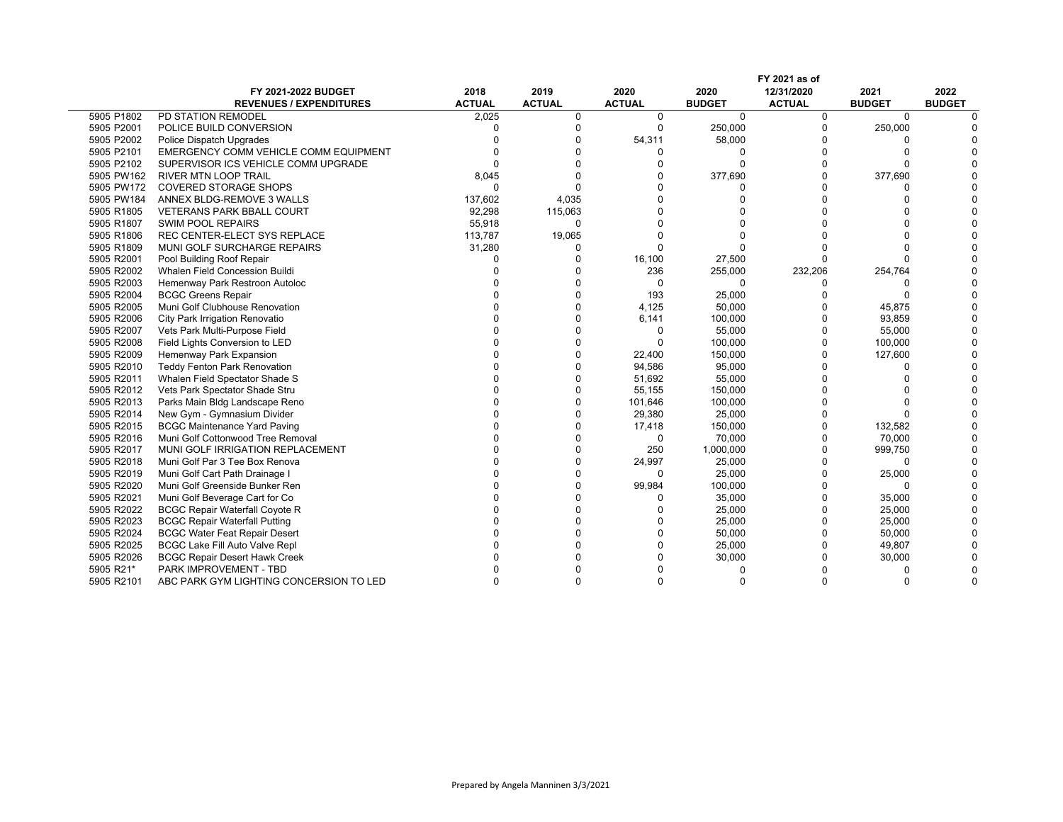|            | FY 2021 as of                           |               |               |               |               |               |               |               |
|------------|-----------------------------------------|---------------|---------------|---------------|---------------|---------------|---------------|---------------|
|            | FY 2021-2022 BUDGET                     | 2018          | 2019          | 2020          | 2020          | 12/31/2020    | 2021          | 2022          |
|            | <b>REVENUES / EXPENDITURES</b>          | <b>ACTUAL</b> | <b>ACTUAL</b> | <b>ACTUAL</b> | <b>BUDGET</b> | <b>ACTUAL</b> | <b>BUDGET</b> | <b>BUDGET</b> |
| 5905 P1802 | PD STATION REMODEL                      | 2,025         | 0             | $\mathbf 0$   | $\mathbf 0$   | 0             | $\mathbf 0$   |               |
| 5905 P2001 | POLICE BUILD CONVERSION                 |               | $\Omega$      | $\Omega$      | 250,000       | $\Omega$      | 250,000       |               |
| 5905 P2002 | Police Dispatch Upgrades                |               | O             | 54,311        | 58,000        |               |               |               |
| 5905 P2101 | EMERGENCY COMM VEHICLE COMM EQUIPMENT   |               | O             |               | n             |               |               |               |
| 5905 P2102 | SUPERVISOR ICS VEHICLE COMM UPGRADE     |               | $\Omega$      |               | $\Omega$      |               |               |               |
| 5905 PW162 | <b>RIVER MTN LOOP TRAIL</b>             | 8,045         | $\Omega$      |               | 377,690       |               | 377,690       |               |
| 5905 PW172 | <b>COVERED STORAGE SHOPS</b>            | $\Omega$      |               |               |               |               |               |               |
| 5905 PW184 | ANNEX BLDG-REMOVE 3 WALLS               | 137,602       | 4,035         |               |               |               |               |               |
| 5905 R1805 | <b>VETERANS PARK BBALL COURT</b>        | 92,298        | 115,063       |               |               |               |               |               |
| 5905 R1807 | <b>SWIM POOL REPAIRS</b>                | 55,918        | $\Omega$      |               |               |               |               |               |
| 5905 R1806 | REC CENTER-ELECT SYS REPLACE            | 113,787       | 19,065        |               |               |               |               |               |
| 5905 R1809 | MUNI GOLF SURCHARGE REPAIRS             | 31,280        | 0             | n             |               |               |               |               |
| 5905 R2001 | Pool Building Roof Repair               | U             | $\Omega$      | 16,100        | 27,500        |               |               |               |
| 5905 R2002 | Whalen Field Concession Buildi          |               | $\Omega$      | 236           | 255,000       | 232,206       | 254,764       |               |
| 5905 R2003 | Hemenway Park Restroon Autoloc          |               | $\Omega$      | $\Omega$      | $\Omega$      |               |               |               |
| 5905 R2004 | <b>BCGC Greens Repair</b>               |               | $\Omega$      | 193           | 25,000        |               |               |               |
| 5905 R2005 | Muni Golf Clubhouse Renovation          |               | $\Omega$      | 4,125         | 50,000        |               | 45,875        |               |
| 5905 R2006 | City Park Irrigation Renovatio          |               | $\Omega$      | 6,141         | 100,000       |               | 93,859        |               |
| 5905 R2007 | Vets Park Multi-Purpose Field           |               | O             | $\Omega$      | 55,000        | $\Omega$      | 55,000        |               |
| 5905 R2008 | Field Lights Conversion to LED          |               | $\Omega$      | $\Omega$      | 100,000       | $\Omega$      | 100,000       |               |
| 5905 R2009 | Hemenway Park Expansion                 |               | $\Omega$      | 22,400        | 150,000       |               | 127,600       |               |
| 5905 R2010 | <b>Teddy Fenton Park Renovation</b>     |               | $\Omega$      | 94,586        | 95,000        |               |               |               |
| 5905 R2011 | Whalen Field Spectator Shade S          |               | $\Omega$      | 51,692        | 55,000        |               |               |               |
| 5905 R2012 | Vets Park Spectator Shade Stru          |               | $\Omega$      | 55,155        | 150,000       |               |               |               |
| 5905 R2013 | Parks Main Bldg Landscape Reno          |               | $\Omega$      | 101,646       | 100,000       |               |               |               |
| 5905 R2014 | New Gym - Gymnasium Divider             |               | $\Omega$      | 29,380        | 25,000        |               |               |               |
| 5905 R2015 | <b>BCGC Maintenance Yard Paving</b>     |               | O             | 17,418        | 150,000       |               | 132,582       |               |
| 5905 R2016 | Muni Golf Cottonwood Tree Removal       |               | $\Omega$      | $\mathbf 0$   | 70,000        | $\Omega$      | 70,000        |               |
| 5905 R2017 | MUNI GOLF IRRIGATION REPLACEMENT        |               | $\Omega$      | 250           | 1,000,000     | $\Omega$      | 999,750       |               |
| 5905 R2018 | Muni Golf Par 3 Tee Box Renova          |               | $\Omega$      | 24,997        | 25,000        |               |               |               |
| 5905 R2019 | Muni Golf Cart Path Drainage I          |               | $\Omega$      | $\Omega$      | 25,000        | $\Omega$      | 25,000        |               |
| 5905 R2020 | Muni Golf Greenside Bunker Ren          |               | $\Omega$      | 99,984        | 100,000       |               | $\Omega$      |               |
| 5905 R2021 | Muni Golf Beverage Cart for Co          |               |               | n             | 35,000        |               | 35,000        |               |
| 5905 R2022 | <b>BCGC Repair Waterfall Coyote R</b>   |               | $\Omega$      |               | 25,000        |               | 25,000        |               |
| 5905 R2023 | <b>BCGC Repair Waterfall Putting</b>    |               | O             |               | 25,000        | $\Omega$      | 25,000        |               |
| 5905 R2024 | <b>BCGC Water Feat Repair Desert</b>    |               | $\Omega$      |               | 50,000        | $\Omega$      | 50,000        |               |
| 5905 R2025 | <b>BCGC Lake Fill Auto Valve Repl</b>   |               | O             |               | 25,000        | $\Omega$      | 49,807        |               |
| 5905 R2026 | <b>BCGC Repair Desert Hawk Creek</b>    |               |               |               | 30,000        |               | 30,000        |               |
| 5905 R21*  | PARK IMPROVEMENT - TBD                  |               |               |               |               |               |               |               |
| 5905 R2101 | ABC PARK GYM LIGHTING CONCERSION TO LED | U             | U             | n             |               |               |               |               |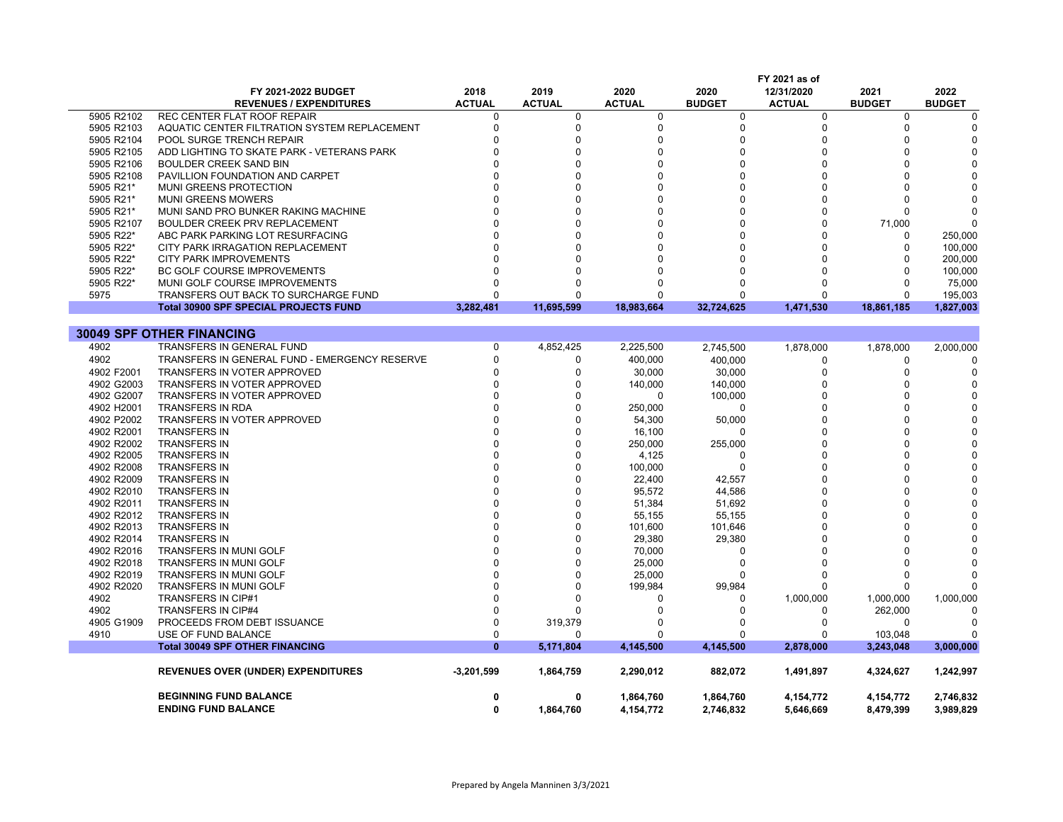|            |                                               |               |               |               |               | FY 2021 as of |               |               |
|------------|-----------------------------------------------|---------------|---------------|---------------|---------------|---------------|---------------|---------------|
|            | FY 2021-2022 BUDGET                           | 2018          | 2019          | 2020          | 2020          | 12/31/2020    | 2021          | 2022          |
|            | <b>REVENUES / EXPENDITURES</b>                | <b>ACTUAL</b> | <b>ACTUAL</b> | <b>ACTUAL</b> | <b>BUDGET</b> | <b>ACTUAL</b> | <b>BUDGET</b> | <b>BUDGET</b> |
| 5905 R2102 | <b>REC CENTER FLAT ROOF REPAIR</b>            | 0             | $\mathbf 0$   | 0             | 0             | 0             | $\mathbf 0$   | $\Omega$      |
| 5905 R2103 | AQUATIC CENTER FILTRATION SYSTEM REPLACEMENT  | 0             | $\Omega$      | 0             | 0             | $\Omega$      | $\Omega$      |               |
| 5905 R2104 | POOL SURGE TRENCH REPAIR                      | $\Omega$      | $\Omega$      | $\Omega$      | 0             | $\Omega$      | $\Omega$      | O             |
| 5905 R2105 | ADD LIGHTING TO SKATE PARK - VETERANS PARK    | n             | $\Omega$      | O             | 0             | O             |               |               |
| 5905 R2106 | <b>BOULDER CREEK SAND BIN</b>                 |               | $\Omega$      | $\Omega$      | $\Omega$      | $\Omega$      | $\Omega$      |               |
| 5905 R2108 | PAVILLION FOUNDATION AND CARPET               | U             | $\Omega$      | U             | O             | $\Omega$      |               |               |
| 5905 R21*  | MUNI GREENS PROTECTION                        | $\Omega$      | $\Omega$      | $\Omega$      | $\Omega$      | $\Omega$      |               |               |
| 5905 R21*  | <b>MUNI GREENS MOWERS</b>                     | U             | $\Omega$      |               | $\Omega$      | n             | n             |               |
| 5905 R21*  | MUNI SAND PRO BUNKER RAKING MACHINE           | $\Omega$      | $\Omega$      | O             | $\Omega$      | $\Omega$      | <sup>0</sup>  |               |
| 5905 R2107 | BOULDER CREEK PRV REPLACEMENT                 | O             | $\Omega$      | $\Omega$      | O             | $\Omega$      | 71,000        |               |
| 5905 R22*  | ABC PARK PARKING LOT RESURFACING              | $\Omega$      | $\Omega$      |               | $\Omega$      |               | $\Omega$      | 250,000       |
| 5905 R22*  | CITY PARK IRRAGATION REPLACEMENT              |               | $\Omega$      |               | $\Omega$      | $\Omega$      | $\Omega$      | 100,000       |
| 5905 R22*  | <b>CITY PARK IMPROVEMENTS</b>                 |               | $\Omega$      |               | n             |               | $\Omega$      | 200,000       |
| 5905 R22*  | <b>BC GOLF COURSE IMPROVEMENTS</b>            | O             | $\Omega$      |               | $\Omega$      |               | $\Omega$      | 100,000       |
| 5905 R22*  | MUNI GOLF COURSE IMPROVEMENTS                 | U             | ∩             | U             | ŋ             |               | <sup>0</sup>  | 75,000        |
| 5975       | TRANSFERS OUT BACK TO SURCHARGE FUND          | $\Omega$      | $\Omega$      | $\Omega$      | $\Omega$      | $\Omega$      | $\Omega$      | 195,003       |
|            | <b>Total 30900 SPF SPECIAL PROJECTS FUND</b>  | 3,282,481     | 11.695.599    | 18.983.664    | 32,724,625    | 1,471,530     | 18,861,185    | 1,827,003     |
|            |                                               |               |               |               |               |               |               |               |
|            | <b>30049 SPF OTHER FINANCING</b>              |               |               |               |               |               |               |               |
| 4902       | TRANSFERS IN GENERAL FUND                     | $\mathbf 0$   | 4,852,425     | 2,225,500     | 2,745,500     | 1,878,000     | 1,878,000     | 2,000,000     |
| 4902       | TRANSFERS IN GENERAL FUND - EMERGENCY RESERVE | $\mathbf 0$   | $\Omega$      | 400,000       | 400,000       | 0             | $\mathbf 0$   |               |
| 4902 F2001 | <b>TRANSFERS IN VOTER APPROVED</b>            | $\Omega$      | $\Omega$      | 30.000        | 30.000        | $\Omega$      | $\Omega$      | $\Omega$      |
| 4902 G2003 | TRANSFERS IN VOTER APPROVED                   | $\Omega$      | $\Omega$      | 140,000       | 140,000       | $\Omega$      | <sup>0</sup>  |               |
| 4902 G2007 | <b>TRANSFERS IN VOTER APPROVED</b>            | $\Omega$      | $\Omega$      | $\Omega$      | 100,000       | $\Omega$      |               |               |
| 4902 H2001 | TRANSFERS IN RDA                              | 0             | $\Omega$      | 250,000       | 0             | $\Omega$      | U             |               |
| 4902 P2002 | TRANSFERS IN VOTER APPROVED                   | O             | $\Omega$      | 54,300        | 50,000        | $\Omega$      |               |               |
| 4902 R2001 | <b>TRANSFERS IN</b>                           |               | $\Omega$      | 16,100        | O             | $\Omega$      |               |               |
| 4902 R2002 | <b>TRANSFERS IN</b>                           | $\Omega$      | $\Omega$      | 250,000       | 255,000       | $\Omega$      |               |               |
| 4902 R2005 | <b>TRANSFERS IN</b>                           | U             | $\Omega$      | 4,125         | O             | $\Omega$      | U             |               |
| 4902 R2008 | <b>TRANSFERS IN</b>                           | O             | $\Omega$      | 100,000       | $\Omega$      | $\Omega$      |               |               |
| 4902 R2009 | <b>TRANSFERS IN</b>                           | O             | $\Omega$      | 22,400        | 42,557        | $\Omega$      |               |               |
| 4902 R2010 | <b>TRANSFERS IN</b>                           | 0             | $\Omega$      | 95,572        | 44,586        | $\Omega$      |               |               |
| 4902 R2011 | <b>TRANSFERS IN</b>                           | $\Omega$      | $\Omega$      | 51,384        | 51,692        | $\Omega$      |               |               |
| 4902 R2012 | <b>TRANSFERS IN</b>                           | $\Omega$      | $\Omega$      | 55,155        | 55,155        | $\Omega$      | U             |               |
| 4902 R2013 | <b>TRANSFERS IN</b>                           | $\Omega$      | $\Omega$      | 101,600       | 101,646       | $\Omega$      |               |               |
| 4902 R2014 | <b>TRANSFERS IN</b>                           | U             | $\Omega$      | 29,380        | 29,380        | $\Omega$      |               |               |
| 4902 R2016 | TRANSFERS IN MUNI GOLF                        |               | $\Omega$      | 70,000        | 0             | $\Omega$      |               |               |
| 4902 R2018 | <b>TRANSFERS IN MUNI GOLF</b>                 | 0             | $\Omega$      | 25.000        | 0             |               |               |               |
| 4902 R2019 | TRANSFERS IN MUNI GOLF                        | O             | $\Omega$      | 25,000        | O             |               | n             |               |
| 4902 R2020 | <b>TRANSFERS IN MUNI GOLF</b>                 | O             | $\Omega$      | 199,984       | 99,984        | $\Omega$      | $\Omega$      |               |
| 4902       | <b>TRANSFERS IN CIP#1</b>                     | 0             | $\Omega$      | O             | 0             | 1,000,000     | 1,000,000     | 1,000,000     |
| 4902       | <b>TRANSFERS IN CIP#4</b>                     | $\Omega$      | $\Omega$      | $\Omega$      | 0             | $\Omega$      | 262,000       |               |
| 4905 G1909 | PROCEEDS FROM DEBT ISSUANCE                   | 0             | 319,379       | O             | 0             | $\Omega$      | $\mathbf 0$   |               |
| 4910       | USE OF FUND BALANCE                           | 0             | $\Omega$      | O             | O             | 0             | 103,048       |               |
|            | <b>Total 30049 SPF OTHER FINANCING</b>        | $\mathbf{0}$  | 5,171,804     | 4,145,500     | 4,145,500     | 2,878,000     | 3,243,048     | 3,000,000     |
|            |                                               |               |               |               |               |               |               |               |
|            | <b>REVENUES OVER (UNDER) EXPENDITURES</b>     | $-3,201,599$  | 1,864,759     | 2,290,012     | 882,072       | 1,491,897     | 4,324,627     | 1,242,997     |
|            | <b>BEGINNING FUND BALANCE</b>                 | 0             | 0             | 1,864,760     | 1,864,760     | 4,154,772     | 4,154,772     | 2,746,832     |
|            | <b>ENDING FUND BALANCE</b>                    | $\mathbf{0}$  | 1,864,760     | 4,154,772     | 2,746,832     | 5,646,669     | 8,479,399     | 3,989,829     |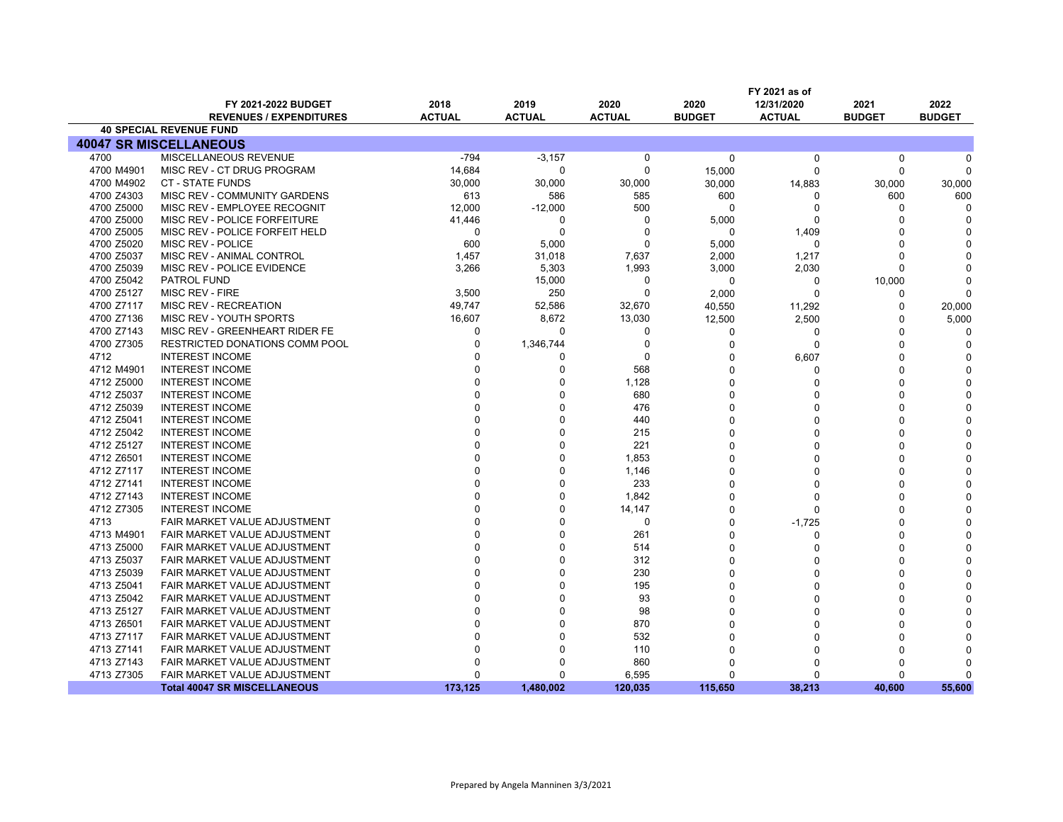|            | FY 2021 as of                         |               |               |               |               |               |               |               |
|------------|---------------------------------------|---------------|---------------|---------------|---------------|---------------|---------------|---------------|
|            | FY 2021-2022 BUDGET                   | 2018          | 2019          | 2020          | 2020          | 12/31/2020    | 2021          | 2022          |
|            | <b>REVENUES / EXPENDITURES</b>        | <b>ACTUAL</b> | <b>ACTUAL</b> | <b>ACTUAL</b> | <b>BUDGET</b> | <b>ACTUAL</b> | <b>BUDGET</b> | <b>BUDGET</b> |
|            | <b>40 SPECIAL REVENUE FUND</b>        |               |               |               |               |               |               |               |
|            | <b>40047 SR MISCELLANEOUS</b>         |               |               |               |               |               |               |               |
| 4700       | MISCELLANEOUS REVENUE                 | $-794$        | $-3,157$      | 0             | 0             | 0             | 0             | ŋ             |
| 4700 M4901 | MISC REV - CT DRUG PROGRAM            | 14,684        | 0             | $\Omega$      | 15,000        | $\Omega$      | $\Omega$      |               |
| 4700 M4902 | <b>CT - STATE FUNDS</b>               | 30,000        | 30,000        | 30,000        | 30,000        | 14,883        | 30,000        | 30,000        |
| 4700 Z4303 | MISC REV - COMMUNITY GARDENS          | 613           | 586           | 585           | 600           | $\Omega$      | 600           | 600           |
| 4700 Z5000 | MISC REV - EMPLOYEE RECOGNIT          | 12,000        | $-12,000$     | 500           | $\Omega$      | $\Omega$      | $\Omega$      | $\Omega$      |
| 4700 Z5000 | MISC REV - POLICE FORFEITURE          | 41,446        | $\Omega$      | $\Omega$      | 5,000         | $\Omega$      | U             |               |
| 4700 Z5005 | MISC REV - POLICE FORFEIT HELD        | 0             | $\Omega$      | $\Omega$      | $\Omega$      | 1,409         | $\Omega$      |               |
| 4700 Z5020 | MISC REV - POLICE                     | 600           | 5,000         | $\Omega$      | 5,000         | $\Omega$      | O             |               |
| 4700 Z5037 | MISC REV - ANIMAL CONTROL             | 1,457         | 31,018        | 7,637         | 2,000         | 1,217         | $\Omega$      |               |
| 4700 Z5039 | MISC REV - POLICE EVIDENCE            | 3,266         | 5,303         | 1,993         | 3,000         | 2,030         | $\Omega$      |               |
| 4700 Z5042 | PATROL FUND                           |               | 15,000        | $\Omega$      | 0             | 0             | 10,000        |               |
| 4700 Z5127 | MISC REV - FIRE                       | 3,500         | 250           | $\Omega$      | 2,000         | $\Omega$      | $\Omega$      | O             |
| 4700 Z7117 | MISC REV - RECREATION                 | 49,747        | 52,586        | 32,670        | 40,550        | 11,292        | 0             | 20,000        |
| 4700 Z7136 | MISC REV - YOUTH SPORTS               | 16,607        | 8,672         | 13,030        | 12,500        | 2,500         | $\Omega$      | 5,000         |
| 4700 Z7143 | MISC REV - GREENHEART RIDER FE        | 0             | $\Omega$      | $\Omega$      | 0             | 0             | U             |               |
| 4700 Z7305 | <b>RESTRICTED DONATIONS COMM POOL</b> | $\Omega$      | 1,346,744     | $\Omega$      | 0             | $\Omega$      | U             | n             |
| 4712       | <b>INTEREST INCOME</b>                |               | ŋ             | $\Omega$      | 0             | 6,607         | U             |               |
| 4712 M4901 | <b>INTEREST INCOME</b>                |               | $\Omega$      | 568           | O             | $\Omega$      | $\Omega$      |               |
| 4712 Z5000 | <b>INTEREST INCOME</b>                |               | ŋ             | 1,128         | O             | $\Omega$      | $\Omega$      |               |
| 4712 Z5037 | <b>INTEREST INCOME</b>                |               | ŋ             | 680           | 0             | $\Omega$      | O             |               |
| 4712 Z5039 | <b>INTEREST INCOME</b>                |               | 0             | 476           | 0             | $\Omega$      | U             |               |
| 4712 Z5041 | <b>INTEREST INCOME</b>                |               | $\Omega$      | 440           | 0             | $\Omega$      | O             |               |
| 4712 Z5042 | <b>INTEREST INCOME</b>                |               | O             | 215           | 0             | $\Omega$      |               |               |
| 4712 Z5127 | <b>INTEREST INCOME</b>                |               | 0             | 221           | O             | $\Omega$      |               |               |
| 4712 Z6501 | <b>INTEREST INCOME</b>                |               | $\Omega$      | 1,853         | $\Omega$      | $\Omega$      | O             |               |
| 4712 Z7117 | <b>INTEREST INCOME</b>                |               | $\Omega$      | 1,146         | 0             | $\Omega$      | U             |               |
| 4712 Z7141 | <b>INTEREST INCOME</b>                |               | 0             | 233           | 0             | $\Omega$      | U             |               |
| 4712 Z7143 | <b>INTEREST INCOME</b>                |               | $\Omega$      | 1,842         | 0             | $\Omega$      | $\Omega$      |               |
| 4712 Z7305 | <b>INTEREST INCOME</b>                |               | $\Omega$      | 14,147        | 0             | $\Omega$      | n             |               |
| 4713       | FAIR MARKET VALUE ADJUSTMENT          |               | C             | $\Omega$      | 0             | $-1,725$      | U             |               |
| 4713 M4901 | FAIR MARKET VALUE ADJUSTMENT          |               | ŋ             | 261           | O             | $\Omega$      | $\Omega$      |               |
| 4713 Z5000 | FAIR MARKET VALUE ADJUSTMENT          |               |               | 514           | 0             | $\Omega$      | $\Omega$      |               |
| 4713 Z5037 | FAIR MARKET VALUE ADJUSTMENT          |               | ŋ             | 312           | 0             | $\Omega$      | U             |               |
| 4713 Z5039 | FAIR MARKET VALUE ADJUSTMENT          |               | 0             | 230           | 0             | $\Omega$      |               |               |
| 4713 Z5041 | FAIR MARKET VALUE ADJUSTMENT          |               |               | 195           | 0             | $\Omega$      |               |               |
| 4713 Z5042 | FAIR MARKET VALUE ADJUSTMENT          |               | C             | 93            | 0             | $\Omega$      |               |               |
| 4713 Z5127 | FAIR MARKET VALUE ADJUSTMENT          |               | C             | 98            | 0             | $\Omega$      |               |               |
| 4713 Z6501 | FAIR MARKET VALUE ADJUSTMENT          |               | C             | 870           | O             | $\Omega$      |               |               |
| 4713 Z7117 | FAIR MARKET VALUE ADJUSTMENT          |               |               | 532           | 0             | $\Omega$      |               |               |
| 4713 Z7141 | FAIR MARKET VALUE ADJUSTMENT          |               | n             | 110           | U             | $\Omega$      | O             |               |
| 4713 Z7143 | FAIR MARKET VALUE ADJUSTMENT          |               | ŋ             | 860           | 0             | $\Omega$      |               |               |
| 4713 Z7305 | FAIR MARKET VALUE ADJUSTMENT          | $\Omega$      | $\Omega$      | 6,595         | 0             | $\Omega$      | $\Omega$      | $\Omega$      |
|            | <b>Total 40047 SR MISCELLANEOUS</b>   | 173.125       | 1.480.002     | 120,035       | 115,650       | 38.213        | 40.600        | 55.600        |
|            |                                       |               |               |               |               |               |               |               |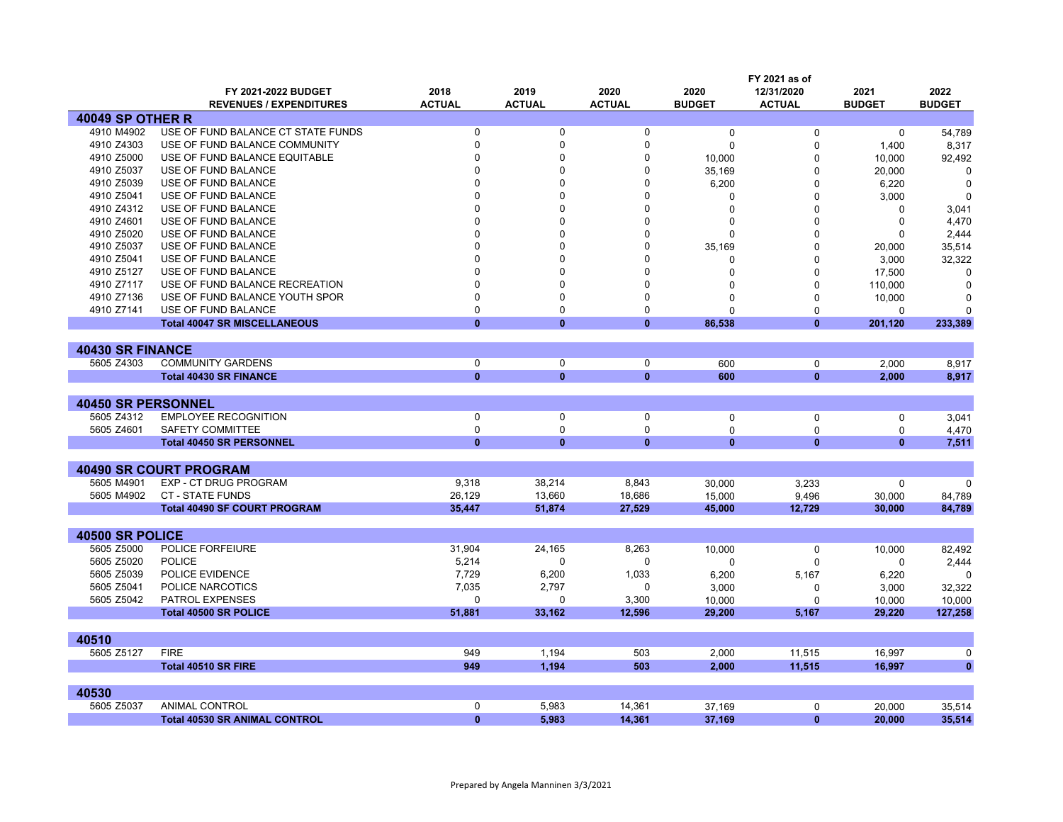|                           |                                      |               | FY 2021 as of |               |               |                             |               |               |  |  |
|---------------------------|--------------------------------------|---------------|---------------|---------------|---------------|-----------------------------|---------------|---------------|--|--|
|                           | FY 2021-2022 BUDGET                  | 2018          | 2019          | 2020          | 2020          | 12/31/2020                  | 2021          | 2022          |  |  |
|                           | <b>REVENUES / EXPENDITURES</b>       | <b>ACTUAL</b> | <b>ACTUAL</b> | <b>ACTUAL</b> | <b>BUDGET</b> | <b>ACTUAL</b>               | <b>BUDGET</b> | <b>BUDGET</b> |  |  |
| <b>40049 SP OTHER R</b>   |                                      |               |               |               |               |                             |               |               |  |  |
| 4910 M4902                | USE OF FUND BALANCE CT STATE FUNDS   | $\mathbf 0$   | $\mathbf 0$   | $\mathbf 0$   | $\Omega$      | $\Omega$                    | $\mathbf 0$   | 54,789        |  |  |
| 4910 Z4303                | USE OF FUND BALANCE COMMUNITY        | $\Omega$      | $\Omega$      | $\Omega$      | $\Omega$      | $\Omega$                    | 1,400         | 8,317         |  |  |
| 4910 Z5000                | USE OF FUND BALANCE EQUITABLE        | n             | O             | O             | 10,000        | 0                           | 10,000        | 92,492        |  |  |
| 4910 Z5037                | USE OF FUND BALANCE                  | n             | O             | $\Omega$      | 35,169        | 0                           | 20,000        | $\Omega$      |  |  |
| 4910 Z5039                | USE OF FUND BALANCE                  | $\Omega$      | O             | $\Omega$      | 6,200         | $\Omega$                    | 6,220         | $\Omega$      |  |  |
| 4910 Z5041                | USE OF FUND BALANCE                  |               |               | $\Omega$      | $\Omega$      | $\Omega$                    | 3,000         | $\Omega$      |  |  |
| 4910 Z4312                | USE OF FUND BALANCE                  | $\Omega$      |               | $\Omega$      | $\Omega$      | $\Omega$                    | O             | 3,041         |  |  |
| 4910 Z4601                | USE OF FUND BALANCE                  | $\Omega$      |               | $\Omega$      | $\Omega$      | $\Omega$                    | $\Omega$      | 4,470         |  |  |
| 4910 Z5020                | USE OF FUND BALANCE                  | n             |               | 0             | n             | 0                           | 0             | 2,444         |  |  |
| 4910 Z5037                | USE OF FUND BALANCE                  |               |               | $\Omega$      | 35,169        | $\Omega$                    | 20,000        | 35,514        |  |  |
| 4910 Z5041                | USE OF FUND BALANCE                  | n             |               | $\Omega$      | $\Omega$      | $\Omega$                    | 3,000         | 32,322        |  |  |
| 4910 Z5127                | USE OF FUND BALANCE                  | $\Omega$      |               | $\Omega$      | 0             | 0                           | 17,500        | $\Omega$      |  |  |
| 4910 Z7117                | USE OF FUND BALANCE RECREATION       | $\Omega$      | $\Omega$      | $\Omega$      | 0             | 0                           | 110,000       | 0             |  |  |
| 4910 Z7136                | USE OF FUND BALANCE YOUTH SPOR       | $\Omega$      | $\Omega$      | $\Omega$      | O             | 0                           | 10,000        | 0             |  |  |
| 4910 Z7141                | USE OF FUND BALANCE                  | $\Omega$      | $\mathbf{0}$  | $\Omega$      | $\Omega$      | $\Omega$                    | $\Omega$      | $\Omega$      |  |  |
|                           | <b>Total 40047 SR MISCELLANEOUS</b>  | $\mathbf{0}$  | $\mathbf{0}$  | $\mathbf{0}$  | 86.538        | $\bf{0}$                    | 201,120       | 233,389       |  |  |
|                           |                                      |               |               |               |               |                             |               |               |  |  |
| <b>40430 SR FINANCE</b>   |                                      |               |               |               |               |                             |               |               |  |  |
| 5605 Z4303                | <b>COMMUNITY GARDENS</b>             | 0             | 0             | 0             | 600           | $\mathbf 0$                 | 2.000         | 8,917         |  |  |
|                           | <b>Total 40430 SR FINANCE</b>        | $\mathbf{0}$  | $\bf{0}$      | $\bf{0}$      | 600           | $\bf{0}$                    | 2,000         | 8,917         |  |  |
|                           |                                      |               |               |               |               |                             |               |               |  |  |
| <b>40450 SR PERSONNEL</b> |                                      |               |               |               |               |                             |               |               |  |  |
| 5605 Z4312                | <b>EMPLOYEE RECOGNITION</b>          | $\Omega$      | $\mathbf 0$   | $\Omega$      |               | $\mathbf{0}$                |               |               |  |  |
| 5605 Z4601                | <b>SAFETY COMMITTEE</b>              | $\mathbf 0$   | $\Omega$      | $\Omega$      | $\mathbf 0$   |                             | 0             | 3,041         |  |  |
|                           |                                      | $\bf{0}$      | $\mathbf{0}$  | $\mathbf{0}$  | $\mathbf 0$   | $\mathbf 0$<br>$\mathbf{0}$ | $\mathbf 0$   | 4,470         |  |  |
|                           | <b>Total 40450 SR PERSONNEL</b>      |               |               |               | $\bf{0}$      |                             | $\mathbf{0}$  | 7,511         |  |  |
|                           |                                      |               |               |               |               |                             |               |               |  |  |
|                           | <b>40490 SR COURT PROGRAM</b>        |               |               |               |               |                             |               |               |  |  |
| 5605 M4901                | EXP - CT DRUG PROGRAM                | 9,318         | 38,214        | 8,843         | 30.000        | 3,233                       | $\mathbf 0$   | $\Omega$      |  |  |
| 5605 M4902                | <b>CT - STATE FUNDS</b>              | 26,129        | 13,660        | 18,686        | 15,000        | 9,496                       | 30,000        | 84,789        |  |  |
|                           | <b>Total 40490 SF COURT PROGRAM</b>  | 35,447        | 51,874        | 27,529        | 45,000        | 12,729                      | 30,000        | 84,789        |  |  |
|                           |                                      |               |               |               |               |                             |               |               |  |  |
| 40500 SR POLICE           |                                      |               |               |               |               |                             |               |               |  |  |
| 5605 Z5000                | <b>POLICE FORFEIURE</b>              | 31,904        | 24,165        | 8,263         | 10,000        | 0                           | 10,000        | 82,492        |  |  |
| 5605 Z5020                | <b>POLICE</b>                        | 5,214         | $\Omega$      | $\Omega$      | $\Omega$      | $\Omega$                    | $\Omega$      | 2,444         |  |  |
| 5605 Z5039                | POLICE EVIDENCE                      | 7,729         | 6,200         | 1,033         | 6,200         | 5,167                       | 6,220         | $\Omega$      |  |  |
| 5605 Z5041                | POLICE NARCOTICS                     | 7,035         | 2,797         | $\Omega$      | 3,000         | 0                           | 3,000         | 32,322        |  |  |
| 5605 Z5042                | <b>PATROL EXPENSES</b>               | $\Omega$      | $\Omega$      | 3.300         | 10.000        | $\Omega$                    | 10.000        | 10.000        |  |  |
|                           | <b>Total 40500 SR POLICE</b>         | 51,881        | 33,162        | 12,596        | 29,200        | 5,167                       | 29.220        | 127,258       |  |  |
|                           |                                      |               |               |               |               |                             |               |               |  |  |
| 40510                     |                                      |               |               |               |               |                             |               |               |  |  |
| 5605 Z5127                | <b>FIRE</b>                          | 949           | 1,194         | 503           | 2,000         | 11,515                      | 16,997        | $\mathbf 0$   |  |  |
|                           | <b>Total 40510 SR FIRE</b>           | 949           | 1,194         | 503           | 2,000         | 11,515                      | 16,997        | $\mathbf{0}$  |  |  |
|                           |                                      |               |               |               |               |                             |               |               |  |  |
| 40530                     |                                      |               |               |               |               |                             |               |               |  |  |
| 5605 Z5037                | <b>ANIMAL CONTROL</b>                | $\Omega$      | 5,983         | 14,361        | 37,169        | $\mathbf 0$                 | 20,000        | 35,514        |  |  |
|                           | <b>Total 40530 SR ANIMAL CONTROL</b> | $\mathbf{0}$  | 5,983         | 14,361        | 37.169        | $\mathbf{0}$                | 20,000        | 35,514        |  |  |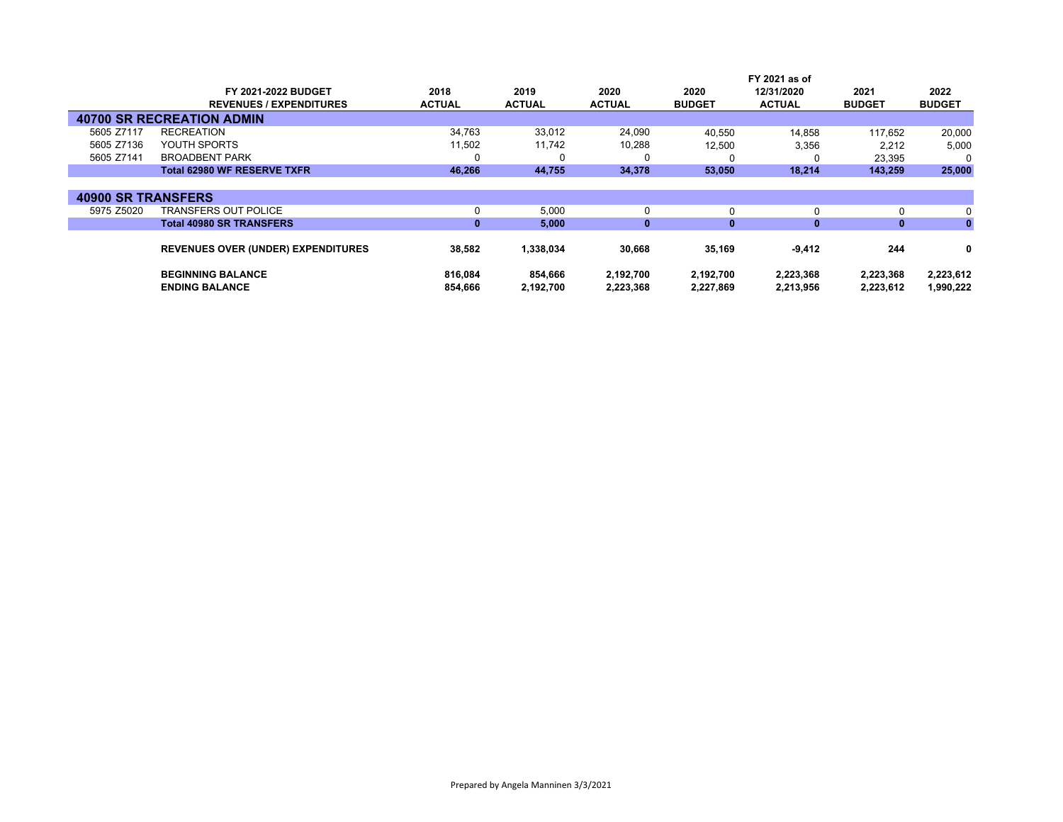|                           |                                           |               |               |               |               | FY 2021 as of |               |               |
|---------------------------|-------------------------------------------|---------------|---------------|---------------|---------------|---------------|---------------|---------------|
|                           | FY 2021-2022 BUDGET                       | 2018          | 2019          | 2020          | 2020          | 12/31/2020    | 2021          | 2022          |
|                           | <b>REVENUES / EXPENDITURES</b>            | <b>ACTUAL</b> | <b>ACTUAL</b> | <b>ACTUAL</b> | <b>BUDGET</b> | <b>ACTUAL</b> | <b>BUDGET</b> | <b>BUDGET</b> |
|                           | <b>40700 SR RECREATION ADMIN</b>          |               |               |               |               |               |               |               |
| 5605 Z7117                | <b>RECREATION</b>                         | 34,763        | 33,012        | 24,090        | 40,550        | 14.858        | 117.652       | 20,000        |
| 5605 Z7136                | YOUTH SPORTS                              | 11,502        | 11,742        | 10,288        | 12,500        | 3,356         | 2,212         | 5,000         |
| 5605 Z7141                | <b>BROADBENT PARK</b>                     | 0             | 0             | 0             |               |               | 23,395        |               |
|                           | <b>Total 62980 WF RESERVE TXFR</b>        | 46,266        | 44,755        | 34,378        | 53,050        | 18,214        | 143,259       | 25,000        |
|                           |                                           |               |               |               |               |               |               |               |
| <b>40900 SR TRANSFERS</b> |                                           |               |               |               |               |               |               |               |
| 5975 Z5020                | TRANSFERS OUT POLICE                      | 0             | 5,000         | 0             | 0             | 0             |               | 0             |
|                           | <b>Total 40980 SR TRANSFERS</b>           | $\mathbf{0}$  | 5,000         | $\mathbf{0}$  | $\mathbf{0}$  | $\mathbf{0}$  | $\bf{0}$      | $\mathbf{0}$  |
|                           |                                           |               |               |               |               |               |               |               |
|                           | <b>REVENUES OVER (UNDER) EXPENDITURES</b> | 38,582        | 1,338,034     | 30,668        | 35,169        | $-9,412$      | 244           | 0             |
|                           | <b>BEGINNING BALANCE</b>                  | 816,084       | 854,666       | 2,192,700     | 2,192,700     | 2,223,368     | 2,223,368     | 2,223,612     |
|                           | <b>ENDING BALANCE</b>                     | 854.666       | 2,192,700     | 2,223,368     | 2,227,869     | 2,213,956     | 2,223,612     | 1,990,222     |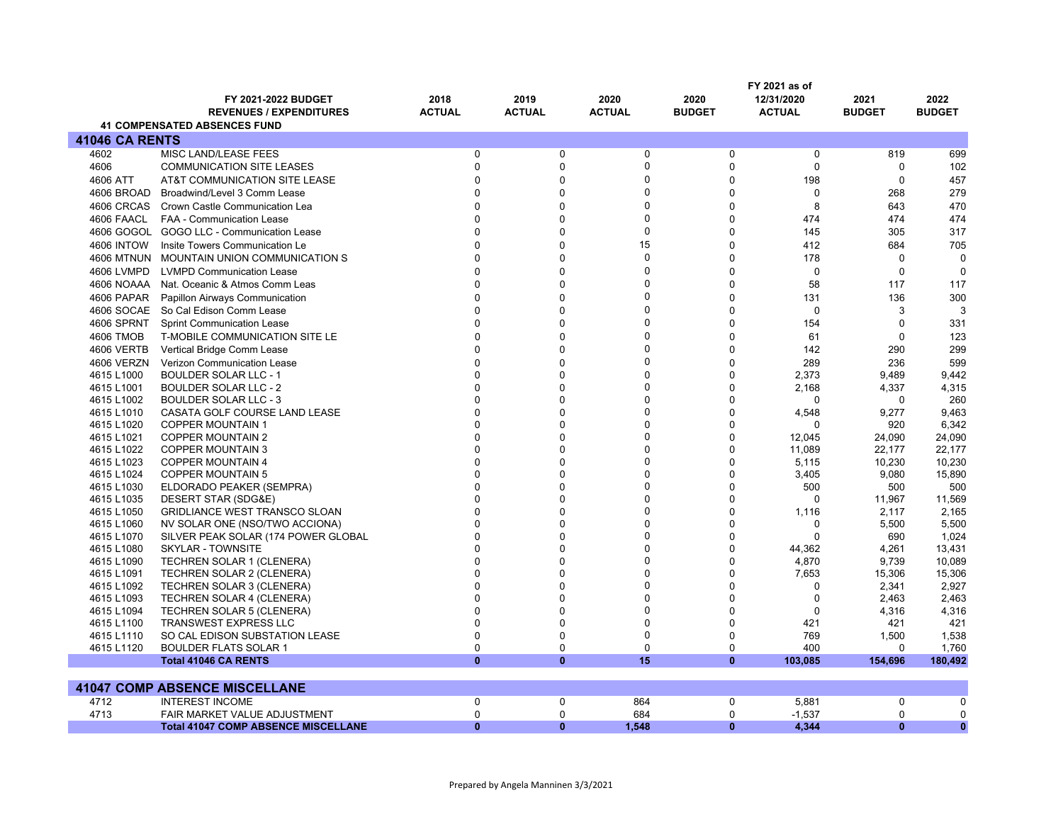|                          |                                                                 |                      |                      |               |                             | FY 2021 as of     |                |                  |
|--------------------------|-----------------------------------------------------------------|----------------------|----------------------|---------------|-----------------------------|-------------------|----------------|------------------|
|                          | FY 2021-2022 BUDGET                                             | 2018                 | 2019                 | 2020          | 2020                        | 12/31/2020        | 2021           | 2022             |
|                          | <b>REVENUES / EXPENDITURES</b>                                  | <b>ACTUAL</b>        | <b>ACTUAL</b>        | <b>ACTUAL</b> | <b>BUDGET</b>               | <b>ACTUAL</b>     | <b>BUDGET</b>  | <b>BUDGET</b>    |
|                          | <b>41 COMPENSATED ABSENCES FUND</b>                             |                      |                      |               |                             |                   |                |                  |
| <b>41046 CA RENTS</b>    |                                                                 |                      |                      |               |                             |                   |                |                  |
| 4602                     | <b>MISC LAND/LEASE FEES</b>                                     | $\mathbf{0}$         | $\mathbf 0$          | 0             | 0                           | 0                 | 819            | 699              |
| 4606                     | <b>COMMUNICATION SITE LEASES</b>                                | $\Omega$             | $\mathbf{0}$         | 0             | $\mathbf 0$                 | $\Omega$          | $\mathbf 0$    | 102              |
| 4606 ATT                 | AT&T COMMUNICATION SITE LEASE                                   | $\Omega$             | $\mathbf{0}$         | 0             | $\mathbf 0$                 | 198               | $\mathbf 0$    | 457              |
| 4606 BROAD               | Broadwind/Level 3 Comm Lease                                    | $\Omega$             | $\mathbf{0}$         | 0             | $\mathbf 0$                 | $\Omega$          | 268            | 279              |
| 4606 CRCAS               | Crown Castle Communication Lea                                  | $\Omega$             | $\mathbf{0}$         | 0             | $\mathbf 0$                 | 8                 | 643            | 470              |
| 4606 FAACL               | <b>FAA - Communication Lease</b>                                | $\Omega$             | $\mathbf{0}$         | 0             | $\mathbf 0$                 | 474               | 474            | 474              |
| 4606 GOGOL               | GOGO LLC - Communication Lease                                  | $\Omega$             | $\mathbf 0$          | 0             | $\mathbf 0$                 | 145               | 305            | 317              |
| <b>4606 INTOW</b>        | Insite Towers Communication Le                                  | $\Omega$             | $\Omega$             | 15            | $\mathbf 0$                 | 412               | 684            | 705              |
| <b>4606 MTNUN</b>        | MOUNTAIN UNION COMMUNICATION S                                  | $\Omega$             | $\Omega$             | 0             | $\overline{0}$              | 178               | $\mathbf 0$    | $\mathbf 0$      |
| 4606 LVMPD               | <b>LVMPD Communication Lease</b>                                | $\Omega$             | $\Omega$             | 0             | $\overline{0}$              | $\Omega$          | $\mathbf 0$    | $\mathbf 0$      |
| 4606 NOAAA               | Nat. Oceanic & Atmos Comm Leas                                  | $\Omega$             | $\mathbf{0}$         | 0             | $\mathbf 0$                 | 58                | 117            | 117              |
| 4606 PAPAR               | Papillon Airways Communication                                  | $\Omega$             | $\mathbf{0}$         | 0             | $\mathbf 0$                 | 131               | 136            | 300              |
| 4606 SOCAE               | So Cal Edison Comm Lease                                        | $\Omega$             | $\mathbf{0}$         | 0             | $\mathbf 0$                 | $\Omega$          | 3              | 3                |
| 4606 SPRNT               | <b>Sprint Communication Lease</b>                               | $\Omega$             | $\mathbf{0}$         | 0             | $\mathbf 0$                 | 154               | $\mathbf 0$    | 331              |
|                          |                                                                 | $\Omega$             | $\mathbf 0$          | 0             | $\mathbf 0$                 | 61                | $\mathbf 0$    | 123              |
| 4606 TMOB                | T-MOBILE COMMUNICATION SITE LE                                  | $\Omega$             | $\Omega$             | 0             | $\mathbf 0$                 |                   |                |                  |
| 4606 VERTB               | Vertical Bridge Comm Lease                                      | $\Omega$             | $\Omega$             | 0             | $\overline{0}$              | 142               | 290            | 299              |
| 4606 VERZN               | Verizon Communication Lease                                     | $\Omega$             |                      |               |                             | 289               | 236            | 599              |
| 4615 L1000               | <b>BOULDER SOLAR LLC - 1</b>                                    |                      | $\Omega$             | 0             | $\mathbf{0}$                | 2,373             | 9.489          | 9,442            |
| 4615 L1001               | <b>BOULDER SOLAR LLC - 2</b>                                    | $\Omega$<br>$\Omega$ | $\Omega$             | 0             | $\mathbf 0$                 | 2,168             | 4,337          | 4,315            |
| 4615 L1002               | <b>BOULDER SOLAR LLC - 3</b>                                    | $\Omega$             | $\Omega$             | 0<br>$\Omega$ | $\mathbf{0}$                | $\Omega$          | $\mathbf 0$    | 260              |
| 4615 L1010               | CASATA GOLF COURSE LAND LEASE                                   |                      | $\Omega$             | $\Omega$      | $\mathbf 0$                 | 4,548<br>$\Omega$ | 9,277          | 9,463            |
| 4615 L1020               | <b>COPPER MOUNTAIN 1</b>                                        | $\Omega$             | $\Omega$             |               | $\mathbf{0}$                |                   | 920            | 6,342            |
| 4615 L1021               | <b>COPPER MOUNTAIN 2</b>                                        | $\Omega$<br>$\Omega$ | $\Omega$<br>$\Omega$ | 0             | $\Omega$                    | 12,045            | 24,090         | 24,090           |
| 4615 L1022               | <b>COPPER MOUNTAIN 3</b>                                        | $\Omega$             | $\Omega$             | 0             | $\mathbf 0$                 | 11,089            | 22,177         | 22,177           |
| 4615 L1023               | <b>COPPER MOUNTAIN 4</b>                                        | $\mathbf{0}$         | $\Omega$             | 0<br>0        | 0                           | 5,115             | 10,230         | 10,230           |
| 4615 L1024               | <b>COPPER MOUNTAIN 5</b>                                        | $\Omega$             | $\Omega$             | $\Omega$      | $\mathbf 0$<br>$\mathbf{0}$ | 3,405             | 9,080          | 15,890           |
| 4615 L1030               | ELDORADO PEAKER (SEMPRA)                                        | $\Omega$             | $\Omega$             | $\Omega$      | $\mathbf{0}$                | 500<br>$\Omega$   | 500            | 500              |
| 4615 L1035               | DESERT STAR (SDG&E)                                             | $\Omega$             | $\Omega$             | 0             |                             |                   | 11,967         | 11,569           |
| 4615 L1050               | <b>GRIDLIANCE WEST TRANSCO SLOAN</b>                            | $\Omega$             | $\Omega$             | 0             | 0<br>0                      | 1,116<br>0        | 2,117          | 2,165            |
| 4615 L1060               | NV SOLAR ONE (NSO/TWO ACCIONA)                                  | $\Omega$             | $\Omega$             | 0             | $\mathbf 0$                 | $\Omega$          | 5,500          | 5,500            |
| 4615 L1070<br>4615 L1080 | SILVER PEAK SOLAR (174 POWER GLOBAL<br><b>SKYLAR - TOWNSITE</b> | $\Omega$             | $\Omega$             | $\Omega$      | $\Omega$                    | 44,362            | 690<br>4.261   | 1,024            |
| 4615 L1090               |                                                                 | $\Omega$             | $\Omega$             | 0             | $\mathbf 0$                 | 4,870             | 9,739          | 13,431<br>10,089 |
|                          | <b>TECHREN SOLAR 1 (CLENERA)</b>                                | $\Omega$             | $\Omega$             | $\Omega$      | $\Omega$                    |                   |                |                  |
| 4615 L1091               | <b>TECHREN SOLAR 2 (CLENERA)</b>                                | $\Omega$             | $\Omega$             | $\Omega$      | $\mathbf 0$                 | 7,653<br>$\Omega$ | 15,306         | 15,306           |
| 4615 L1092<br>4615 L1093 | <b>TECHREN SOLAR 3 (CLENERA)</b>                                | $\Omega$             | $\Omega$             | $\Omega$      | $\mathbf{0}$                | $\Omega$          | 2,341<br>2,463 | 2,927<br>2,463   |
| 4615 L1094               | TECHREN SOLAR 4 (CLENERA)<br><b>TECHREN SOLAR 5 (CLENERA)</b>   | $\Omega$             | $\Omega$             | 0             | $\Omega$                    | $\Omega$          | 4,316          | 4,316            |
| 4615 L1100               | <b>TRANSWEST EXPRESS LLC</b>                                    | $\Omega$             | $\Omega$             | 0             | $\mathbf 0$                 | 421               | 421            | 421              |
| 4615 L1110               | SO CAL EDISON SUBSTATION LEASE                                  | $\Omega$             | $\Omega$             | 0             | 0                           | 769               | 1,500          | 1,538            |
| 4615 L1120               | <b>BOULDER FLATS SOLAR 1</b>                                    | $\mathbf 0$          | 0                    | 0             | 0                           | 400               | 0              | 1,760            |
|                          | <b>Total 41046 CA RENTS</b>                                     | $\mathbf{0}$         | $\mathbf{0}$         | 15            | $\mathbf{0}$                | 103,085           | 154,696        | 180,492          |
|                          |                                                                 |                      |                      |               |                             |                   |                |                  |
|                          | <b>41047 COMP ABSENCE MISCELLANE</b>                            |                      |                      |               |                             |                   |                |                  |
| 4712                     | <b>INTEREST INCOME</b>                                          | $\mathbf 0$          | $\mathbf 0$          | 864           | 0                           | 5,881             | 0              | $\mathbf 0$      |
| 4713                     | FAIR MARKET VALUE ADJUSTMENT                                    | $\mathbf 0$          | 0                    | 684           | $\mathbf 0$                 | $-1,537$          | $\mathbf 0$    | $\mathbf 0$      |
|                          | <b>Total 41047 COMP ABSENCE MISCELLANE</b>                      | $\mathbf{0}$         | $\mathbf{0}$         | 1,548         | $\mathbf{0}$                | 4,344             | $\mathbf{0}$   | $\mathbf{0}$     |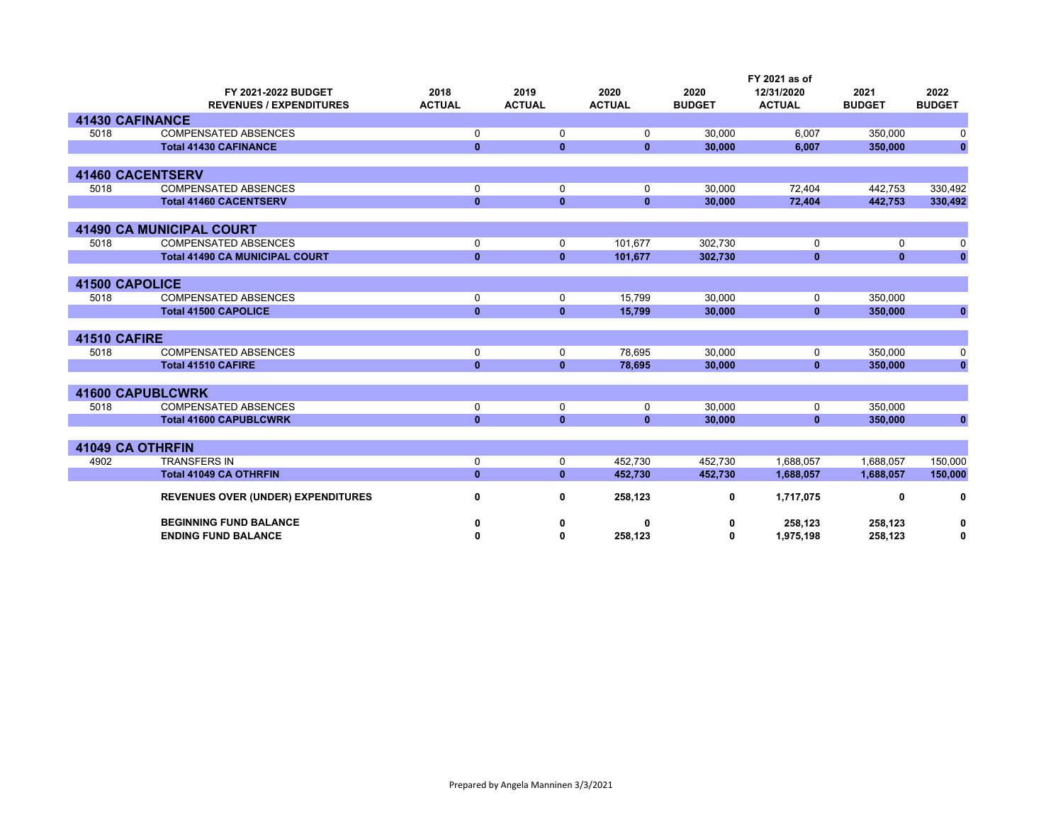|                        |                                           |               |               |               |               | FY 2021 as of |               |               |
|------------------------|-------------------------------------------|---------------|---------------|---------------|---------------|---------------|---------------|---------------|
|                        | FY 2021-2022 BUDGET                       | 2018          | 2019          | 2020          | 2020          | 12/31/2020    | 2021          | 2022          |
|                        | <b>REVENUES / EXPENDITURES</b>            | <b>ACTUAL</b> | <b>ACTUAL</b> | <b>ACTUAL</b> | <b>BUDGET</b> | <b>ACTUAL</b> | <b>BUDGET</b> | <b>BUDGET</b> |
| <b>41430 CAFINANCE</b> |                                           |               |               |               |               |               |               |               |
| 5018                   | <b>COMPENSATED ABSENCES</b>               | 0             | 0             | 0             | 30,000        | 6,007         | 350,000       | 0             |
|                        | <b>Total 41430 CAFINANCE</b>              | $\mathbf{0}$  | $\mathbf{0}$  | $\mathbf{0}$  | 30,000        | 6,007         | 350,000       | $\bf{0}$      |
|                        |                                           |               |               |               |               |               |               |               |
|                        | <b>41460 CACENTSERV</b>                   |               |               |               |               |               |               |               |
| 5018                   | <b>COMPENSATED ABSENCES</b>               | 0             | 0             | 0             | 30,000        | 72,404        | 442,753       | 330,492       |
|                        | <b>Total 41460 CACENTSERV</b>             | $\mathbf{0}$  | $\mathbf{0}$  | $\mathbf{0}$  | 30,000        | 72,404        | 442,753       | 330,492       |
|                        |                                           |               |               |               |               |               |               |               |
|                        | <b>41490 CA MUNICIPAL COURT</b>           |               |               |               |               |               |               |               |
| 5018                   | <b>COMPENSATED ABSENCES</b>               | 0             | 0             | 101,677       | 302,730       | 0             | 0             | 0             |
|                        | <b>Total 41490 CA MUNICIPAL COURT</b>     | $\mathbf{0}$  | $\mathbf{0}$  | 101,677       | 302,730       | $\mathbf{0}$  | $\mathbf{0}$  | O             |
|                        |                                           |               |               |               |               |               |               |               |
| <b>41500 CAPOLICE</b>  |                                           |               |               |               |               |               |               |               |
| 5018                   | <b>COMPENSATED ABSENCES</b>               | 0             | 0             | 15,799        | 30,000        | 0             | 350,000       |               |
|                        | <b>Total 41500 CAPOLICE</b>               | $\mathbf{0}$  | $\mathbf{0}$  | 15,799        | 30,000        | $\mathbf{0}$  | 350,000       | 0             |
|                        |                                           |               |               |               |               |               |               |               |
| 41510 CAFIRE           |                                           |               |               |               |               |               |               |               |
| 5018                   | <b>COMPENSATED ABSENCES</b>               | 0             | 0             | 78,695        | 30.000        | 0             | 350,000       | 0             |
|                        | <b>Total 41510 CAFIRE</b>                 | $\mathbf{0}$  | $\mathbf{0}$  | 78,695        | 30,000        | $\mathbf{0}$  | 350,000       | $\bf{0}$      |
|                        |                                           |               |               |               |               |               |               |               |
|                        | <b>41600 CAPUBLCWRK</b>                   |               |               |               |               |               |               |               |
| 5018                   | <b>COMPENSATED ABSENCES</b>               | 0             | 0             | 0             | 30,000        | 0             | 350,000       |               |
|                        | <b>Total 41600 CAPUBLCWRK</b>             | $\mathbf{0}$  | $\mathbf{0}$  | $\mathbf{0}$  | 30,000        | $\mathbf{0}$  | 350,000       | $\bf{0}$      |
|                        |                                           |               |               |               |               |               |               |               |
| 41049 CA OTHRFIN       |                                           |               |               |               |               |               |               |               |
| 4902                   | <b>TRANSFERS IN</b>                       | 0             | 0             | 452,730       | 452.730       | 1,688,057     | 1,688,057     | 150,000       |
|                        | <b>Total 41049 CA OTHRFIN</b>             | $\mathbf{0}$  | $\mathbf{0}$  | 452,730       | 452,730       | 1,688,057     | 1,688,057     | 150,000       |
|                        |                                           |               |               |               |               |               |               |               |
|                        | <b>REVENUES OVER (UNDER) EXPENDITURES</b> | 0             | 0             | 258,123       | 0             | 1,717,075     | 0             | 0             |
|                        | <b>BEGINNING FUND BALANCE</b>             | 0             | 0             | ŋ             | 0             | 258,123       | 258,123       | 0             |
|                        | <b>ENDING FUND BALANCE</b>                | 0             | 0             | 258,123       | 0             | 1,975,198     | 258,123       | 0             |
|                        |                                           |               |               |               |               |               |               |               |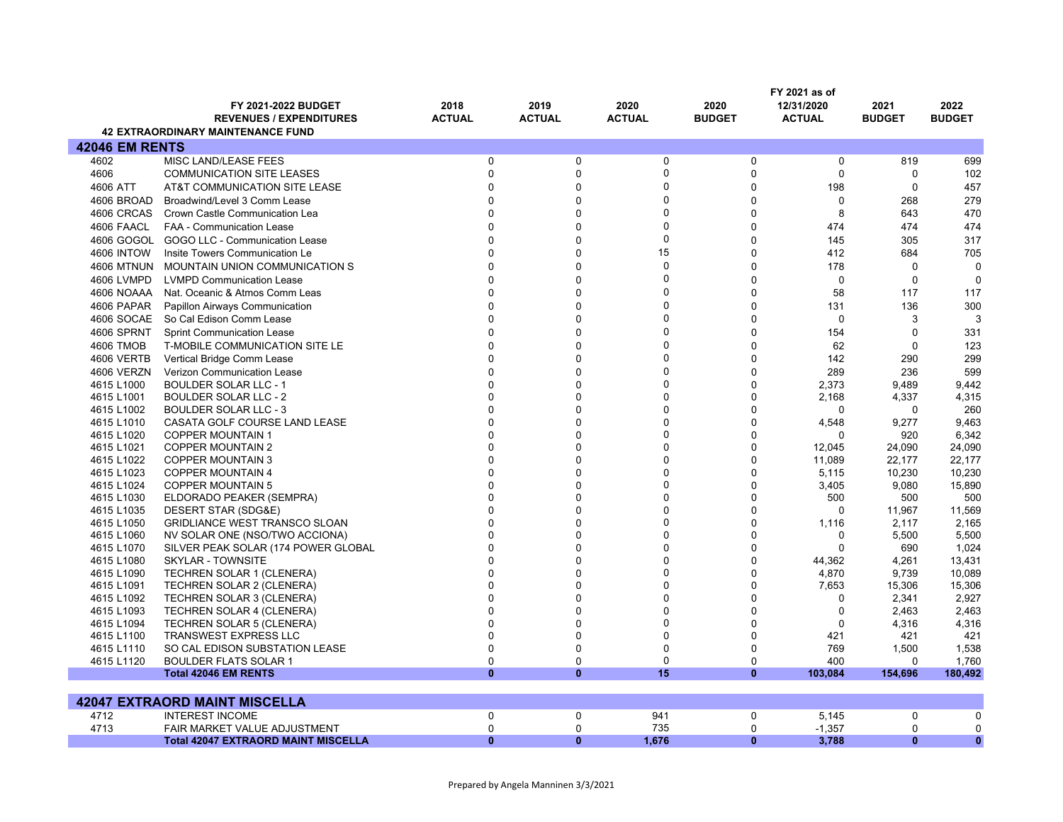|                       |                                          |               |                |                  |               | FY 2021 as of |               |               |
|-----------------------|------------------------------------------|---------------|----------------|------------------|---------------|---------------|---------------|---------------|
|                       | <b>FY 2021-2022 BUDGET</b>               | 2018          | 2019           | 2020             | 2020          | 12/31/2020    | 2021          | 2022          |
|                       | <b>REVENUES / EXPENDITURES</b>           | <b>ACTUAL</b> | <b>ACTUAL</b>  | <b>ACTUAL</b>    | <b>BUDGET</b> | <b>ACTUAL</b> | <b>BUDGET</b> | <b>BUDGET</b> |
|                       | <b>42 EXTRAORDINARY MAINTENANCE FUND</b> |               |                |                  |               |               |               |               |
| <b>42046 EM RENTS</b> |                                          |               |                |                  |               |               |               |               |
| 4602                  | MISC LAND/LEASE FEES                     | 0             | 0              | $\mathbf 0$      | 0             | $\Omega$      | 819           | 699           |
| 4606                  | <b>COMMUNICATION SITE LEASES</b>         | $\mathbf 0$   | $\mathbf 0$    | $\pmb{0}$        | $\Omega$      | $\Omega$      | $\Omega$      | 102           |
| 4606 ATT              | AT&T COMMUNICATION SITE LEASE            | $\Omega$      | $\Omega$       | $\Omega$         | $\Omega$      | 198           | $\mathbf 0$   | 457           |
| 4606 BROAD            | Broadwind/Level 3 Comm Lease             | 0             | $\mathbf 0$    | $\Omega$         | $\Omega$      | $\mathbf 0$   | 268           | 279           |
| 4606 CRCAS            | Crown Castle Communication Lea           | $\Omega$      | $\mathbf{0}$   | $\Omega$         | $\Omega$      | 8             | 643           | 470           |
| 4606 FAACL            | FAA - Communication Lease                |               | $\Omega$       | $\Omega$         | $\Omega$      | 474           | 474           | 474           |
| 4606 GOGOL            | GOGO LLC - Communication Lease           | $\Omega$      | $\mathbf 0$    | $\boldsymbol{0}$ | $\Omega$      | 145           | 305           | 317           |
| <b>4606 INTOW</b>     | Insite Towers Communication Le           |               | $\Omega$       | 15               | $\Omega$      | 412           | 684           |               |
|                       |                                          | O             | $\mathbf{0}$   | $\mathbf 0$      | $\Omega$      |               | $\Omega$      | 705           |
| <b>4606 MTNUN</b>     | <b>MOUNTAIN UNION COMMUNICATION S</b>    |               |                |                  |               | 178           |               | $\Omega$      |
| 4606 LVMPD            | <b>LVMPD Communication Lease</b>         |               | $\Omega$       | $\Omega$         | $\Omega$      | $\mathbf 0$   | $\mathbf 0$   | $\mathbf 0$   |
| 4606 NOAAA            | Nat. Oceanic & Atmos Comm Leas           | O             | $\mathbf{0}$   | $\Omega$         | $\Omega$      | 58            | 117           | 117           |
| 4606 PAPAR            | Papillon Airways Communication           |               | $\Omega$       | $\Omega$         | $\Omega$      | 131           | 136           | 300           |
| 4606 SOCAE            | So Cal Edison Comm Lease                 |               | $\mathbf 0$    | $\Omega$         | $\Omega$      | $\Omega$      | 3             | 3             |
| 4606 SPRNT            | <b>Sprint Communication Lease</b>        |               | $\Omega$       | $\Omega$         | $\Omega$      | 154           | $\Omega$      | 331           |
| <b>4606 TMOB</b>      | T-MOBILE COMMUNICATION SITE LE           |               | $\Omega$       | $\Omega$         | $\Omega$      | 62            | $\Omega$      | 123           |
| 4606 VERTB            | Vertical Bridge Comm Lease               |               | $\Omega$       | $\Omega$         | $\Omega$      | 142           | 290           | 299           |
| 4606 VERZN            | Verizon Communication Lease              |               | $\mathbf 0$    | $\Omega$         | $\Omega$      | 289           | 236           | 599           |
| 4615 L1000            | <b>BOULDER SOLAR LLC - 1</b>             |               | $\Omega$       | $\Omega$         | $\Omega$      | 2,373         | 9,489         | 9,442         |
| 4615 L1001            | <b>BOULDER SOLAR LLC - 2</b>             |               | $\Omega$       | $\Omega$         | $\Omega$      | 2,168         | 4,337         | 4,315         |
| 4615 L1002            | <b>BOULDER SOLAR LLC - 3</b>             |               | $\Omega$       | $\Omega$         | $\Omega$      | $\Omega$      | $\Omega$      | 260           |
| 4615 L1010            | CASATA GOLF COURSE LAND LEASE            | O             | $\Omega$       | $\Omega$         | $\Omega$      | 4,548         | 9,277         | 9,463         |
| 4615 L1020            | <b>COPPER MOUNTAIN 1</b>                 |               | $\Omega$       | $\Omega$         | $\Omega$      | $\Omega$      | 920           | 6,342         |
| 4615 L1021            | <b>COPPER MOUNTAIN 2</b>                 |               | $\Omega$       | $\Omega$         | $\Omega$      | 12,045        | 24,090        | 24,090        |
| 4615 L1022            | COPPER MOUNTAIN 3                        |               | $\mathbf{0}$   | $\Omega$         | $\Omega$      | 11,089        | 22.177        | 22,177        |
| 4615 L1023            | <b>COPPER MOUNTAIN 4</b>                 |               | $\Omega$       | $\Omega$         | $\Omega$      | 5,115         | 10,230        | 10,230        |
| 4615 L1024            | <b>COPPER MOUNTAIN 5</b>                 |               | $\overline{0}$ | $\Omega$         | $\Omega$      | 3,405         | 9,080         | 15,890        |
| 4615 L1030            | ELDORADO PEAKER (SEMPRA)                 |               | $\Omega$       | $\Omega$         | $\Omega$      | 500           | 500           | 500           |
| 4615 L1035            | DESERT STAR (SDG&E)                      | $\Omega$      | $\Omega$       | $\Omega$         | $\Omega$      | $\Omega$      | 11,967        | 11,569        |
| 4615 L1050            | <b>GRIDLIANCE WEST TRANSCO SLOAN</b>     |               | $\Omega$       | $\Omega$         | $\Omega$      | 1,116         | 2,117         | 2,165         |
| 4615 L1060            | NV SOLAR ONE (NSO/TWO ACCIONA)           |               | $\Omega$       | $\Omega$         | $\Omega$      | 0             | 5,500         | 5,500         |
| 4615 L1070            | SILVER PEAK SOLAR (174 POWER GLOBAL      |               | $\mathbf 0$    | $\Omega$         | $\Omega$      | $\Omega$      | 690           | 1,024         |
| 4615 L1080            | SKYLAR - TOWNSITE                        |               | $\Omega$       | $\Omega$         | $\Omega$      | 44,362        | 4,261         | 13,431        |
| 4615 L1090            | <b>TECHREN SOLAR 1 (CLENERA)</b>         |               | $\Omega$       | $\Omega$         | $\Omega$      | 4,870         | 9,739         | 10,089        |
| 4615 L1091            | TECHREN SOLAR 2 (CLENERA)                |               | $\Omega$       | $\Omega$         | $\Omega$      | 7,653         | 15,306        | 15,306        |
| 4615 L1092            | <b>TECHREN SOLAR 3 (CLENERA)</b>         | $\Omega$      | $\Omega$       | $\Omega$         | $\Omega$      | $\mathbf 0$   | 2,341         | 2,927         |
| 4615 L1093            | <b>TECHREN SOLAR 4 (CLENERA)</b>         | O             | $\Omega$       | $\Omega$         | $\Omega$      | $\Omega$      | 2,463         | 2,463         |
| 4615 L1094            | <b>TECHREN SOLAR 5 (CLENERA)</b>         | $\Omega$      | $\Omega$       | $\Omega$         | $\Omega$      | $\mathbf 0$   | 4,316         | 4,316         |
| 4615 L1100            | <b>TRANSWEST EXPRESS LLC</b>             | $\Omega$      | $\mathbf 0$    | $\mathbf 0$      | $\Omega$      | 421           | 421           | 421           |
| 4615 L1110            | SO CAL EDISON SUBSTATION LEASE           | $\Omega$      | $\Omega$       | $\mathbf 0$      | $\Omega$      | 769           | 1,500         | 1,538         |
| 4615 L1120            | <b>BOULDER FLATS SOLAR 1</b>             | 0             | $\mathbf 0$    | $\mathbf 0$      | $\mathbf 0$   | 400           | 0             | 1,760         |
|                       | <b>Total 42046 EM RENTS</b>              | $\mathbf{0}$  | $\bf{0}$       | 15               | $\mathbf{0}$  | 103,084       | 154,696       | 180,492       |
|                       |                                          |               |                |                  |               |               |               |               |
|                       | <b>42047 EXTRAORD MAINT MISCELLA</b>     |               |                |                  |               |               |               |               |
| 4712                  | <b>INTEREST INCOME</b>                   | $\mathbf 0$   | $\mathbf 0$    | 941              | $\mathbf 0$   | 5,145         | $\mathbf 0$   | 0             |
| 4713                  | FAIR MARKET VALUE ADJUSTMENT             | $\mathbf 0$   | $\mathbf 0$    | 735              | 0             | $-1,357$      | $\mathbf 0$   | $\Omega$      |
|                       | Total 42047 EXTRAORD MAINT MISCELLA      | $\mathbf{0}$  | $\bf{0}$       | 1,676            | $\mathbf{0}$  | 3,788         | $\mathbf{0}$  | $\mathbf{0}$  |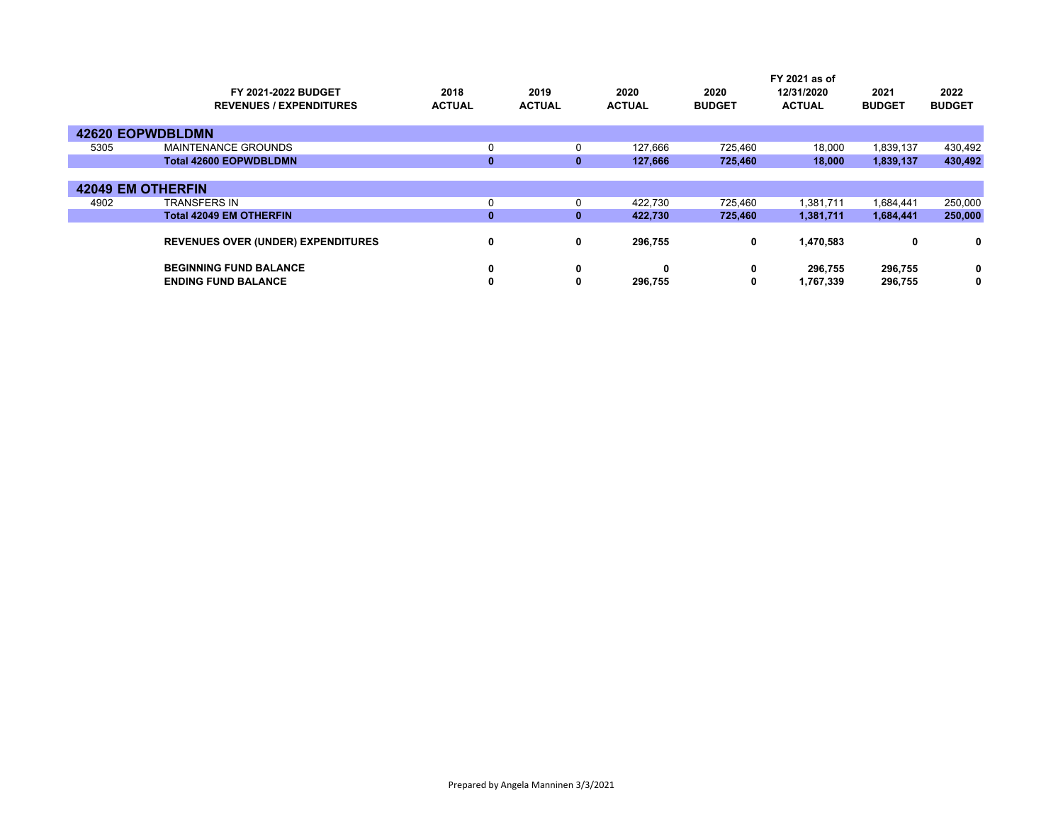|      |                                           |               |               |               |               | FY 2021 as of |               |               |  |
|------|-------------------------------------------|---------------|---------------|---------------|---------------|---------------|---------------|---------------|--|
|      | <b>FY 2021-2022 BUDGET</b>                | 2018          | 2019          | 2020          | 2020          | 12/31/2020    | 2021          | 2022          |  |
|      | <b>REVENUES / EXPENDITURES</b>            | <b>ACTUAL</b> | <b>ACTUAL</b> | <b>ACTUAL</b> | <b>BUDGET</b> | <b>ACTUAL</b> | <b>BUDGET</b> | <b>BUDGET</b> |  |
|      | <b>42620 EOPWDBLDMN</b>                   |               |               |               |               |               |               |               |  |
| 5305 | <b>MAINTENANCE GROUNDS</b>                | 0             | 0             | 127,666       | 725,460       | 18,000        | 1,839,137     | 430,492       |  |
|      | <b>Total 42600 EOPWDBLDMN</b>             | $\bf{0}$      | $\bf{0}$      | 127,666       | 725,460       | 18,000        | 1,839,137     | 430,492       |  |
|      |                                           |               |               |               |               |               |               |               |  |
|      | <b>42049 EM OTHERFIN</b>                  |               |               |               |               |               |               |               |  |
| 4902 | <b>TRANSFERS IN</b>                       | 0             |               | 422,730       | 725,460       | 1,381,711     | 1,684,441     | 250,000       |  |
|      | <b>Total 42049 EM OTHERFIN</b>            | $\mathbf{0}$  | $\bf{0}$      | 422,730       | 725,460       | 1,381,711     | 1,684,441     | 250,000       |  |
|      | <b>REVENUES OVER (UNDER) EXPENDITURES</b> | 0             | 0             | 296,755       | 0             | 1,470,583     | 0             | 0             |  |
|      | <b>BEGINNING FUND BALANCE</b>             | 0             | 0             | $\bf{0}$      | 0             | 296,755       | 296,755       | 0             |  |
|      | <b>ENDING FUND BALANCE</b>                | 0             | 0             | 296.755       | 0             | 1,767,339     | 296,755       | 0             |  |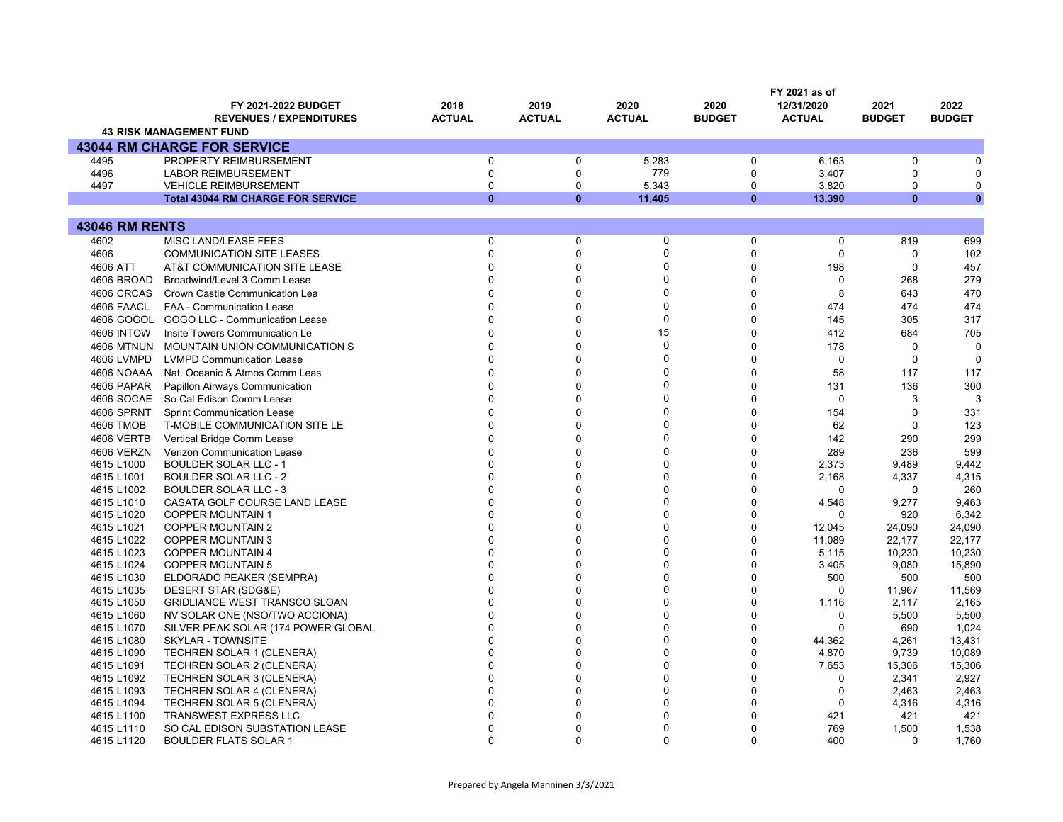|                       |                                           |               |               |               |                | FY 2021 as of |               |               |
|-----------------------|-------------------------------------------|---------------|---------------|---------------|----------------|---------------|---------------|---------------|
|                       | FY 2021-2022 BUDGET                       | 2018          | 2019          | 2020          | 2020           | 12/31/2020    | 2021          | 2022          |
|                       | <b>REVENUES / EXPENDITURES</b>            | <b>ACTUAL</b> | <b>ACTUAL</b> | <b>ACTUAL</b> | <b>BUDGET</b>  | <b>ACTUAL</b> | <b>BUDGET</b> | <b>BUDGET</b> |
|                       | <b>43 RISK MANAGEMENT FUND</b>            |               |               |               |                |               |               |               |
|                       | <b>43044 RM CHARGE FOR SERVICE</b>        |               |               |               |                |               |               |               |
| 4495                  | PROPERTY REIMBURSEMENT                    | $\pmb{0}$     | $\mathbf 0$   | 5,283         | 0              | 6,163         | $\mathbf 0$   | 0             |
| 4496                  | <b>LABOR REIMBURSEMENT</b>                | $\mathbf 0$   | $\Omega$      | 779           | 0              | 3,407         | $\mathbf 0$   | $\Omega$      |
| 4497                  | <b>VEHICLE REIMBURSEMENT</b>              | $\mathbf 0$   | $\Omega$      | 5,343         | 0              | 3,820         | $\mathbf 0$   | 0             |
|                       | <b>Total 43044 RM CHARGE FOR SERVICE</b>  | $\mathbf{0}$  | $\bf{0}$      | 11,405        | $\mathbf{0}$   | 13,390        | $\mathbf{0}$  | $\mathbf{0}$  |
|                       |                                           |               |               |               |                |               |               |               |
| <b>43046 RM RENTS</b> |                                           |               |               |               |                |               |               |               |
| 4602                  | MISC LAND/LEASE FEES                      | $\mathbf 0$   | 0             | $\mathbf 0$   | $\Omega$       | $\mathbf 0$   | 819           | 699           |
| 4606                  | <b>COMMUNICATION SITE LEASES</b>          | $\mathbf 0$   | $\mathbf 0$   | 0             | $\overline{0}$ | $\mathbf 0$   | $\mathbf 0$   | 102           |
| 4606 ATT              | AT&T COMMUNICATION SITE LEASE             | $\Omega$      | $\Omega$      | $\mathbf{0}$  | $\Omega$       | 198           | $\mathbf 0$   | 457           |
| 4606 BROAD            | Broadwind/Level 3 Comm Lease              | U             | $\Omega$      | $\mathbf{0}$  | $\Omega$       | $\mathbf 0$   | 268           | 279           |
| 4606 CRCAS            | Crown Castle Communication Lea            | U             | $\Omega$      | $\mathbf{0}$  | $\Omega$       | 8             | 643           | 470           |
| 4606 FAACL            | FAA - Communication Lease                 | $\Omega$      | $\Omega$      | $\mathbf{0}$  | $\Omega$       | 474           | 474           | 474           |
|                       | 4606 GOGOL GOGO LLC - Communication Lease |               | $\Omega$      | $\mathbf{0}$  | $\Omega$       | 145           | 305           | 317           |
| <b>4606 INTOW</b>     | Insite Towers Communication Le            | U             | $\Omega$      | 15            | $\Omega$       | 412           | 684           | 705           |
| <b>4606 MTNUN</b>     | MOUNTAIN UNION COMMUNICATION S            | U             | $\Omega$      | $\mathbf{0}$  | $\Omega$       | 178           | $\mathbf 0$   | $\Omega$      |
| 4606 LVMPD            | <b>LVMPD Communication Lease</b>          | U             | $\Omega$      | $\Omega$      | $\Omega$       | $\mathbf 0$   | $\mathbf 0$   | $\Omega$      |
| 4606 NOAAA            | Nat. Oceanic & Atmos Comm Leas            |               | $\Omega$      | $\mathbf{0}$  | $\Omega$       | 58            | 117           | 117           |
| 4606 PAPAR            | Papillon Airways Communication            | U             | $\Omega$      | $\Omega$      | $\Omega$       | 131           | 136           | 300           |
|                       | 4606 SOCAE So Cal Edison Comm Lease       |               | $\Omega$      | $\Omega$      | $\Omega$       | $\Omega$      | 3             | 3             |
| 4606 SPRNT            | <b>Sprint Communication Lease</b>         | U             | $\Omega$      | $\mathbf{0}$  | $\Omega$       | 154           | $\mathbf 0$   | 331           |
| 4606 TMOB             | T-MOBILE COMMUNICATION SITE LE            |               | $\Omega$      | $\mathbf{0}$  | $\Omega$       | 62            | $\mathbf 0$   | 123           |
| 4606 VERTB            | Vertical Bridge Comm Lease                |               | $\Omega$      | $\mathbf{0}$  | $\Omega$       | 142           | 290           | 299           |
| <b>4606 VERZN</b>     | <b>Verizon Communication Lease</b>        |               | $\Omega$      | $\mathbf{0}$  | $\Omega$       | 289           | 236           | 599           |
| 4615 L1000            | <b>BOULDER SOLAR LLC - 1</b>              |               | $\Omega$      | $\mathbf{0}$  | $\Omega$       | 2,373         | 9,489         | 9,442         |
| 4615 L1001            | <b>BOULDER SOLAR LLC - 2</b>              |               | $\Omega$      | $\Omega$      | $\Omega$       | 2,168         | 4,337         | 4,315         |
| 4615 L1002            | <b>BOULDER SOLAR LLC - 3</b>              |               | $\Omega$      | $\Omega$      | 0              | $\Omega$      | 0             | 260           |
| 4615 L1010            | CASATA GOLF COURSE LAND LEASE             | $\Omega$      | $\Omega$      | $\mathbf{0}$  | 0              | 4,548         | 9,277         | 9,463         |
| 4615 L1020            | <b>COPPER MOUNTAIN 1</b>                  | U             | $\Omega$      | $\mathbf{0}$  | 0              | 0             | 920           | 6,342         |
| 4615 L1021            | <b>COPPER MOUNTAIN 2</b>                  | $\Omega$      | $\Omega$      | $\Omega$      | 0              | 12,045        | 24,090        | 24,090        |
| 4615 L1022            | <b>COPPER MOUNTAIN 3</b>                  |               | $\Omega$      | $\Omega$      | $\Omega$       | 11,089        | 22,177        | 22,177        |
| 4615 L1023            | <b>COPPER MOUNTAIN 4</b>                  |               | $\Omega$      | $\Omega$      | $\mathbf{0}$   | 5,115         | 10,230        | 10,230        |
| 4615 L1024            | <b>COPPER MOUNTAIN 5</b>                  | U             | $\Omega$      | $\Omega$      | 0              | 3,405         | 9,080         | 15,890        |
| 4615 L1030            | ELDORADO PEAKER (SEMPRA)                  |               | $\Omega$      | $\Omega$      | 0              | 500           | 500           | 500           |
| 4615 L1035            | DESERT STAR (SDG&E)                       | $\Omega$      | $\Omega$      | $\mathbf{0}$  | 0              | $\mathbf 0$   | 11,967        | 11,569        |
| 4615 L1050            | <b>GRIDLIANCE WEST TRANSCO SLOAN</b>      | O             | $\Omega$      | $\mathbf{0}$  | 0              | 1,116         | 2,117         | 2,165         |
| 4615 L1060            | NV SOLAR ONE (NSO/TWO ACCIONA)            | $\Omega$      | $\Omega$      | $\Omega$      | 0              | 0             | 5,500         | 5,500         |
| 4615 L1070            | SILVER PEAK SOLAR (174 POWER GLOBAL       |               | $\Omega$      | $\Omega$      | 0              | $\Omega$      | 690           | 1,024         |
| 4615 L1080            | SKYLAR - TOWNSITE                         | U             | $\Omega$      | $\mathbf{0}$  | $\Omega$       | 44,362        | 4,261         | 13,431        |
| 4615 L1090            | TECHREN SOLAR 1 (CLENERA)                 | U             | $\Omega$      | $\Omega$      | 0              | 4,870         | 9,739         | 10,089        |
| 4615 L1091            | <b>TECHREN SOLAR 2 (CLENERA)</b>          |               | $\Omega$      | U             | 0              | 7,653         | 15,306        | 15,306        |
| 4615 L1092            | <b>TECHREN SOLAR 3 (CLENERA)</b>          | $\Omega$      | $\Omega$      | $\Omega$      | 0              | $\mathbf 0$   | 2,341         | 2,927         |
| 4615 L1093            | TECHREN SOLAR 4 (CLENERA)                 | U             | $\Omega$      | $\mathbf{0}$  | 0              | $\mathbf 0$   | 2,463         | 2,463         |
| 4615 L1094            | <b>TECHREN SOLAR 5 (CLENERA)</b>          |               | $\Omega$      | 0             | 0              | 0             | 4,316         | 4,316         |
| 4615 L1100            | <b>TRANSWEST EXPRESS LLC</b>              |               | $\Omega$      | 0             | $\Omega$       | 421           | 421           | 421           |
| 4615 L1110            | SO CAL EDISON SUBSTATION LEASE            |               | $\Omega$      | 0             | $\Omega$       | 769           | 1,500         | 1,538         |
| 4615 L1120            | <b>BOULDER FLATS SOLAR 1</b>              | $\Omega$      | $\Omega$      | $\Omega$      | $\Omega$       | 400           | $\Omega$      | 1,760         |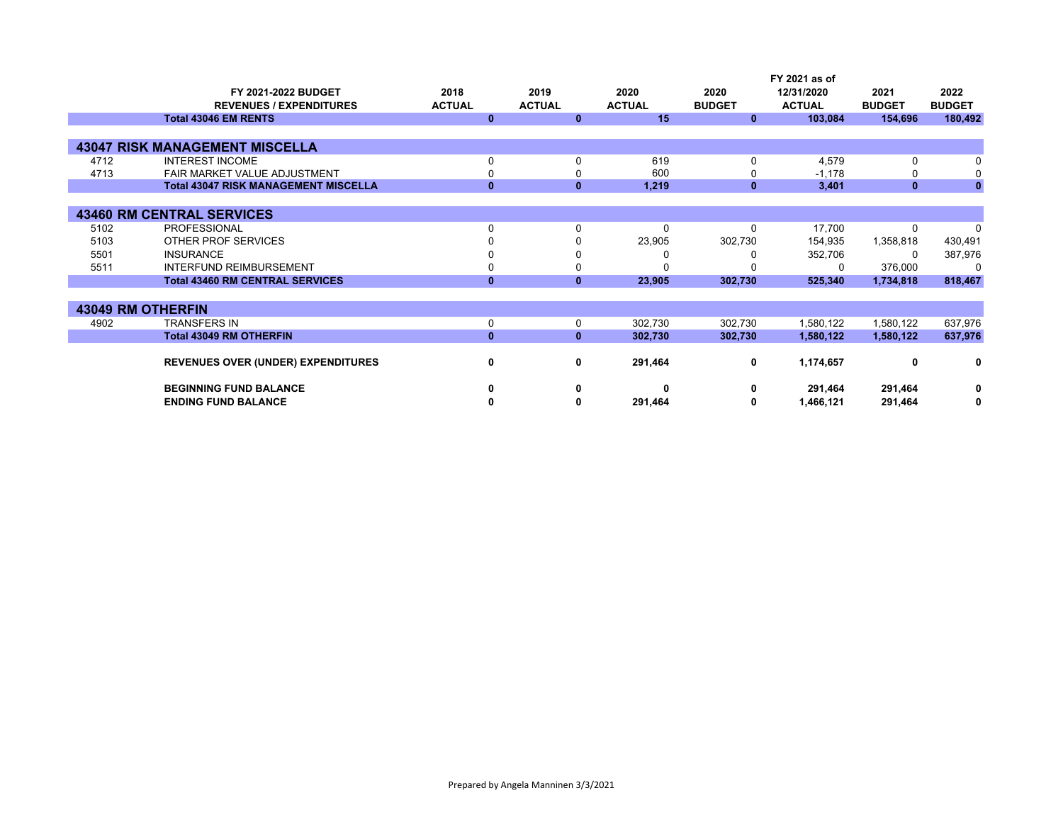|      |                                             |               |               |               |               | FY 2021 as of |               |               |
|------|---------------------------------------------|---------------|---------------|---------------|---------------|---------------|---------------|---------------|
|      | FY 2021-2022 BUDGET                         | 2018          | 2019          | 2020          | 2020          | 12/31/2020    | 2021          | 2022          |
|      | <b>REVENUES / EXPENDITURES</b>              | <b>ACTUAL</b> | <b>ACTUAL</b> | <b>ACTUAL</b> | <b>BUDGET</b> | <b>ACTUAL</b> | <b>BUDGET</b> | <b>BUDGET</b> |
|      | <b>Total 43046 EM RENTS</b>                 | $\bf{0}$      | $\mathbf{0}$  | 15            | $\mathbf{0}$  | 103,084       | 154,696       | 180,492       |
|      |                                             |               |               |               |               |               |               |               |
|      | <b>43047 RISK MANAGEMENT MISCELLA</b>       |               |               |               |               |               |               |               |
| 4712 | <b>INTEREST INCOME</b>                      | 0             | $\Omega$      | 619           | $\Omega$      | 4,579         | 0             | 0             |
| 4713 | FAIR MARKET VALUE ADJUSTMENT                | 0             |               | 600           | 0             | $-1,178$      |               | 0             |
|      | <b>Total 43047 RISK MANAGEMENT MISCELLA</b> | $\mathbf{0}$  | $\bf{0}$      | 1,219         | $\mathbf{0}$  | 3,401         | $\mathbf{0}$  | $\mathbf{0}$  |
|      |                                             |               |               |               |               |               |               |               |
|      | <b>43460 RM CENTRAL SERVICES</b>            |               |               |               |               |               |               |               |
| 5102 | <b>PROFESSIONAL</b>                         | $\Omega$      | $\Omega$      | $\Omega$      | $\Omega$      | 17,700        | 0             | $\Omega$      |
| 5103 | OTHER PROF SERVICES                         | 0             |               | 23,905        | 302,730       | 154,935       | 1,358,818     | 430,491       |
| 5501 | <b>INSURANCE</b>                            | 0             |               | 0             |               | 352,706       | 0             | 387,976       |
| 5511 | <b>INTERFUND REIMBURSEMENT</b>              | 0             |               | 0             |               | 0             | 376,000       | $\Omega$      |
|      | <b>Total 43460 RM CENTRAL SERVICES</b>      | $\mathbf{0}$  | $\mathbf{0}$  | 23,905        | 302,730       | 525,340       | 1,734,818     | 818,467       |
|      |                                             |               |               |               |               |               |               |               |
|      | <b>43049 RM OTHERFIN</b>                    |               |               |               |               |               |               |               |
| 4902 | <b>TRANSFERS IN</b>                         | 0             | $\mathbf 0$   | 302,730       | 302,730       | 1,580,122     | 1,580,122     | 637,976       |
|      | <b>Total 43049 RM OTHERFIN</b>              | $\mathbf{0}$  | $\bf{0}$      | 302,730       | 302,730       | 1,580,122     | 1,580,122     | 637,976       |
|      |                                             |               |               |               |               |               |               |               |
|      | REVENUES OVER (UNDER) EXPENDITURES          | 0             | 0             | 291,464       | 0             | 1,174,657     | 0             | 0             |
|      | <b>BEGINNING FUND BALANCE</b>               | 0             | 0             | 0             | 0             | 291,464       | 291,464       | 0             |
|      | <b>ENDING FUND BALANCE</b>                  | 0             |               | 291,464       | 0             | 1,466,121     | 291,464       | 0             |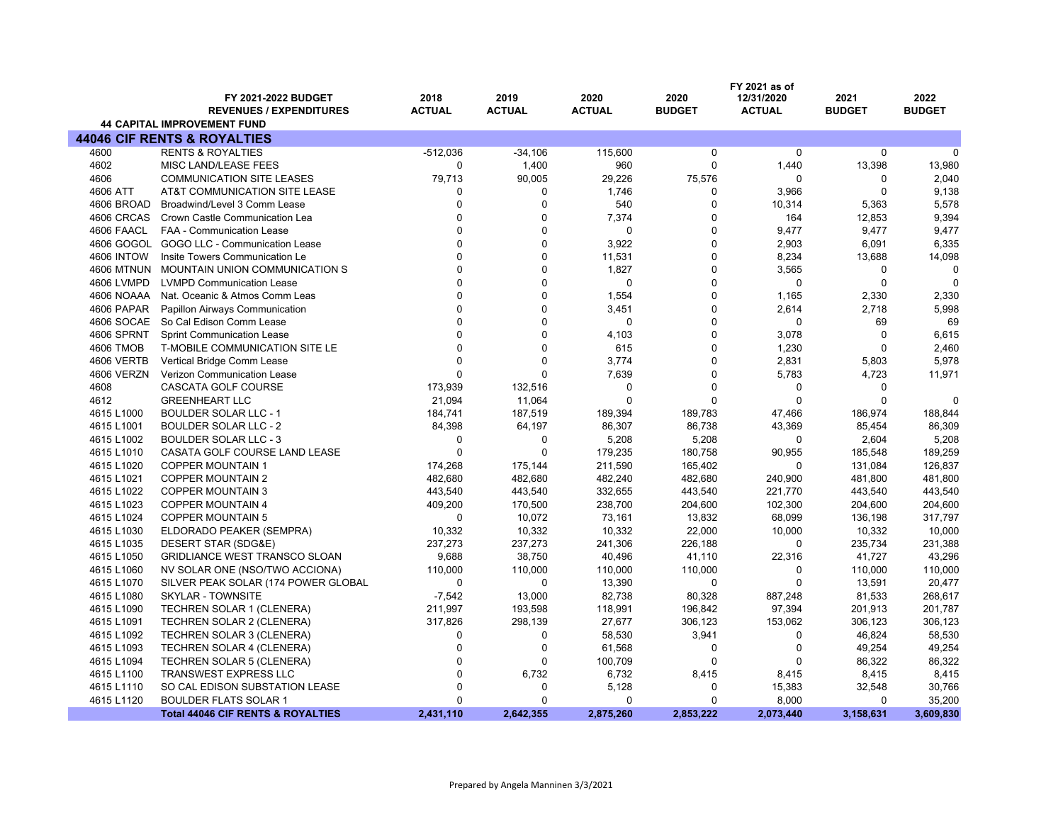|                   | <b>FY 2021-2022 BUDGET</b><br><b>REVENUES / EXPENDITURES</b><br><b>44 CAPITAL IMPROVEMENT FUND</b> | 2018<br><b>ACTUAL</b> | 2019<br><b>ACTUAL</b> | 2020<br><b>ACTUAL</b> | 2020<br><b>BUDGET</b> | FY 2021 as of<br>12/31/2020<br><b>ACTUAL</b> | 2021<br><b>BUDGET</b> | 2022<br><b>BUDGET</b> |
|-------------------|----------------------------------------------------------------------------------------------------|-----------------------|-----------------------|-----------------------|-----------------------|----------------------------------------------|-----------------------|-----------------------|
|                   | <b>44046 CIF RENTS &amp; ROYALTIES</b>                                                             |                       |                       |                       |                       |                                              |                       |                       |
| 4600              | <b>RENTS &amp; ROYALTIES</b>                                                                       | $-512,036$            | $-34,106$             | 115,600               | 0                     | $\mathbf 0$                                  | $\mathbf 0$           | $\Omega$              |
| 4602              |                                                                                                    | $\Omega$              |                       |                       | 0                     |                                              |                       |                       |
|                   | MISC LAND/LEASE FEES                                                                               |                       | 1,400                 | 960                   |                       | 1,440                                        | 13,398                | 13,980                |
| 4606              | <b>COMMUNICATION SITE LEASES</b>                                                                   | 79,713                | 90,005                | 29,226                | 75,576                | $\Omega$                                     | 0                     | 2,040                 |
| 4606 ATT          | AT&T COMMUNICATION SITE LEASE                                                                      | 0                     | 0                     | 1,746                 | 0                     | 3,966                                        | $\mathbf 0$           | 9,138                 |
| 4606 BROAD        | Broadwind/Level 3 Comm Lease                                                                       | $\mathbf{0}$          | $\mathbf 0$           | 540                   | 0                     | 10,314                                       | 5,363                 | 5,578                 |
| 4606 CRCAS        | Crown Castle Communication Lea                                                                     | $\Omega$              | $\Omega$              | 7,374                 | 0                     | 164                                          | 12,853                | 9,394                 |
| 4606 FAACL        | FAA - Communication Lease                                                                          | $\Omega$              | $\mathbf 0$           | $\mathbf 0$           | 0                     | 9,477                                        | 9,477                 | 9,477                 |
|                   | 4606 GOGOL GOGO LLC - Communication Lease                                                          | $\Omega$              | $\Omega$              | 3,922                 | 0                     | 2,903                                        | 6,091                 | 6,335                 |
| <b>4606 INTOW</b> | Insite Towers Communication Le                                                                     | $\Omega$              | $\Omega$              | 11,531                | 0                     | 8,234                                        | 13,688                | 14,098                |
| <b>4606 MTNUN</b> | MOUNTAIN UNION COMMUNICATION S                                                                     | $\Omega$              | $\Omega$              | 1,827                 | 0                     | 3,565                                        | 0                     | $\Omega$              |
| 4606 LVMPD        | <b>LVMPD Communication Lease</b>                                                                   | $\Omega$              | $\Omega$              | $\Omega$              | 0                     | $\mathbf 0$                                  | $\mathbf 0$           | $\Omega$              |
| 4606 NOAAA        | Nat. Oceanic & Atmos Comm Leas                                                                     | $\mathbf{0}$          | 0                     | 1,554                 | 0                     | 1,165                                        | 2,330                 | 2,330                 |
| 4606 PAPAR        | Papillon Airways Communication                                                                     | $\Omega$              | $\Omega$              | 3,451                 | 0                     | 2,614                                        | 2,718                 | 5,998                 |
| 4606 SOCAE        | So Cal Edison Comm Lease                                                                           | $\Omega$              | $\mathbf 0$           | $\mathbf 0$           | 0                     | $\mathbf 0$                                  | 69                    | 69                    |
| 4606 SPRNT        | <b>Sprint Communication Lease</b>                                                                  | $\Omega$              | $\Omega$              | 4,103                 | 0                     | 3,078                                        | $\mathbf 0$           | 6,615                 |
| <b>4606 TMOB</b>  | T-MOBILE COMMUNICATION SITE LE                                                                     | $\Omega$              | $\Omega$              | 615                   | 0                     | 1,230                                        | $\Omega$              | 2,460                 |
| 4606 VERTB        | Vertical Bridge Comm Lease                                                                         | $\Omega$              | $\Omega$              | 3,774                 | 0                     | 2,831                                        | 5,803                 | 5,978                 |
| 4606 VERZN        | Verizon Communication Lease                                                                        | $\Omega$              | $\Omega$              | 7,639                 | 0                     | 5,783                                        | 4,723                 | 11,971                |
| 4608              | CASCATA GOLF COURSE                                                                                | 173,939               | 132,516               | $\Omega$              | 0                     | $\mathbf 0$                                  | $\Omega$              |                       |
| 4612              | <b>GREENHEART LLC</b>                                                                              | 21,094                | 11,064                | $\Omega$              | $\Omega$              | $\Omega$                                     | $\Omega$              | $\Omega$              |
| 4615 L1000        | <b>BOULDER SOLAR LLC - 1</b>                                                                       | 184,741               | 187,519               | 189,394               | 189,783               | 47,466                                       | 186,974               | 188,844               |
| 4615 L1001        | <b>BOULDER SOLAR LLC - 2</b>                                                                       | 84,398                | 64,197                | 86,307                | 86,738                | 43,369                                       | 85,454                | 86,309                |
| 4615 L1002        | <b>BOULDER SOLAR LLC - 3</b>                                                                       | $\Omega$              | $\Omega$              | 5,208                 | 5,208                 | $\mathbf 0$                                  | 2,604                 | 5,208                 |
| 4615 L1010        | CASATA GOLF COURSE LAND LEASE                                                                      | $\Omega$              | $\Omega$              | 179,235               | 180,758               | 90,955                                       | 185,548               | 189,259               |
| 4615 L1020        | <b>COPPER MOUNTAIN 1</b>                                                                           | 174,268               | 175,144               | 211,590               | 165,402               | 0                                            | 131,084               | 126,837               |
| 4615 L1021        | <b>COPPER MOUNTAIN 2</b>                                                                           | 482,680               | 482,680               | 482,240               | 482,680               | 240,900                                      | 481,800               | 481,800               |
| 4615 L1022        | <b>COPPER MOUNTAIN 3</b>                                                                           | 443,540               | 443,540               | 332,655               | 443,540               | 221,770                                      | 443,540               | 443,540               |
| 4615 L1023        | <b>COPPER MOUNTAIN 4</b>                                                                           | 409,200               | 170,500               | 238,700               | 204,600               | 102,300                                      | 204,600               | 204,600               |
| 4615 L1024        | <b>COPPER MOUNTAIN 5</b>                                                                           | $\Omega$              | 10,072                | 73,161                | 13,832                | 68,099                                       | 136,198               | 317,797               |
| 4615 L1030        | ELDORADO PEAKER (SEMPRA)                                                                           | 10,332                | 10,332                | 10,332                | 22,000                | 10,000                                       | 10,332                | 10,000                |
| 4615 L1035        | DESERT STAR (SDG&E)                                                                                | 237,273               | 237,273               | 241,306               | 226,188               | 0                                            | 235,734               | 231,388               |
| 4615 L1050        | <b>GRIDLIANCE WEST TRANSCO SLOAN</b>                                                               | 9,688                 | 38,750                | 40,496                | 41,110                | 22,316                                       | 41,727                | 43,296                |
| 4615 L1060        | NV SOLAR ONE (NSO/TWO ACCIONA)                                                                     | 110,000               | 110,000               | 110,000               | 110,000               | $\mathbf 0$                                  | 110,000               | 110,000               |
| 4615 L1070        | SILVER PEAK SOLAR (174 POWER GLOBAL                                                                | $\Omega$              | $\Omega$              | 13,390                | 0                     | $\Omega$                                     | 13,591                | 20,477                |
| 4615 L1080        | SKYLAR - TOWNSITE                                                                                  | $-7,542$              | 13,000                | 82,738                | 80,328                | 887,248                                      | 81,533                | 268,617               |
| 4615 L1090        | TECHREN SOLAR 1 (CLENERA)                                                                          | 211,997               | 193,598               | 118,991               | 196,842               | 97,394                                       | 201,913               | 201,787               |
| 4615 L1091        | TECHREN SOLAR 2 (CLENERA)                                                                          | 317,826               | 298,139               | 27,677                | 306,123               | 153,062                                      | 306,123               | 306,123               |
| 4615 L1092        | <b>TECHREN SOLAR 3 (CLENERA)</b>                                                                   | 0                     | 0                     | 58,530                | 3,941                 | 0                                            | 46,824                | 58,530                |
| 4615 L1093        | TECHREN SOLAR 4 (CLENERA)                                                                          | $\mathbf 0$           | $\mathbf 0$           | 61,568                | 0                     | 0                                            | 49,254                | 49,254                |
| 4615 L1094        | TECHREN SOLAR 5 (CLENERA)                                                                          | $\mathbf{0}$          | $\Omega$              | 100,709               | 0                     | $\mathbf 0$                                  | 86,322                | 86,322                |
| 4615 L1100        | TRANSWEST EXPRESS LLC                                                                              | $\Omega$              | 6,732                 | 6,732                 | 8,415                 | 8,415                                        | 8,415                 | 8,415                 |
| 4615 L1110        | SO CAL EDISON SUBSTATION LEASE                                                                     | $\Omega$              | $\mathbf 0$           | 5,128                 | 0                     | 15,383                                       | 32,548                | 30,766                |
| 4615 L1120        | <b>BOULDER FLATS SOLAR 1</b>                                                                       | $\Omega$              | $\Omega$              | $\Omega$              | 0                     | 8,000                                        | $\mathbf 0$           | 35,200                |
|                   | <b>Total 44046 CIF RENTS &amp; ROYALTIES</b>                                                       | 2,431,110             | 2,642,355             | 2,875,260             | 2,853,222             | 2,073,440                                    | 3,158,631             | 3,609,830             |
|                   |                                                                                                    |                       |                       |                       |                       |                                              |                       |                       |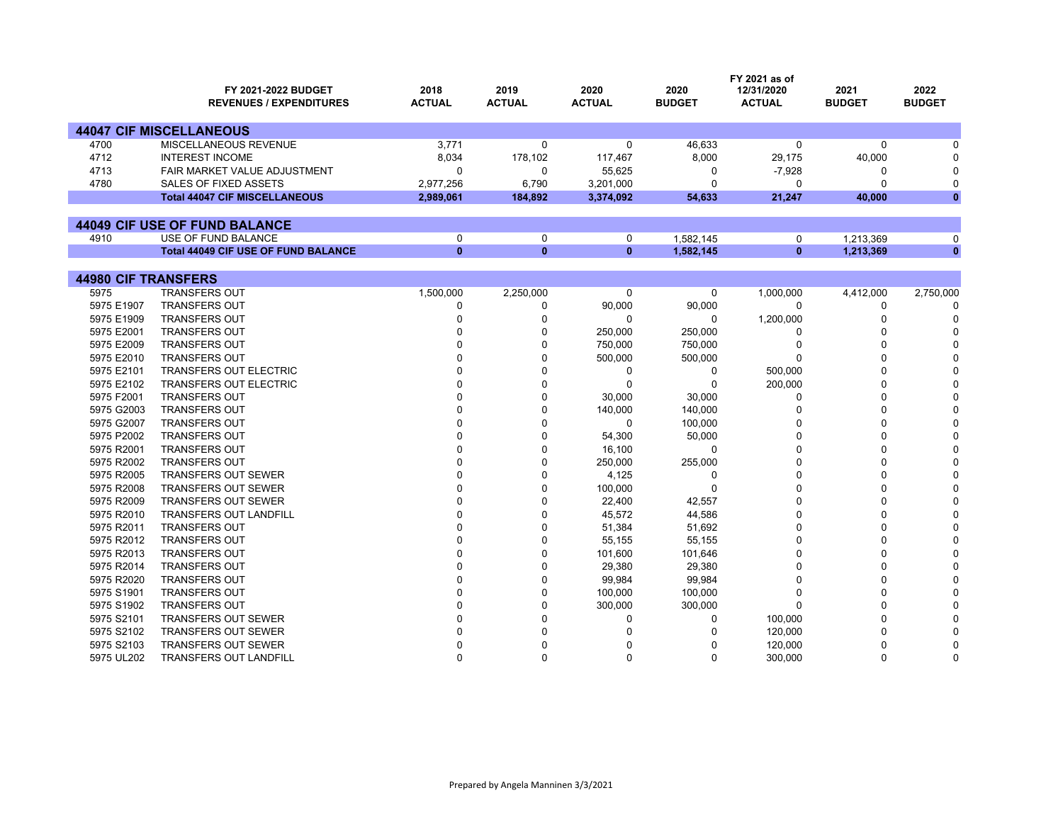|                            | <b>FY 2021-2022 BUDGET</b>                 | 2018          | 2019          | 2020          | 2020          | FY 2021 as of<br>12/31/2020 | 2021          | 2022          |
|----------------------------|--------------------------------------------|---------------|---------------|---------------|---------------|-----------------------------|---------------|---------------|
|                            | <b>REVENUES / EXPENDITURES</b>             | <b>ACTUAL</b> | <b>ACTUAL</b> | <b>ACTUAL</b> | <b>BUDGET</b> | <b>ACTUAL</b>               | <b>BUDGET</b> | <b>BUDGET</b> |
|                            | <b>44047 CIF MISCELLANEOUS</b>             |               |               |               |               |                             |               |               |
| 4700                       | MISCELLANEOUS REVENUE                      | 3.771         | 0             | $\Omega$      | 46,633        | $\Omega$                    | $\Omega$      | U             |
| 4712                       | <b>INTEREST INCOME</b>                     | 8,034         | 178,102       | 117,467       | 8,000         | 29,175                      | 40,000        | O             |
| 4713                       | <b>FAIR MARKET VALUE ADJUSTMENT</b>        | $\Omega$      | 0             | 55,625        | 0             | $-7,928$                    | 0             | $\Omega$      |
| 4780                       | SALES OF FIXED ASSETS                      | 2,977,256     | 6,790         | 3,201,000     | 0             | 0                           | 0             | $\mathbf 0$   |
|                            | <b>Total 44047 CIF MISCELLANEOUS</b>       | 2,989,061     | 184,892       | 3,374,092     | 54,633        | 21,247                      | 40,000        | $\bf{0}$      |
|                            |                                            |               |               |               |               |                             |               |               |
|                            | 44049 CIF USE OF FUND BALANCE              |               |               |               |               |                             |               |               |
| 4910                       | USE OF FUND BALANCE                        | $\mathbf 0$   | 0             | 0             | 1.582.145     | 0                           | 1,213,369     | 0             |
|                            | <b>Total 44049 CIF USE OF FUND BALANCE</b> | $\mathbf{0}$  | $\bf{0}$      | $\mathbf{0}$  | 1,582,145     | $\mathbf{0}$                | 1,213,369     | $\bf{0}$      |
|                            |                                            |               |               |               |               |                             |               |               |
| <b>44980 CIF TRANSFERS</b> |                                            |               |               |               |               |                             |               |               |
| 5975                       | <b>TRANSFERS OUT</b>                       | 1,500,000     | 2,250,000     | 0             | 0             | 1,000,000                   | 4,412,000     | 2,750,000     |
| 5975 E1907                 | <b>TRANSFERS OUT</b>                       | $\mathbf 0$   | 0             | 90,000        | 90,000        | $\mathbf 0$                 | 0             | $\Omega$      |
| 5975 E1909                 | <b>TRANSFERS OUT</b>                       | $\Omega$      | 0             | $\Omega$      | $\Omega$      | 1,200,000                   | $\Omega$      | $\Omega$      |
| 5975 E2001                 | <b>TRANSFERS OUT</b>                       | n             | 0             | 250,000       | 250,000       | 0                           | $\Omega$      |               |
| 5975 E2009                 | <b>TRANSFERS OUT</b>                       |               | 0             | 750,000       | 750,000       | 0                           | $\Omega$      |               |
| 5975 E2010                 | <b>TRANSFERS OUT</b>                       |               | 0             | 500,000       | 500,000       | $\Omega$                    | $\Omega$      |               |
| 5975 E2101                 | <b>TRANSFERS OUT ELECTRIC</b>              |               | $\Omega$      | $\Omega$      | 0             | 500,000                     | O             | U             |
| 5975 E2102                 | <b>TRANSFERS OUT ELECTRIC</b>              | $\Omega$      | 0             | $\Omega$      | 0             | 200,000                     | $\Omega$      |               |
| 5975 F2001                 | <b>TRANSFERS OUT</b>                       |               | 0             | 30,000        | 30,000        | 0                           | $\Omega$      |               |
| 5975 G2003                 | <b>TRANSFERS OUT</b>                       |               | 0             | 140,000       | 140,000       | $\Omega$                    | $\Omega$      | n             |
| 5975 G2007                 | <b>TRANSFERS OUT</b>                       |               | $\Omega$      | $\Omega$      | 100,000       | $\Omega$                    | $\Omega$      | O             |
| 5975 P2002                 | <b>TRANSFERS OUT</b>                       | n             | $\Omega$      | 54,300        | 50,000        | $\Omega$                    | $\Omega$      | ŋ             |
| 5975 R2001                 | <b>TRANSFERS OUT</b>                       |               | 0             | 16,100        | 0             | $\Omega$                    | $\Omega$      |               |
| 5975 R2002                 | <b>TRANSFERS OUT</b>                       |               | 0             | 250,000       | 255,000       | $\Omega$                    | $\Omega$      | O             |
| 5975 R2005                 | <b>TRANSFERS OUT SEWER</b>                 |               | $\Omega$      | 4,125         | 0             | $\Omega$                    | $\Omega$      | O             |
| 5975 R2008                 | <b>TRANSFERS OUT SEWER</b>                 |               | 0             | 100,000       | 0             | $\Omega$                    | $\Omega$      | U             |
| 5975 R2009                 | <b>TRANSFERS OUT SEWER</b>                 |               | 0             | 22,400        | 42,557        | $\Omega$                    | $\Omega$      |               |
| 5975 R2010                 | <b>TRANSFERS OUT LANDFILL</b>              |               | 0             | 45,572        | 44,586        | $\Omega$                    | $\Omega$      | O             |
| 5975 R2011                 | <b>TRANSFERS OUT</b>                       |               | $\Omega$      | 51,384        | 51,692        | $\Omega$                    | $\Omega$      | O             |
| 5975 R2012                 | <b>TRANSFERS OUT</b>                       |               | 0             | 55,155        | 55,155        | $\Omega$                    | $\Omega$      |               |
| 5975 R2013                 | <b>TRANSFERS OUT</b>                       |               | $\Omega$      | 101,600       | 101,646       | $\Omega$                    | $\Omega$      |               |
| 5975 R2014                 | <b>TRANSFERS OUT</b>                       |               | 0             | 29,380        | 29,380        | $\Omega$                    | $\Omega$      | ŋ             |
| 5975 R2020                 | <b>TRANSFERS OUT</b>                       |               | 0             | 99,984        | 99,984        | $\Omega$                    | $\Omega$      |               |
| 5975 S1901                 | <b>TRANSFERS OUT</b>                       |               | 0             | 100,000       | 100,000       | $\mathbf 0$                 | $\Omega$      |               |
| 5975 S1902                 | <b>TRANSFERS OUT</b>                       |               | 0             | 300,000       | 300,000       | $\Omega$                    | O             | ∩             |
| 5975 S2101                 | <b>TRANSFERS OUT SEWER</b>                 |               | 0             | $\Omega$      | 0             | 100,000                     |               | $\Omega$      |
| 5975 S2102                 | <b>TRANSFERS OUT SEWER</b>                 | $\Omega$      | $\Omega$      | U             | U             | 120,000                     | $\Omega$      | $\Omega$      |

R 0 0 0 0 120,000 0 0

L 0 0 0 0 300,000 0 0

S2103 TRANSFERS OUT SEWER

UL202 TRANSFERS OUT LANDFILL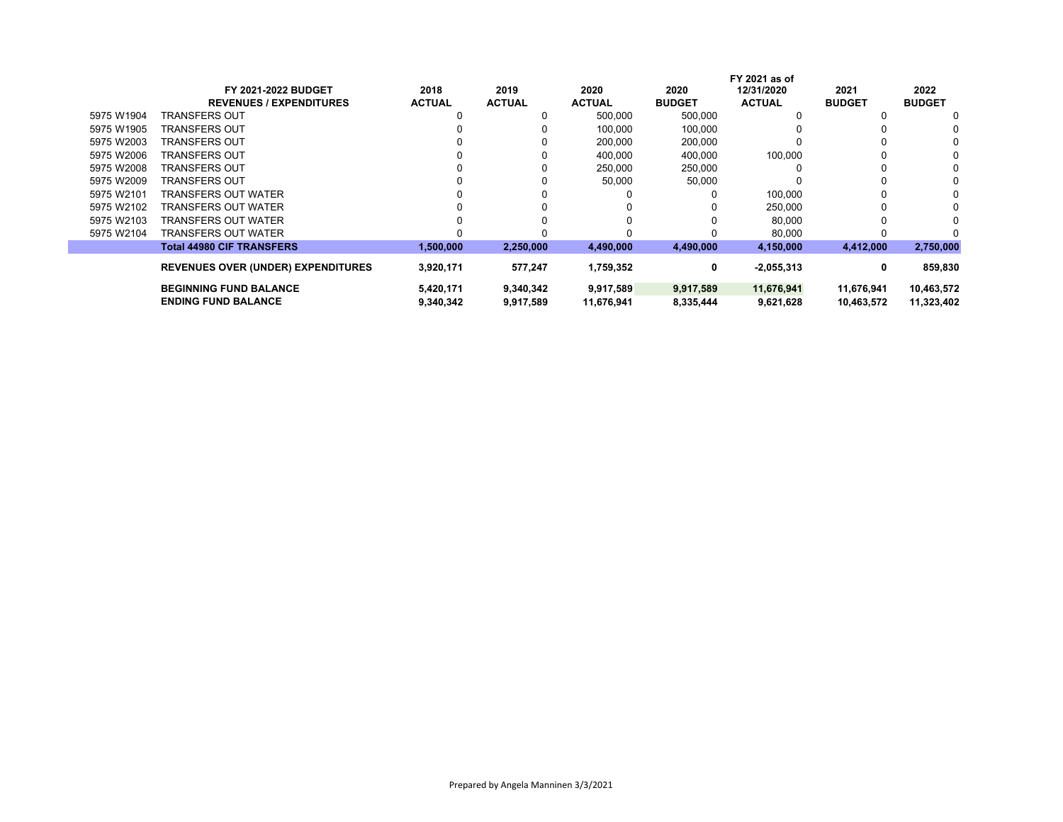| <b>FY 2021-2022 BUDGET</b>       | 2018                                      | 2019          | 2020          | 2020          | 12/31/2020    | 2021                          | 2022          |
|----------------------------------|-------------------------------------------|---------------|---------------|---------------|---------------|-------------------------------|---------------|
| <b>REVENUES / EXPENDITURES</b>   | <b>ACTUAL</b>                             | <b>ACTUAL</b> | <b>ACTUAL</b> | <b>BUDGET</b> | <b>ACTUAL</b> | <b>BUDGET</b>                 | <b>BUDGET</b> |
| TRANSFERS OUT                    |                                           | 0             | 500,000       | 500,000       |               |                               | 0             |
| TRANSFERS OUT                    |                                           |               | 100,000       | 100,000       |               |                               | 0             |
| TRANSFERS OUT                    |                                           |               | 200,000       | 200,000       |               |                               |               |
| TRANSFERS OUT                    |                                           |               | 400,000       | 400.000       | 100,000       |                               |               |
| TRANSFERS OUT                    |                                           |               | 250,000       | 250,000       |               |                               |               |
| TRANSFERS OUT                    |                                           |               | 50,000        | 50,000        |               |                               | 0             |
| TRANSFERS OUT WATER              |                                           |               |               |               | 100.000       |                               |               |
| TRANSFERS OUT WATER              |                                           |               |               |               | 250.000       |                               |               |
| TRANSFERS OUT WATER              |                                           |               |               |               | 80,000        |                               |               |
| TRANSFERS OUT WATER              |                                           |               |               |               | 80,000        |                               |               |
| <b>Total 44980 CIF TRANSFERS</b> | 1,500,000                                 | 2,250,000     | 4,490,000     | 4,490,000     | 4,150,000     | 4,412,000                     | 2,750,000     |
|                                  |                                           |               |               |               |               |                               | 859,830       |
|                                  |                                           |               |               |               |               |                               |               |
| <b>BEGINNING FUND BALANCE</b>    | 5,420,171                                 | 9,340,342     | 9,917,589     | 9,917,589     | 11,676,941    | 11,676,941                    | 10,463,572    |
| <b>ENDING FUND BALANCE</b>       | 9,340,342                                 | 9,917,589     | 11,676,941    | 8,335,444     | 9,621,628     | 10,463,572                    | 11,323,402    |
|                                  | <b>REVENUES OVER (UNDER) EXPENDITURES</b> | 3,920,171     | 577,247       | 1,759,352     | 0             | FY 2021 as of<br>$-2,055,313$ | 0             |

 $\mathbb{R}^n$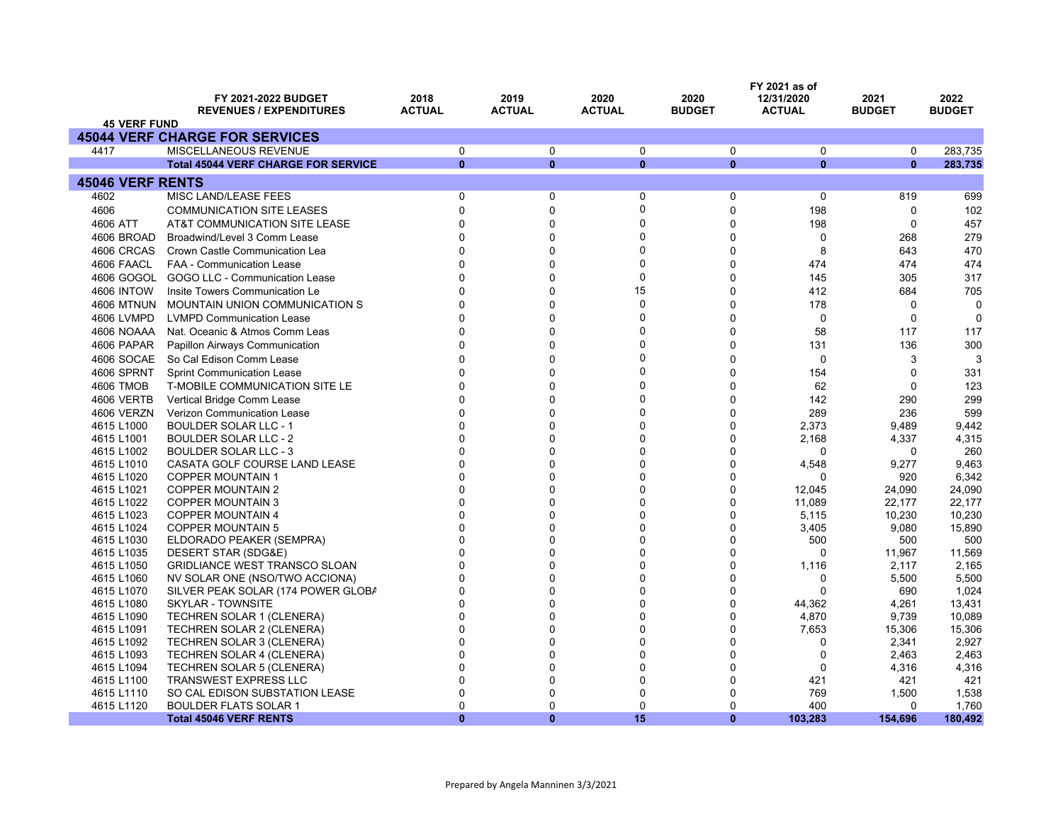|                          | FY 2021-2022 BUDGET<br><b>REVENUES / EXPENDITURES</b>                | 2018<br><b>ACTUAL</b>    | 2019<br><b>ACTUAL</b> | 2020<br><b>ACTUAL</b> | 2020<br><b>BUDGET</b>       | FY 2021 as of<br>12/31/2020<br><b>ACTUAL</b> | 2021<br><b>BUDGET</b> | 2022<br><b>BUDGET</b> |
|--------------------------|----------------------------------------------------------------------|--------------------------|-----------------------|-----------------------|-----------------------------|----------------------------------------------|-----------------------|-----------------------|
| <b>45 VERF FUND</b>      |                                                                      |                          |                       |                       |                             |                                              |                       |                       |
|                          | <b>45044 VERF CHARGE FOR SERVICES</b>                                |                          |                       |                       |                             |                                              |                       |                       |
| 4417                     | MISCELLANEOUS REVENUE                                                | 0                        | $\mathbf 0$           | $\Omega$              | $\mathbf 0$                 | 0                                            | $\mathbf 0$           | 283,735               |
|                          | <b>Total 45044 VERF CHARGE FOR SERVICE</b>                           | $\mathbf{0}$             | $\mathbf{0}$          | $\mathbf{0}$          | $\mathbf{0}$                | $\Omega$                                     | $\mathbf{0}$          | 283,735               |
| <b>45046 VERF RENTS</b>  |                                                                      |                          |                       |                       |                             |                                              |                       |                       |
| 4602                     | <b>MISC LAND/LEASE FEES</b>                                          | 0                        | $\pmb{0}$             | $\mathbf 0$           | $\pmb{0}$                   | $\mathbf 0$                                  | 819                   | 699                   |
| 4606                     | <b>COMMUNICATION SITE LEASES</b>                                     | $\mathbf{0}$             | $\pmb{0}$             | $\mathbf{0}$          | $\mathbf 0$                 | 198                                          | $\mathbf 0$           | 102                   |
| 4606 ATT                 | AT&T COMMUNICATION SITE LEASE                                        | $\Omega$                 | $\mathbf 0$           | $\Omega$              | $\mathbf 0$                 | 198                                          | $\mathbf 0$           | 457                   |
| 4606 BROAD               | Broadwind/Level 3 Comm Lease                                         | $\Omega$                 | $\Omega$              | $\Omega$              | $\mathbf{0}$                | 0                                            | 268                   | 279                   |
| 4606 CRCAS               | Crown Castle Communication Lea                                       | $\mathbf{0}$             | $\Omega$              | $\Omega$              | $\mathbf 0$                 | 8                                            | 643                   | 470                   |
| 4606 FAACL               | <b>FAA - Communication Lease</b>                                     | $\Omega$                 | $\Omega$              | $\Omega$              | $\Omega$                    | 474                                          | 474                   | 474                   |
|                          | 4606 GOGOL GOGO LLC - Communication Lease                            | $\Omega$                 | $\Omega$              | $\mathbf 0$           | $\mathbf{0}$                | 145                                          | 305                   | 317                   |
| <b>4606 INTOW</b>        | Insite Towers Communication Le                                       | $\Omega$                 | $\Omega$              | 15                    | $\mathbf 0$                 | 412                                          | 684                   | 705                   |
| <b>4606 MTNUN</b>        | MOUNTAIN UNION COMMUNICATION S                                       | $\Omega$                 | $\Omega$              | $\mathbf{0}$          | $\Omega$                    | 178                                          | $\Omega$              | 0                     |
| 4606 LVMPD               | <b>LVMPD Communication Lease</b>                                     | $\Omega$                 | 0                     | $\Omega$              | $\Omega$                    | $\mathbf 0$                                  | $\mathbf 0$           | $\Omega$              |
|                          |                                                                      | $\Omega$                 | $\Omega$              | $\Omega$              | $\mathbf{0}$                | 58                                           |                       |                       |
| 4606 NOAAA               | Nat. Oceanic & Atmos Comm Leas                                       |                          |                       | $\Omega$              |                             |                                              | 117                   | 117                   |
| 4606 PAPAR               | Papillon Airways Communication                                       | $\mathbf{0}$             | $\mathbf 0$           |                       | $\mathbf 0$                 | 131                                          | 136                   | 300                   |
| 4606 SOCAE               | So Cal Edison Comm Lease                                             | $\Omega$                 | $\Omega$              | $\Omega$              | $\Omega$                    | 0                                            | 3                     | 3                     |
| <b>4606 SPRNT</b>        | <b>Sprint Communication Lease</b>                                    | $\Omega$                 | $\Omega$              | $\Omega$              | $\mathbf 0$                 | 154                                          | $\Omega$              | 331                   |
| 4606 TMOB                | T-MOBILE COMMUNICATION SITE LE                                       | $\Omega$                 | 0                     | $\Omega$              | 0                           | 62                                           | $\Omega$              | 123                   |
| 4606 VERTB               | Vertical Bridge Comm Lease                                           | $\Omega$                 | $\Omega$              | $\Omega$              | $\Omega$                    | 142                                          | 290                   | 299                   |
| 4606 VERZN               | Verizon Communication Lease                                          | $\Omega$                 | $\Omega$              | $\Omega$              | $\mathbf{0}$                | 289                                          | 236                   | 599                   |
| 4615 L1000               | <b>BOULDER SOLAR LLC - 1</b>                                         | $\Omega$                 | $\Omega$              | $\Omega$              | $\Omega$                    | 2,373                                        | 9,489                 | 9,442                 |
| 4615 L1001               | <b>BOULDER SOLAR LLC - 2</b>                                         | $\Omega$                 | $\Omega$              | $\Omega$              | $\mathbf{0}$                | 2,168                                        | 4,337                 | 4,315                 |
| 4615 L1002               | <b>BOULDER SOLAR LLC - 3</b>                                         | $\Omega$                 | $\mathbf 0$           | $\Omega$              | $\mathbf 0$                 | 0                                            | 0                     | 260                   |
| 4615 L1010               | CASATA GOLF COURSE LAND LEASE                                        | $\Omega$                 | $\Omega$              | $\Omega$              | $\mathbf{0}$                | 4,548                                        | 9,277                 | 9,463                 |
| 4615 L1020               | <b>COPPER MOUNTAIN 1</b>                                             | $\mathbf{0}$             | $\Omega$              | $\Omega$              | $\mathbf{0}$                | $\Omega$                                     | 920                   | 6,342                 |
| 4615 L1021               | <b>COPPER MOUNTAIN 2</b>                                             | $\Omega$                 | 0                     | 0                     | $\Omega$                    | 12,045                                       | 24,090                | 24,090                |
| 4615 L1022               | <b>COPPER MOUNTAIN 3</b>                                             | $\mathbf 0$              | 0                     | $\Omega$              | $\mathbf 0$                 | 11,089                                       | 22,177                | 22,177                |
| 4615 L1023               | <b>COPPER MOUNTAIN 4</b>                                             | $\Omega$                 | $\Omega$              | $\Omega$              | $\mathbf{0}$                | 5,115                                        | 10,230                | 10,230                |
| 4615 L1024               | <b>COPPER MOUNTAIN 5</b>                                             | $\mathbf{0}$<br>$\Omega$ | 0<br>0                | $\Omega$<br>$\Omega$  | $\mathbf 0$<br>$\mathbf{0}$ | 3,405                                        | 9,080                 | 15,890                |
| 4615 L1030               | ELDORADO PEAKER (SEMPRA)                                             | $\Omega$                 | $\mathbf 0$           | $\Omega$              | $\mathbf 0$                 | 500<br>0                                     | 500                   | 500                   |
| 4615 L1035<br>4615 L1050 | DESERT STAR (SDG&E)<br><b>GRIDLIANCE WEST TRANSCO SLOAN</b>          | $\Omega$                 | $\Omega$              | $\Omega$              | $\Omega$                    | 1,116                                        | 11,967<br>2,117       | 11,569<br>2,165       |
| 4615 L1060               |                                                                      | $\mathbf{0}$             | 0                     | $\Omega$              | $\Omega$                    | 0                                            | 5,500                 | 5,500                 |
| 4615 L1070               | NV SOLAR ONE (NSO/TWO ACCIONA)<br>SILVER PEAK SOLAR (174 POWER GLOBA | $\Omega$                 | 0                     | 0                     | $\Omega$                    | 0                                            | 690                   | 1,024                 |
| 4615 L1080               | <b>SKYLAR - TOWNSITE</b>                                             | $\Omega$                 | $\Omega$              | 0                     | $\mathbf 0$                 | 44,362                                       | 4,261                 | 13,431                |
| 4615 L1090               | <b>TECHREN SOLAR 1 (CLENERA)</b>                                     | $\Omega$                 | 0                     | $\Omega$              | $\mathbf{0}$                | 4,870                                        | 9,739                 | 10,089                |
| 4615 L1091               | TECHREN SOLAR 2 (CLENERA)                                            | $\Omega$                 | $\Omega$              | $\Omega$              | $\Omega$                    | 7,653                                        | 15,306                | 15,306                |
| 4615 L1092               | <b>TECHREN SOLAR 3 (CLENERA)</b>                                     | $\Omega$                 | $\Omega$              | $\Omega$              | $\mathbf{0}$                | 0                                            | 2,341                 | 2,927                 |
| 4615 L1093               | <b>TECHREN SOLAR 4 (CLENERA)</b>                                     | $\Omega$                 | $\Omega$              | $\Omega$              | $\mathbf 0$                 | 0                                            | 2,463                 | 2,463                 |
| 4615 L1094               | TECHREN SOLAR 5 (CLENERA)                                            | $\Omega$                 | $\Omega$              | $\Omega$              | $\mathbf{0}$                | $\Omega$                                     | 4,316                 | 4,316                 |
| 4615 L1100               | <b>TRANSWEST EXPRESS LLC</b>                                         | 0                        | $\Omega$              | 0                     | $\Omega$                    | 421                                          | 421                   | 421                   |
| 4615 L1110               | SO CAL EDISON SUBSTATION LEASE                                       | 0                        | $\Omega$              | 0                     | 0                           | 769                                          | 1,500                 | 1,538                 |
| 4615 L1120               | <b>BOULDER FLATS SOLAR 1</b>                                         | $\Omega$                 | $\Omega$              | $\mathbf{0}$          | $\mathbf{0}$                | 400                                          | $\mathbf{0}$          | 1,760                 |
|                          | <b>Total 45046 VERF RENTS</b>                                        | $\mathbf{0}$             | $\mathbf{0}$          | 15                    | $\mathbf{0}$                | 103,283                                      | 154,696               | 180,492               |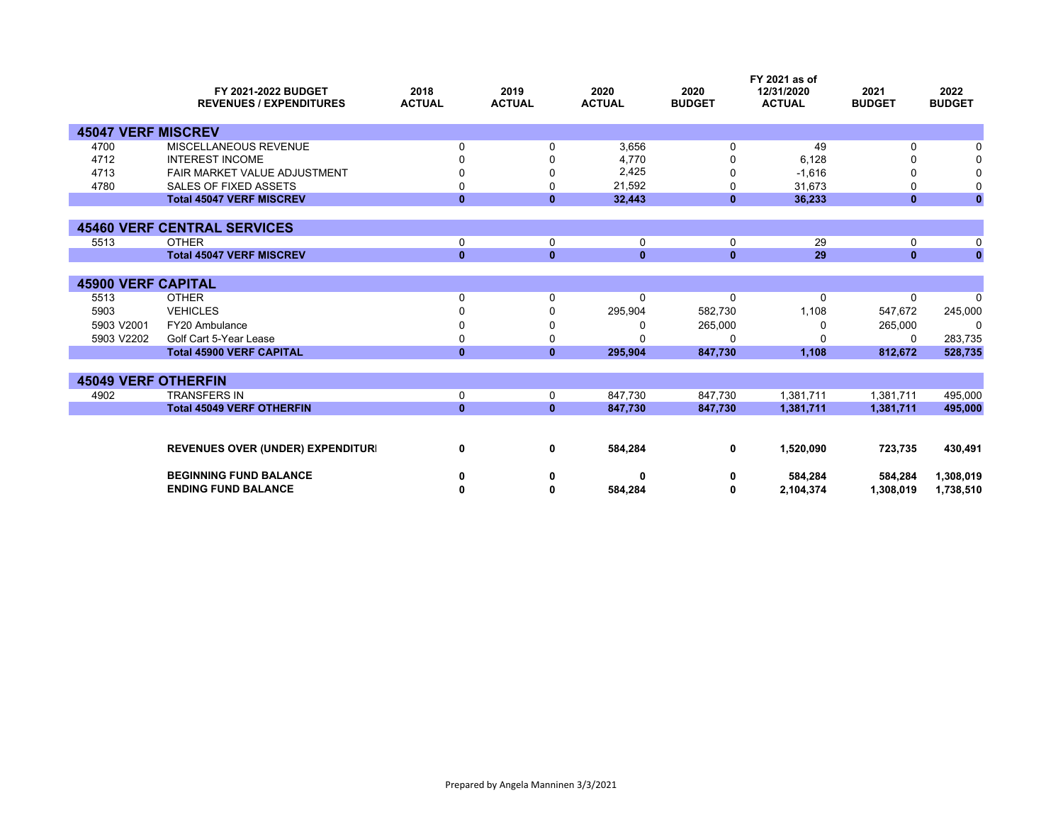|                            | FY 2021-2022 BUDGET<br><b>REVENUES / EXPENDITURES</b> | 2018<br><b>ACTUAL</b> | 2019<br><b>ACTUAL</b> | 2020<br><b>ACTUAL</b> | 2020<br><b>BUDGET</b> | FY 2021 as of<br>12/31/2020<br><b>ACTUAL</b> | 2021<br><b>BUDGET</b> | 2022<br><b>BUDGET</b> |
|----------------------------|-------------------------------------------------------|-----------------------|-----------------------|-----------------------|-----------------------|----------------------------------------------|-----------------------|-----------------------|
| <b>45047 VERF MISCREV</b>  |                                                       |                       |                       |                       |                       |                                              |                       |                       |
| 4700                       | MISCELLANEOUS REVENUE                                 | 0                     | 0                     | 3,656                 | 0                     | 49                                           | 0                     |                       |
| 4712                       | <b>INTEREST INCOME</b>                                |                       |                       | 4.770                 |                       | 6.128                                        |                       |                       |
| 4713                       | FAIR MARKET VALUE ADJUSTMENT                          | ŋ                     | O                     | 2,425                 | 0                     | $-1,616$                                     | n                     |                       |
| 4780                       | SALES OF FIXED ASSETS                                 | 0                     | 0                     | 21,592                | 0                     | 31,673                                       | O                     |                       |
|                            | <b>Total 45047 VERF MISCREV</b>                       | $\bf{0}$              | $\mathbf{0}$          | 32,443                | $\mathbf{0}$          | 36,233                                       | 0                     | $\mathbf{0}$          |
|                            |                                                       |                       |                       |                       |                       |                                              |                       |                       |
|                            | <b>45460 VERF CENTRAL SERVICES</b>                    |                       |                       |                       |                       |                                              |                       |                       |
| 5513                       | <b>OTHER</b>                                          | 0                     | 0                     | 0                     | 0                     | 29                                           | 0                     | 0                     |
|                            | <b>Total 45047 VERF MISCREV</b>                       | $\mathbf{0}$          | $\mathbf{0}$          | $\mathbf{0}$          | $\mathbf{0}$          | 29                                           | $\mathbf{0}$          | $\mathbf{0}$          |
|                            |                                                       |                       |                       |                       |                       |                                              |                       |                       |
| <b>45900 VERF CAPITAL</b>  |                                                       |                       |                       |                       |                       |                                              |                       |                       |
| 5513                       | <b>OTHER</b>                                          | 0                     | 0                     | $\Omega$              | 0                     | $\Omega$                                     | 0                     | $\Omega$              |
| 5903                       | <b>VEHICLES</b>                                       |                       |                       | 295,904               | 582,730               | 1,108                                        | 547,672               | 245,000               |
| 5903 V2001                 | FY20 Ambulance                                        |                       |                       |                       | 265,000               | O                                            | 265,000               | $\Omega$              |
| 5903 V2202                 | Golf Cart 5-Year Lease                                | 0                     | 0                     |                       | $\Omega$              |                                              | 0                     | 283,735               |
|                            | <b>Total 45900 VERF CAPITAL</b>                       | $\mathbf{0}$          | $\bf{0}$              | 295,904               | 847,730               | 1,108                                        | 812,672               | 528,735               |
|                            |                                                       |                       |                       |                       |                       |                                              |                       |                       |
| <b>45049 VERF OTHERFIN</b> |                                                       |                       |                       |                       |                       |                                              |                       |                       |
| 4902                       | <b>TRANSFERS IN</b>                                   | 0                     | 0                     | 847,730               | 847,730               | 1,381,711                                    | 1,381,711             | 495,000               |
|                            | <b>Total 45049 VERF OTHERFIN</b>                      | $\mathbf{0}$          | $\mathbf{0}$          | 847,730               | 847,730               | 1,381,711                                    | 1,381,711             | 495,000               |
|                            |                                                       |                       |                       |                       |                       |                                              |                       |                       |
|                            | <b>REVENUES OVER (UNDER) EXPENDITURI</b>              | 0                     | 0                     | 584,284               | 0                     | 1,520,090                                    | 723,735               | 430,491               |
|                            | <b>BEGINNING FUND BALANCE</b>                         | 0                     | 0                     | ŋ                     | 0                     | 584,284                                      | 584,284               | 1,308,019             |
|                            | <b>ENDING FUND BALANCE</b>                            | 0                     | 0                     | 584,284               | 0                     | 2,104,374                                    | 1,308,019             | 1,738,510             |
|                            |                                                       |                       |                       |                       |                       |                                              |                       |                       |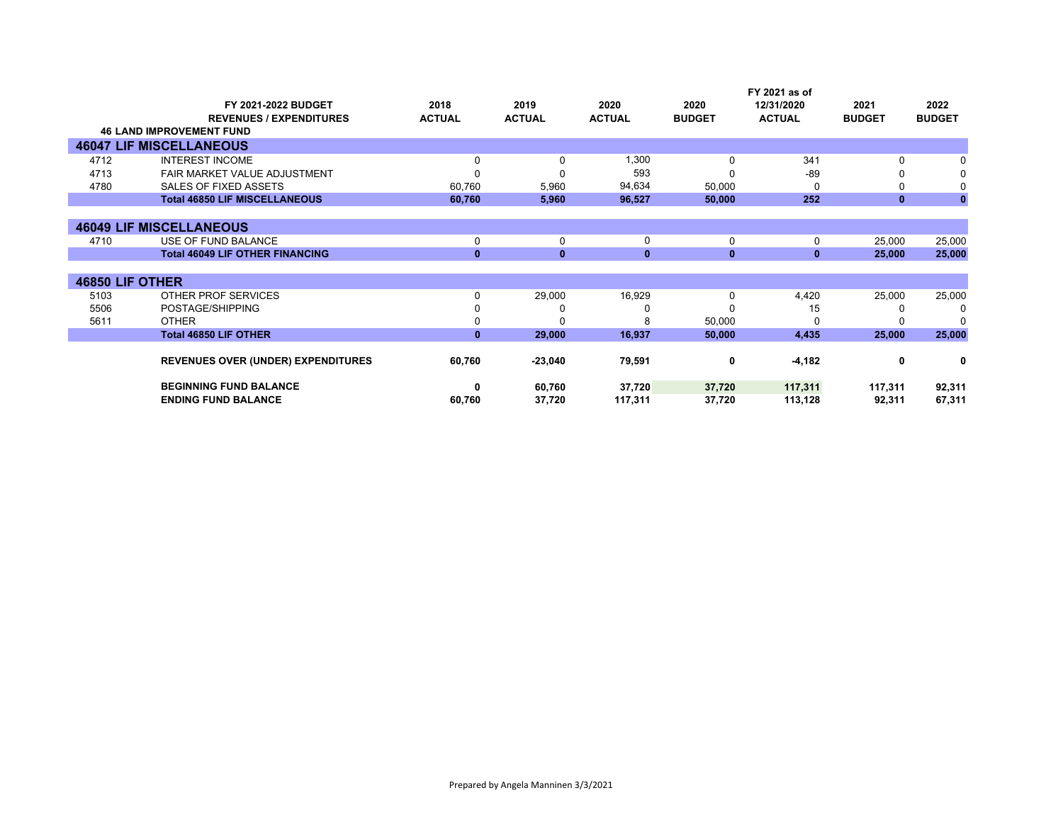|                 | FY 2021-2022 BUDGET                       | 2018          | 2019          | 2020          | 2020          | FY 2021 as of<br>12/31/2020 | 2021          | 2022          |
|-----------------|-------------------------------------------|---------------|---------------|---------------|---------------|-----------------------------|---------------|---------------|
|                 | <b>REVENUES / EXPENDITURES</b>            | <b>ACTUAL</b> | <b>ACTUAL</b> | <b>ACTUAL</b> | <b>BUDGET</b> | <b>ACTUAL</b>               | <b>BUDGET</b> | <b>BUDGET</b> |
|                 | <b>46 LAND IMPROVEMENT FUND</b>           |               |               |               |               |                             |               |               |
|                 | <b>46047 LIF MISCELLANEOUS</b>            |               |               |               |               |                             |               |               |
| 4712            | <b>INTEREST INCOME</b>                    | $\Omega$      | 0             | 1,300         | 0             | 341                         | 0             |               |
| 4713            | FAIR MARKET VALUE ADJUSTMENT              |               |               | 593           |               | $-89$                       |               | 0             |
| 4780            | SALES OF FIXED ASSETS                     | 60,760        | 5,960         | 94,634        | 50,000        | 0                           |               | 0             |
|                 | <b>Total 46850 LIF MISCELLANEOUS</b>      | 60,760        | 5,960         | 96,527        | 50,000        | 252                         | $\mathbf{0}$  | $\mathbf{0}$  |
|                 |                                           |               |               |               |               |                             |               |               |
|                 | <b>46049 LIF MISCELLANEOUS</b>            |               |               |               |               |                             |               |               |
| 4710            | USE OF FUND BALANCE                       | 0             | $\Omega$      | 0             | 0             | 0                           | 25,000        | 25,000        |
|                 | <b>Total 46049 LIF OTHER FINANCING</b>    | $\mathbf{0}$  | $\mathbf{0}$  | $\mathbf{0}$  | $\mathbf{0}$  | $\mathbf{0}$                | 25,000        | 25,000        |
|                 |                                           |               |               |               |               |                             |               |               |
| 46850 LIF OTHER |                                           |               |               |               |               |                             |               |               |
| 5103            | OTHER PROF SERVICES                       | $\Omega$      | 29,000        | 16,929        | 0             | 4,420                       | 25,000        | 25,000        |
| 5506            | POSTAGE/SHIPPING                          |               |               |               | U             | 15                          | 0             | 0             |
| 5611            | <b>OTHER</b>                              |               |               | 8             | 50,000        | U                           |               | n             |
|                 | <b>Total 46850 LIF OTHER</b>              | $\mathbf{0}$  | 29,000        | 16,937        | 50,000        | 4,435                       | 25,000        | 25,000        |
|                 |                                           |               |               |               |               |                             |               |               |
|                 | <b>REVENUES OVER (UNDER) EXPENDITURES</b> | 60,760        | $-23,040$     | 79,591        | 0             | $-4,182$                    | 0             | 0             |
|                 | <b>BEGINNING FUND BALANCE</b>             |               | 60,760        | 37,720        | 37,720        | 117,311                     | 117,311       | 92,311        |
|                 | <b>ENDING FUND BALANCE</b>                | 60,760        | 37,720        | 117,311       | 37,720        | 113,128                     | 92,311        | 67,311        |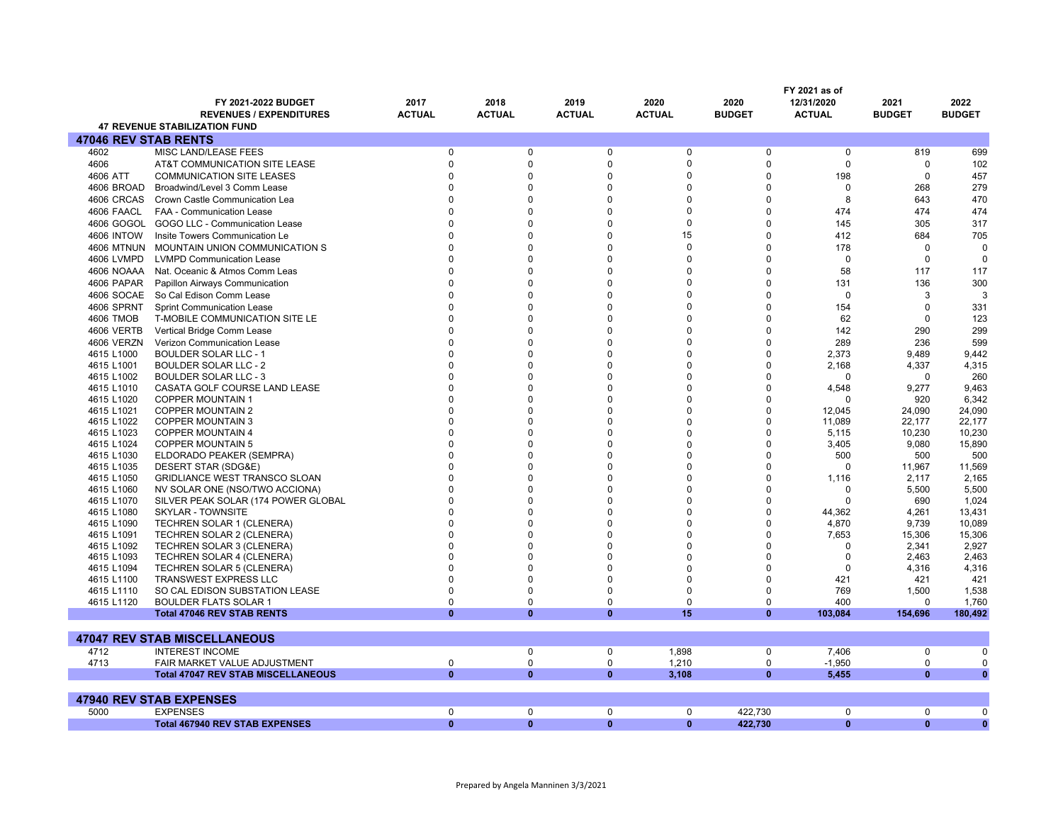|                             |                                           |               |               |               |               |               | FY 2021 as of |               |               |
|-----------------------------|-------------------------------------------|---------------|---------------|---------------|---------------|---------------|---------------|---------------|---------------|
|                             | FY 2021-2022 BUDGET                       | 2017          | 2018          | 2019          | 2020          | 2020          | 12/31/2020    | 2021          | 2022          |
|                             | <b>REVENUES / EXPENDITURES</b>            | <b>ACTUAL</b> | <b>ACTUAL</b> | <b>ACTUAL</b> | <b>ACTUAL</b> | <b>BUDGET</b> | <b>ACTUAL</b> | <b>BUDGET</b> | <b>BUDGET</b> |
|                             | <b>47 REVENUE STABILIZATION FUND</b>      |               |               |               |               |               |               |               |               |
| <b>47046 REV STAB RENTS</b> |                                           |               |               |               |               |               |               |               |               |
| 4602                        | MISC LAND/LEASE FEES                      | 0             | $\mathbf 0$   | $\Omega$      | $\mathbf 0$   | $\Omega$      | $\mathbf 0$   | 819           | 699           |
| 4606                        | AT&T COMMUNICATION SITE LEASE             | $\Omega$      | $\Omega$      | $\Omega$      | $\Omega$      | $\Omega$      | $\Omega$      | $\Omega$      | 102           |
| 4606 ATT                    | <b>COMMUNICATION SITE LEASES</b>          | $\Omega$      | $\Omega$      | $\Omega$      | $\Omega$      | $\Omega$      | 198           | $\Omega$      | 457           |
| 4606 BROAD                  | Broadwind/Level 3 Comm Lease              | $\Omega$      | $\Omega$      | $\Omega$      | $\Omega$      | $\Omega$      | $\mathbf 0$   | 268           | 279           |
| 4606 CRCAS                  | Crown Castle Communication Lea            | $\Omega$      | $\Omega$      | $\Omega$      | $\Omega$      | $\Omega$      | 8             | 643           | 470           |
| 4606 FAACL                  | <b>FAA - Communication Lease</b>          | $\Omega$      | $\Omega$      | $\Omega$      | $\Omega$      | $\Omega$      | 474           | 474           | 474           |
| 4606 GOGOL                  | GOGO LLC - Communication Lease            | $\Omega$      | $\Omega$      | $\Omega$      | 0             | $\Omega$      | 145           | 305           | 317           |
| <b>4606 INTOW</b>           | Insite Towers Communication Le            | $\Omega$      | $\Omega$      | $\Omega$      | 15            | $\Omega$      | 412           | 684           | 705           |
| <b>4606 MTNUN</b>           | MOUNTAIN UNION COMMUNICATION S            | $\Omega$      | $\Omega$      | $\Omega$      | $\Omega$      | $\Omega$      | 178           | $\mathbf 0$   | 0             |
| 4606 LVMPD                  | <b>LVMPD Communication Lease</b>          | $\Omega$      | $\Omega$      | $\Omega$      | $\Omega$      | $\Omega$      | $\mathbf 0$   | $\Omega$      | $\mathbf 0$   |
| 4606 NOAAA                  | Nat. Oceanic & Atmos Comm Leas            | $\Omega$      | $\Omega$      | $\Omega$      | O             | $\Omega$      | 58            | 117           | 117           |
| 4606 PAPAR                  | Papillon Airways Communication            | $\Omega$      | $\Omega$      | $\Omega$      | $\Omega$      | $\Omega$      | 131           | 136           | 300           |
| 4606 SOCAE                  | So Cal Edison Comm Lease                  | $\Omega$      | $\Omega$      | $\Omega$      | $\Omega$      | $\Omega$      | $\Omega$      | 3             | 3             |
| 4606 SPRNT                  | <b>Sprint Communication Lease</b>         | $\Omega$      | $\Omega$      | $\Omega$      | $\Omega$      | $\Omega$      | 154           | $\Omega$      | 331           |
| <b>4606 TMOB</b>            | T-MOBILE COMMUNICATION SITE LE            | $\Omega$      | $\Omega$      | $\Omega$      | $\Omega$      | $\Omega$      | 62            | $\Omega$      | 123           |
| 4606 VERTB                  | Vertical Bridge Comm Lease                | $\Omega$      | $\Omega$      | $\Omega$      | O             | U             | 142           | 290           | 299           |
| 4606 VERZN                  | <b>Verizon Communication Lease</b>        | $\Omega$      | $\Omega$      | $\Omega$      | $\Omega$      | $\Omega$      | 289           | 236           | 599           |
| 4615 L1000                  | <b>BOULDER SOLAR LLC - 1</b>              | $\Omega$      | $\Omega$      | $\Omega$      | O             | O             | 2,373         | 9.489         | 9,442         |
| 4615 L1001                  | <b>BOULDER SOLAR LLC - 2</b>              | $\Omega$      | $\Omega$      | $\Omega$      | $\Omega$      | $\Omega$      | 2,168         | 4,337         | 4,315         |
| 4615 L1002                  | <b>BOULDER SOLAR LLC - 3</b>              | $\Omega$      | $\Omega$      | $\Omega$      | $\Omega$      | $\Omega$      | $\mathbf 0$   | $\Omega$      | 260           |
| 4615 L1010                  | CASATA GOLF COURSE LAND LEASE             | $\Omega$      | $\Omega$      | $\Omega$      | O             | $\Omega$      | 4,548         | 9,277         | 9,463         |
| 4615 L1020                  | <b>COPPER MOUNTAIN 1</b>                  | $\Omega$      | $\Omega$      | $\Omega$      | O             | $\Omega$      | $\Omega$      | 920           | 6,342         |
| 4615 L1021                  | <b>COPPER MOUNTAIN 2</b>                  | $\Omega$      | $\Omega$      | $\Omega$      | $\Omega$      | $\Omega$      | 12,045        | 24,090        | 24,090        |
| 4615 L1022                  | <b>COPPER MOUNTAIN 3</b>                  | $\Omega$      | $\Omega$      | $\Omega$      | $\Omega$      | $\Omega$      | 11,089        | 22,177        | 22,177        |
| 4615 L1023                  | <b>COPPER MOUNTAIN 4</b>                  | $\Omega$      | $\Omega$      | $\Omega$      | $\Omega$      | $\Omega$      | 5,115         | 10,230        | 10,230        |
| 4615 L1024                  | <b>COPPER MOUNTAIN 5</b>                  | O             | $\Omega$      | $\Omega$      | O             | $\Omega$      | 3,405         | 9,080         | 15,890        |
| 4615 L1030                  | ELDORADO PEAKER (SEMPRA)                  | $\Omega$      | $\Omega$      | $\Omega$      | $\Omega$      | $\Omega$      | 500           | 500           | 500           |
| 4615 L1035                  | DESERT STAR (SDG&E)                       | $\Omega$      | $\Omega$      | $\Omega$      | $\Omega$      | $\Omega$      | $\Omega$      | 11,967        | 11,569        |
| 4615 L1050                  | GRIDLIANCE WEST TRANSCO SLOAN             | n             | $\Omega$      | $\Omega$      | O             | $\Omega$      | 1,116         | 2,117         | 2,165         |
| 4615 L1060                  | NV SOLAR ONE (NSO/TWO ACCIONA)            | $\Omega$      | $\Omega$      | $\Omega$      | $\Omega$      | O             | $\mathbf 0$   | 5,500         | 5,500         |
| 4615 L1070                  | SILVER PEAK SOLAR (174 POWER GLOBAL       | $\Omega$      | $\Omega$      | $\Omega$      | $\Omega$      | $\Omega$      | $\Omega$      | 690           | 1,024         |
| 4615 L1080                  | <b>SKYLAR - TOWNSITE</b>                  | U             | $\Omega$      | $\Omega$      | $\Omega$      | $\Omega$      | 44,362        | 4,261         | 13,431        |
| 4615 L1090                  | TECHREN SOLAR 1 (CLENERA)                 | $\Omega$      | $\Omega$      | $\Omega$      | $\Omega$      | $\Omega$      | 4,870         | 9,739         | 10,089        |
| 4615 L1091                  | TECHREN SOLAR 2 (CLENERA)                 | O             | O             | $\Omega$      | O             | $\Omega$      | 7,653         | 15,306        | 15,306        |
| 4615 L1092                  | TECHREN SOLAR 3 (CLENERA)                 | $\Omega$      | $\Omega$      | $\Omega$      | $\Omega$      | $\Omega$      | $\Omega$      | 2,341         | 2,927         |
| 4615 L1093                  | TECHREN SOLAR 4 (CLENERA)                 | $\Omega$      | $\Omega$      | $\Omega$      | $\Omega$      | $\Omega$      | $\mathbf 0$   | 2.463         | 2,463         |
| 4615 L1094                  | TECHREN SOLAR 5 (CLENERA)                 | $\Omega$      | $\Omega$      | n             | O             | O             | $\Omega$      | 4,316         | 4,316         |
| 4615 L1100                  | <b>TRANSWEST EXPRESS LLC</b>              | $\Omega$      | $\Omega$      | $\Omega$      | $\Omega$      | $\Omega$      | 421           | 421           | 421           |
| 4615 L1110                  | SO CAL EDISON SUBSTATION LEASE            | $\Omega$      | $\Omega$      | $\Omega$      | $\Omega$      | $\Omega$      | 769           | 1,500         | 1,538         |
| 4615 L1120                  | <b>BOULDER FLATS SOLAR 1</b>              | $\Omega$      | $\Omega$      | $\Omega$      | $\mathbf 0$   | 0             | 400           | $\Omega$      | 1,760         |
|                             | <b>Total 47046 REV STAB RENTS</b>         | $\bf{0}$      | $\bf{0}$      | $\bf{0}$      | 15            | $\bf{0}$      | 103,084       | 154,696       | 180,492       |
|                             |                                           |               |               |               |               |               |               |               |               |
|                             | <b>47047 REV STAB MISCELLANEOUS</b>       |               |               |               |               |               |               |               |               |
| 4712                        | <b>INTEREST INCOME</b>                    |               | $\mathbf 0$   | $\Omega$      | 1,898         | 0             | 7,406         | $\mathbf 0$   | $\Omega$      |
| 4713                        | FAIR MARKET VALUE ADJUSTMENT              | 0             | $\Omega$      | 0             | 1,210         | 0             | $-1,950$      | $\mathbf 0$   | $\Omega$      |
|                             | <b>Total 47047 REV STAB MISCELLANEOUS</b> | $\mathbf{0}$  | $\bf{0}$      | $\mathbf{0}$  | 3,108         | $\mathbf{0}$  | 5,455         | $\mathbf{0}$  | $\bf{0}$      |
|                             |                                           |               |               |               |               |               |               |               |               |
|                             | <b>47940 REV STAB EXPENSES</b>            |               |               |               |               |               |               |               |               |
| 5000                        | <b>EXPENSES</b>                           | 0             | $\mathbf 0$   | $\mathbf 0$   | $\mathbf 0$   | 422,730       | $\mathbf 0$   | $\mathbf 0$   | $\mathbf 0$   |
|                             | <b>Total 467940 REV STAB EXPENSES</b>     | $\mathbf{0}$  | $\bf{0}$      | $\mathbf{0}$  | $\mathbf{0}$  | 422,730       | $\mathbf{0}$  | $\mathbf{0}$  | $\mathbf{0}$  |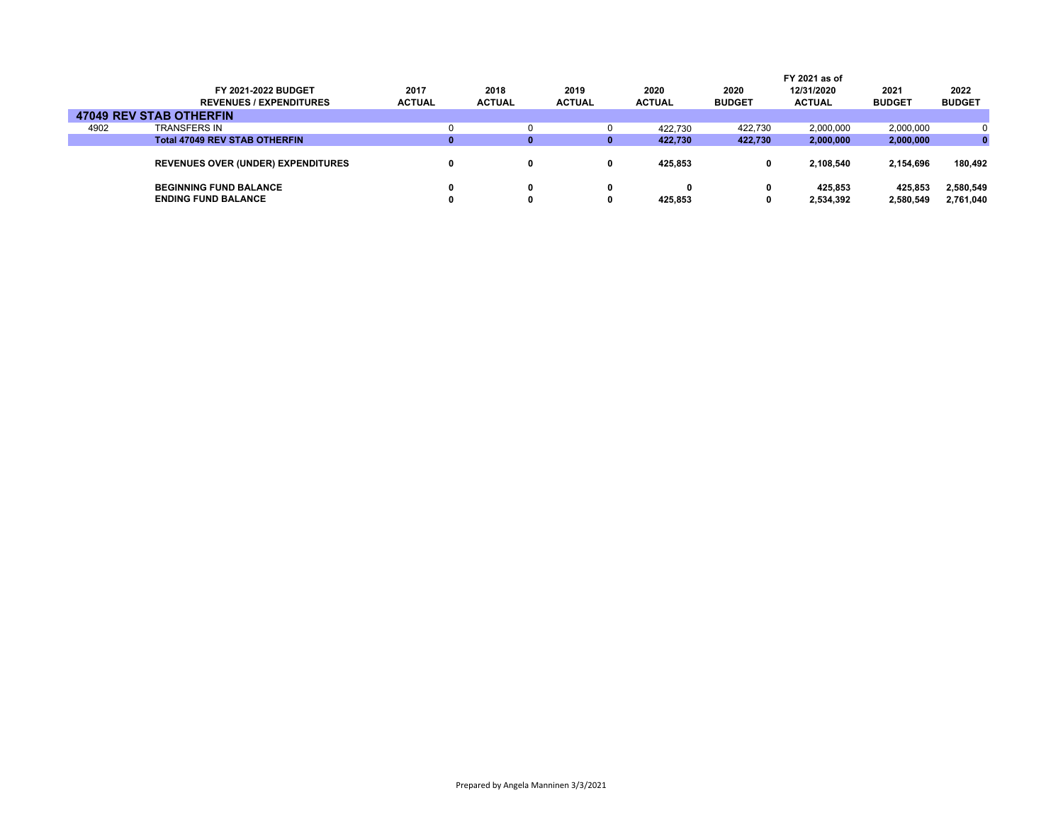|      |                                           |               |               |               |   |               |               | FY 2021 as of |               |               |
|------|-------------------------------------------|---------------|---------------|---------------|---|---------------|---------------|---------------|---------------|---------------|
|      | FY 2021-2022 BUDGET                       | 2017          | 2018          | 2019          |   | 2020          | 2020          | 12/31/2020    | 2021          | 2022          |
|      | <b>REVENUES / EXPENDITURES</b>            | <b>ACTUAL</b> | <b>ACTUAL</b> | <b>ACTUAL</b> |   | <b>ACTUAL</b> | <b>BUDGET</b> | <b>ACTUAL</b> | <b>BUDGET</b> | <b>BUDGET</b> |
|      | <b>47049 REV STAB OTHERFIN</b>            |               |               |               |   |               |               |               |               |               |
| 4902 | TRANSFERS IN                              |               |               |               |   | 422.730       | 422.730       | 2,000,000     | 2,000,000     |               |
|      | <b>Total 47049 REV STAB OTHERFIN</b>      |               | 0             |               | 0 | 422,730       | 422.730       | 2,000,000     | 2,000,000     |               |
|      | <b>REVENUES OVER (UNDER) EXPENDITURES</b> |               | 0             |               |   | 425.853       | 0             | 2.108.540     | 2.154.696     | 180.492       |
|      | <b>BEGINNING FUND BALANCE</b>             |               | 0             |               | 0 |               | 0             | 425.853       | 425.853       | 2,580,549     |
|      | <b>ENDING FUND BALANCE</b>                |               |               |               |   | 425.853       | 0             | 2,534,392     | 2,580,549     | 2,761,040     |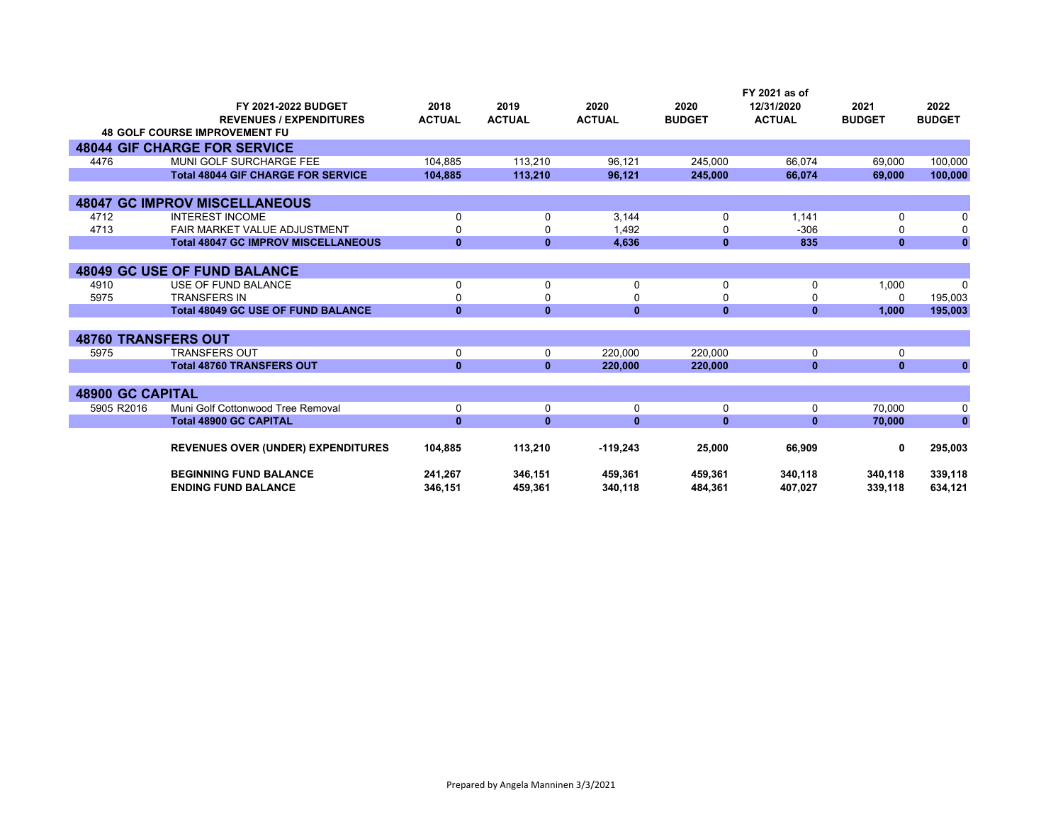|                            | FY 2021-2022 BUDGET                        | 2018          | 2019          | 2020          | 2020          | FY 2021 as of<br>12/31/2020 | 2021          | 2022          |
|----------------------------|--------------------------------------------|---------------|---------------|---------------|---------------|-----------------------------|---------------|---------------|
|                            | <b>REVENUES / EXPENDITURES</b>             | <b>ACTUAL</b> | <b>ACTUAL</b> | <b>ACTUAL</b> | <b>BUDGET</b> | <b>ACTUAL</b>               | <b>BUDGET</b> | <b>BUDGET</b> |
|                            | <b>48 GOLF COURSE IMPROVEMENT FU</b>       |               |               |               |               |                             |               |               |
|                            | <b>48044 GIF CHARGE FOR SERVICE</b>        |               |               |               |               |                             |               |               |
| 4476                       | MUNI GOLF SURCHARGE FEE                    | 104,885       | 113,210       | 96,121        | 245,000       | 66,074                      | 69,000        | 100,000       |
|                            | <b>Total 48044 GIF CHARGE FOR SERVICE</b>  | 104,885       | 113,210       | 96,121        | 245,000       | 66,074                      | 69,000        | 100,000       |
|                            |                                            |               |               |               |               |                             |               |               |
|                            | <b>48047 GC IMPROV MISCELLANEOUS</b>       |               |               |               |               |                             |               |               |
| 4712                       | <b>INTEREST INCOME</b>                     | 0             | 0             | 3,144         | 0             | 1,141                       | 0             | $\Omega$      |
| 4713                       | <b>FAIR MARKET VALUE ADJUSTMENT</b>        | 0             | 0             | 1,492         | 0             | $-306$                      | ŋ             | $\mathbf{0}$  |
|                            | <b>Total 48047 GC IMPROV MISCELLANEOUS</b> | $\mathbf{0}$  | $\mathbf{0}$  | 4.636         | $\mathbf{0}$  | 835                         | $\mathbf{0}$  | $\mathbf{0}$  |
|                            |                                            |               |               |               |               |                             |               |               |
|                            | <b>48049 GC USE OF FUND BALANCE</b>        |               |               |               |               |                             |               |               |
| 4910                       | USE OF FUND BALANCE                        | 0             | 0             | 0             | 0             | 0                           | 1,000         | $\Omega$      |
| 5975                       | <b>TRANSFERS IN</b>                        | 0             | 0             | $\mathbf{0}$  | 0             | 0                           | 0             | 195,003       |
|                            | <b>Total 48049 GC USE OF FUND BALANCE</b>  | $\mathbf{0}$  | $\mathbf{0}$  | $\mathbf{0}$  | $\mathbf{0}$  | $\mathbf{0}$                | 1,000         | 195,003       |
|                            |                                            |               |               |               |               |                             |               |               |
| <b>48760 TRANSFERS OUT</b> |                                            |               |               |               |               |                             |               |               |
| 5975                       | <b>TRANSFERS OUT</b>                       | 0             | 0             | 220.000       | 220.000       | 0                           | $\Omega$      |               |
|                            | <b>Total 48760 TRANSFERS OUT</b>           | $\mathbf{0}$  | $\mathbf{0}$  | 220,000       | 220,000       | $\mathbf{0}$                | $\mathbf{0}$  | $\mathbf{0}$  |
|                            |                                            |               |               |               |               |                             |               |               |
| <b>48900 GC CAPITAL</b>    |                                            |               |               |               |               |                             |               |               |
| 5905 R2016                 | Muni Golf Cottonwood Tree Removal          | 0             | $\mathbf 0$   | $\mathbf 0$   | 0             | 0                           | 70.000        | $\mathbf{0}$  |
|                            | <b>Total 48900 GC CAPITAL</b>              | $\mathbf{0}$  | $\mathbf{0}$  | $\mathbf{0}$  | $\mathbf{0}$  | $\mathbf{0}$                | 70,000        | $\bf{0}$      |
|                            | <b>REVENUES OVER (UNDER) EXPENDITURES</b>  | 104,885       | 113,210       | $-119,243$    | 25,000        | 66,909                      | 0             | 295,003       |
|                            | <b>BEGINNING FUND BALANCE</b>              | 241,267       | 346,151       | 459,361       | 459,361       | 340,118                     | 340,118       | 339,118       |
|                            | <b>ENDING FUND BALANCE</b>                 | 346,151       | 459.361       | 340,118       | 484,361       | 407,027                     | 339,118       | 634,121       |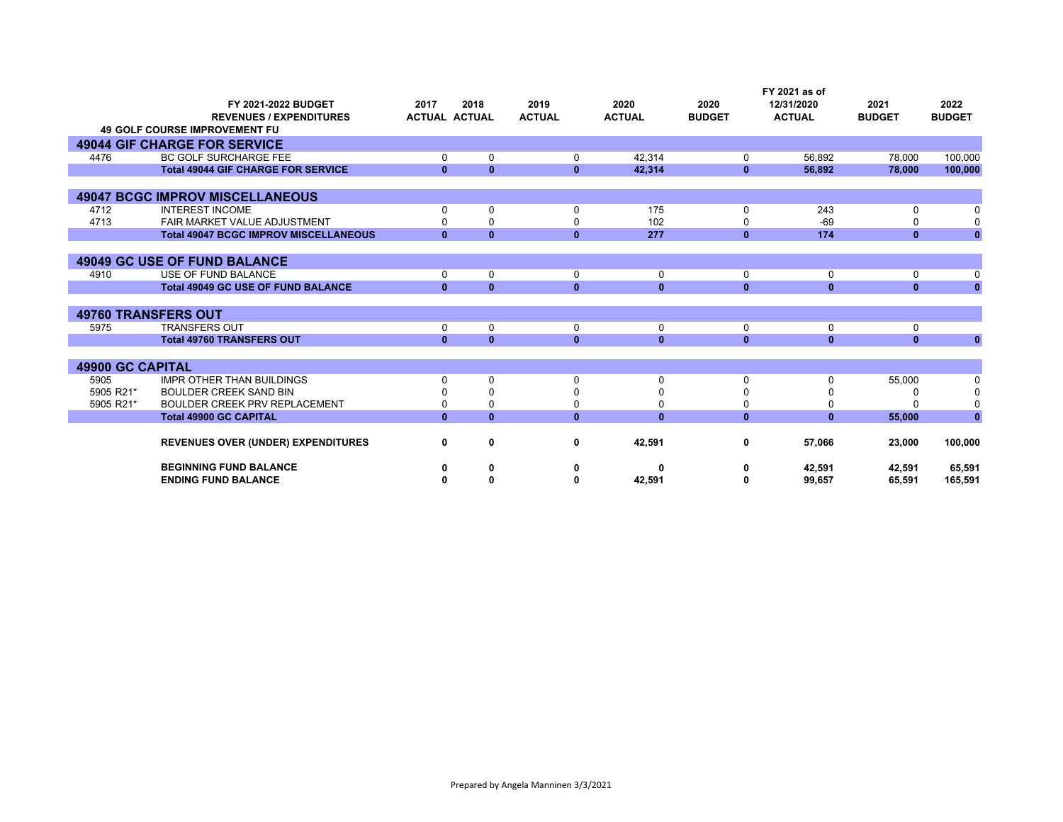|                         |                                              |              |                      |               |               |               | FY 2021 as of |               |               |
|-------------------------|----------------------------------------------|--------------|----------------------|---------------|---------------|---------------|---------------|---------------|---------------|
|                         | FY 2021-2022 BUDGET                          | 2017         | 2018                 | 2019          | 2020          | 2020          | 12/31/2020    | 2021          | 2022          |
|                         | <b>REVENUES / EXPENDITURES</b>               |              | <b>ACTUAL ACTUAL</b> | <b>ACTUAL</b> | <b>ACTUAL</b> | <b>BUDGET</b> | <b>ACTUAL</b> | <b>BUDGET</b> | <b>BUDGET</b> |
|                         | <b>49 GOLF COURSE IMPROVEMENT FU</b>         |              |                      |               |               |               |               |               |               |
|                         | <b>49044 GIF CHARGE FOR SERVICE</b>          |              |                      |               |               |               |               |               |               |
| 4476                    | <b>BC GOLF SURCHARGE FEE</b>                 | $\Omega$     | 0                    | 0             | 42,314        | 0             | 56,892        | 78,000        | 100,000       |
|                         | <b>Total 49044 GIF CHARGE FOR SERVICE</b>    | $\mathbf{0}$ | $\mathbf{0}$         | $\mathbf{0}$  | 42,314        | $\mathbf{0}$  | 56,892        | 78,000        | 100,000       |
|                         |                                              |              |                      |               |               |               |               |               |               |
|                         | <b>49047 BCGC IMPROV MISCELLANEOUS</b>       |              |                      |               |               |               |               |               |               |
| 4712                    | <b>INTEREST INCOME</b>                       |              | 0                    | $\Omega$      | 175           | 0             | 243           |               |               |
| 4713                    | FAIR MARKET VALUE ADJUSTMENT                 |              | $\Omega$             |               | 102           |               | $-69$         |               |               |
|                         | <b>Total 49047 BCGC IMPROV MISCELLANEOUS</b> | $\mathbf{0}$ | $\mathbf{0}$         | $\bf{0}$      | 277           | $\mathbf{0}$  | 174           | $\mathbf{0}$  | $\mathbf{0}$  |
|                         |                                              |              |                      |               |               |               |               |               |               |
|                         | <b>49049 GC USE OF FUND BALANCE</b>          |              |                      |               |               |               |               |               |               |
| 4910                    | USE OF FUND BALANCE                          | 0            | 0                    | 0             | 0             | 0             | 0             | 0             | 0             |
|                         | <b>Total 49049 GC USE OF FUND BALANCE</b>    | $\mathbf{0}$ | $\mathbf{0}$         | $\mathbf{0}$  | $\mathbf{0}$  | $\mathbf{0}$  | $\mathbf{0}$  | $\mathbf{0}$  | $\mathbf{0}$  |
|                         |                                              |              |                      |               |               |               |               |               |               |
|                         | <b>49760 TRANSFERS OUT</b>                   |              |                      |               |               |               |               |               |               |
| 5975                    | <b>TRANSFERS OUT</b>                         | $\Omega$     | 0                    | $\Omega$      | 0             | 0             | 0             | 0             |               |
|                         | <b>Total 49760 TRANSFERS OUT</b>             | $\mathbf{0}$ | $\mathbf{0}$         | $\mathbf{0}$  | $\mathbf{0}$  | $\mathbf{0}$  | $\mathbf{0}$  | $\mathbf{0}$  | $\mathbf{0}$  |
|                         |                                              |              |                      |               |               |               |               |               |               |
| <b>49900 GC CAPITAL</b> |                                              |              |                      |               |               |               |               |               |               |
| 5905                    | <b>IMPR OTHER THAN BUILDINGS</b>             | n            | $\mathbf 0$          | $\Omega$      | 0             | $\Omega$      | $\Omega$      | 55,000        |               |
| 5905 R21*               | <b>BOULDER CREEK SAND BIN</b>                |              | 0                    |               | 0             |               |               |               |               |
| 5905 R21*               | <b>BOULDER CREEK PRV REPLACEMENT</b>         |              | 0                    |               | 0             | O             | 0             |               |               |
|                         | <b>Total 49900 GC CAPITAL</b>                | $\mathbf{0}$ | $\mathbf{0}$         | $\mathbf{0}$  | $\mathbf{0}$  | $\mathbf{0}$  | $\mathbf{0}$  | 55,000        | $\mathbf{0}$  |
|                         |                                              |              |                      |               |               |               |               |               |               |
|                         | <b>REVENUES OVER (UNDER) EXPENDITURES</b>    | 0            | 0                    | 0             | 42,591        | 0             | 57,066        | 23,000        | 100,000       |
|                         | <b>BEGINNING FUND BALANCE</b>                |              | 0                    |               | 0             | ŋ             | 42,591        | 42,591        | 65,591        |
|                         | <b>ENDING FUND BALANCE</b>                   |              | 0                    |               | 42,591        | ŋ             | 99,657        | 65,591        | 165,591       |
|                         |                                              |              |                      |               |               |               |               |               |               |